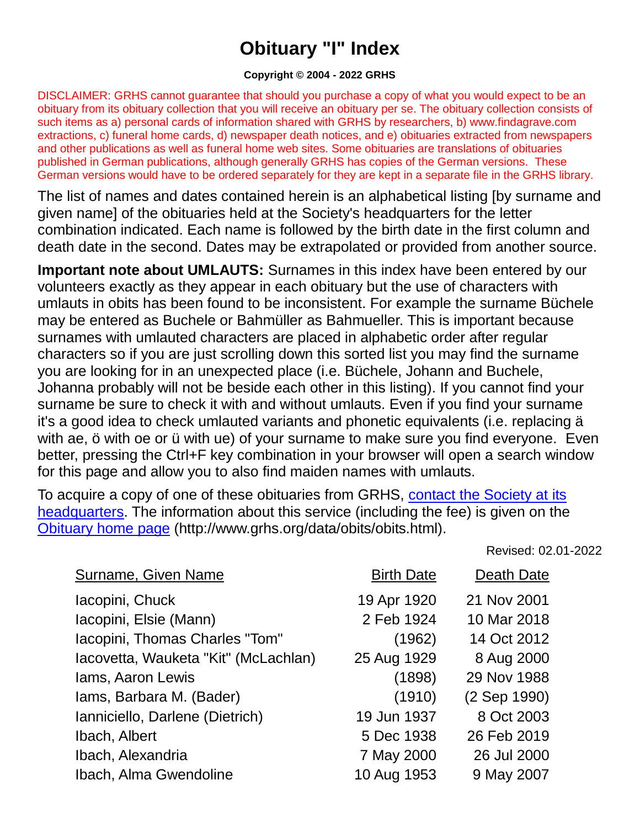## **Obituary "I" Index**

## **Copyright © 2004 - 2022 GRHS**

DISCLAIMER: GRHS cannot guarantee that should you purchase a copy of what you would expect to be an obituary from its obituary collection that you will receive an obituary per se. The obituary collection consists of such items as a) personal cards of information shared with GRHS by researchers, b) www.findagrave.com extractions, c) funeral home cards, d) newspaper death notices, and e) obituaries extracted from newspapers and other publications as well as funeral home web sites. Some obituaries are translations of obituaries published in German publications, although generally GRHS has copies of the German versions. These German versions would have to be ordered separately for they are kept in a separate file in the GRHS library.

The list of names and dates contained herein is an alphabetical listing [by surname and given name] of the obituaries held at the Society's headquarters for the letter combination indicated. Each name is followed by the birth date in the first column and death date in the second. Dates may be extrapolated or provided from another source.

**Important note about UMLAUTS:** Surnames in this index have been entered by our volunteers exactly as they appear in each obituary but the use of characters with umlauts in obits has been found to be inconsistent. For example the surname Büchele may be entered as Buchele or Bahmüller as Bahmueller. This is important because surnames with umlauted characters are placed in alphabetic order after regular characters so if you are just scrolling down this sorted list you may find the surname you are looking for in an unexpected place (i.e. Büchele, Johann and Buchele, Johanna probably will not be beside each other in this listing). If you cannot find your surname be sure to check it with and without umlauts. Even if you find your surname it's a good idea to check umlauted variants and phonetic equivalents (i.e. replacing ä with ae, ö with oe or ü with ue) of your surname to make sure you find everyone. Even better, pressing the Ctrl+F key combination in your browser will open a search window for this page and allow you to also find maiden names with umlauts.

To acquire a copy of one of these obituaries from GRHS, [contact the Society at its](https://www.grhs.org/pages/contact)  [headquarters.](https://www.grhs.org/pages/contact) The information about this service (including the fee) is given on the [Obituary home page](https://www.grhs.org/pages/obits) (http://www.grhs.org/data/obits/obits.html).

Revised: 02.01-2022

| <b>Surname, Given Name</b>           | <b>Birth Date</b> | Death Date   |
|--------------------------------------|-------------------|--------------|
| lacopini, Chuck                      | 19 Apr 1920       | 21 Nov 2001  |
| Iacopini, Elsie (Mann)               | 2 Feb 1924        | 10 Mar 2018  |
| lacopini, Thomas Charles "Tom"       | (1962)            | 14 Oct 2012  |
| Iacovetta, Wauketa "Kit" (McLachlan) | 25 Aug 1929       | 8 Aug 2000   |
| lams, Aaron Lewis                    | (1898)            | 29 Nov 1988  |
| lams, Barbara M. (Bader)             | (1910)            | (2 Sep 1990) |
| Ianniciello, Darlene (Dietrich)      | 19 Jun 1937       | 8 Oct 2003   |
| Ibach, Albert                        | 5 Dec 1938        | 26 Feb 2019  |
| Ibach, Alexandria                    | 7 May 2000        | 26 Jul 2000  |
| Ibach, Alma Gwendoline               | 10 Aug 1953       | 9 May 2007   |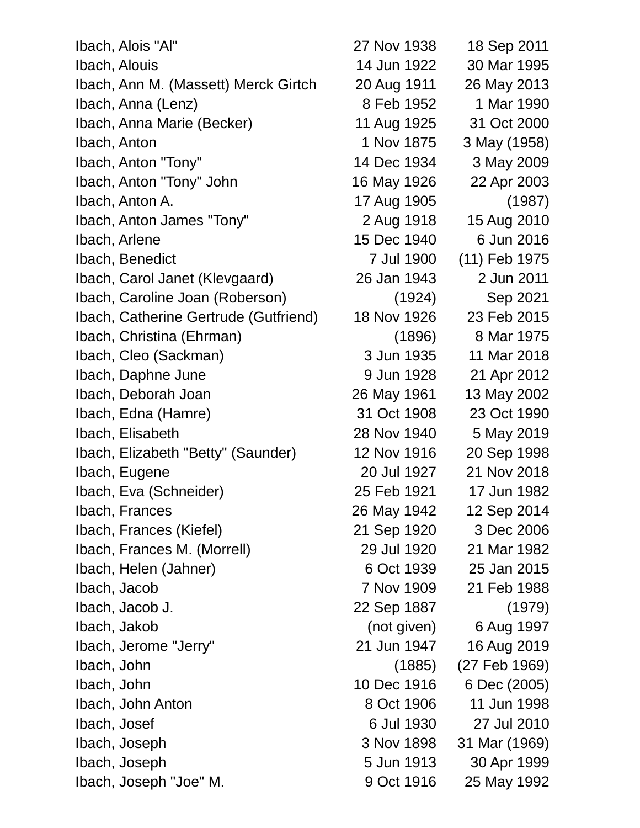Ibach, Alois "Al" 27 Nov 1938 18 Sep 2011 Ibach, Alouis 14 Jun 1922 30 Mar 1995 Ibach, Ann M. (Massett) Merck Girtch 20 Aug 1911 26 May 2013 Ibach, Anna (Lenz) 8 Feb 1952 1 Mar 1990 Ibach, Anna Marie (Becker) 11 Aug 1925 31 Oct 2000 Ibach, Anton 1 Nov 1875 3 May (1958) Ibach, Anton "Tony" 14 Dec 1934 3 May 2009 Ibach, Anton "Tony" John 16 May 1926 22 Apr 2003 Ibach, Anton A. 17 Aug 1905 (1987) Ibach, Anton James "Tony" 2 Aug 1918 15 Aug 2010 Ibach, Arlene 15 Dec 1940 6 Jun 2016 Ibach, Benedict 7 Jul 1900 (11) Feb 1975 Ibach, Carol Janet (Klevgaard) 26 Jan 1943 2 Jun 2011 Ibach, Caroline Joan (Roberson) (1924) Sep 2021 Ibach, Catherine Gertrude (Gutfriend) 18 Nov 1926 23 Feb 2015 Ibach, Christina (Ehrman) (1896) 8 Mar 1975 Ibach, Cleo (Sackman) 3 Jun 1935 11 Mar 2018 Ibach, Daphne June 1928 21 Apr 2012 Ibach, Deborah Joan 26 May 1961 13 May 2002 Ibach, Edna (Hamre) 31 Oct 1908 23 Oct 1990 Ibach, Elisabeth 28 Nov 1940 5 May 2019 Ibach, Elizabeth "Betty" (Saunder) 12 Nov 1916 20 Sep 1998 Ibach, Eugene 20 Jul 1927 21 Nov 2018 Ibach, Eva (Schneider) 25 Feb 1921 17 Jun 1982 Ibach, Frances 26 May 1942 12 Sep 2014 Ibach, Frances (Kiefel) 21 Sep 1920 3 Dec 2006 Ibach, Frances M. (Morrell) 29 Jul 1920 21 Mar 1982 Ibach, Helen (Jahner) 6 Oct 1939 25 Jan 2015 Ibach, Jacob 7 Nov 1909 21 Feb 1988 Ibach, Jacob J. 22 Sep 1887 (1979) Ibach, Jakob (not given) 6 Aug 1997 Ibach, Jerome "Jerry" 21 Jun 1947 16 Aug 2019 Ibach, John (1885) (27 Feb 1969) Ibach, John 10 Dec 1916 6 Dec (2005) Ibach, John Anton 8 Oct 1906 11 Jun 1998 Ibach, Josef 6 Jul 1930 27 Jul 2010 Ibach, Joseph 3 Nov 1898 31 Mar (1969) Ibach, Joseph 5 Jun 1913 30 Apr 1999 Ibach, Joseph "Joe" M. 9 Oct 1916 25 May 1992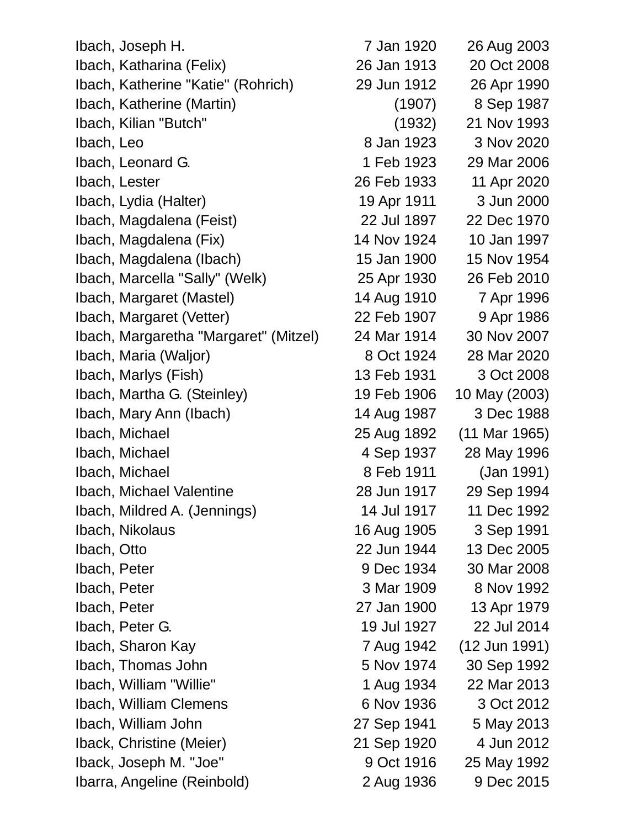Ibach, Joseph H. 7 Jan 1920 26 Aug 2003 Ibach, Katharina (Felix) 26 Jan 1913 20 Oct 2008 Ibach, Katherine "Katie" (Rohrich) 29 Jun 1912 26 Apr 1990 Ibach, Katherine (Martin) (1907) 8 Sep 1987 Ibach, Kilian "Butch" (1932) 21 Nov 1993 Ibach, Leo 8 Jan 1923 3 Nov 2020 Ibach, Leonard G. 1 Feb 1923 29 Mar 2006 Ibach, Lester 26 Feb 1933 11 Apr 2020 Ibach, Lydia (Halter) 19 Apr 1911 3 Jun 2000 Ibach, Magdalena (Feist) 22 Jul 1897 22 Dec 1970 Ibach, Magdalena (Fix) 14 Nov 1924 10 Jan 1997 Ibach, Magdalena (Ibach) 15 Jan 1900 15 Nov 1954 Ibach, Marcella "Sally" (Welk) 25 Apr 1930 26 Feb 2010 Ibach, Margaret (Mastel) 14 Aug 1910 7 Apr 1996 Ibach, Margaret (Vetter) 22 Feb 1907 9 Apr 1986 Ibach, Margaretha "Margaret" (Mitzel) 24 Mar 1914 30 Nov 2007 Ibach, Maria (Waljor) 8 Oct 1924 28 Mar 2020 Ibach, Marlys (Fish) 13 Feb 1931 3 Oct 2008 Ibach, Martha G. (Steinley) 19 Feb 1906 10 May (2003) Ibach, Mary Ann (Ibach) 14 Aug 1987 3 Dec 1988 Ibach, Michael 25 Aug 1892 (11 Mar 1965) Ibach, Michael 1937 28 May 1996 Ibach, Michael 8 Feb 1911 (Jan 1991) Ibach, Michael Valentine 28 Jun 1917 29 Sep 1994 Ibach, Mildred A. (Jennings) 14 Jul 1917 11 Dec 1992 Ibach, Nikolaus 16 Aug 1905 3 Sep 1991 Ibach, Otto 22 Jun 1944 13 Dec 2005 Ibach, Peter 9 Dec 1934 30 Mar 2008 Ibach, Peter 3 Mar 1909 8 Nov 1992 Ibach, Peter 27 Jan 1900 13 Apr 1979 Ibach, Peter G. 19 Jul 1927 22 Jul 2014 Ibach, Sharon Kay 7 Aug 1942 (12 Jun 1991) Ibach, Thomas John 5 Nov 1974 30 Sep 1992 Ibach, William "Willie" 1 Aug 1934 22 Mar 2013 Ibach, William Clemens 6 Nov 1936 3 Oct 2012 Ibach, William John 27 Sep 1941 5 May 2013 Iback, Christine (Meier) 21 Sep 1920 4 Jun 2012 Iback, Joseph M. "Joe" 9 Oct 1916 25 May 1992 Ibarra, Angeline (Reinbold) 2 Aug 1936 9 Dec 2015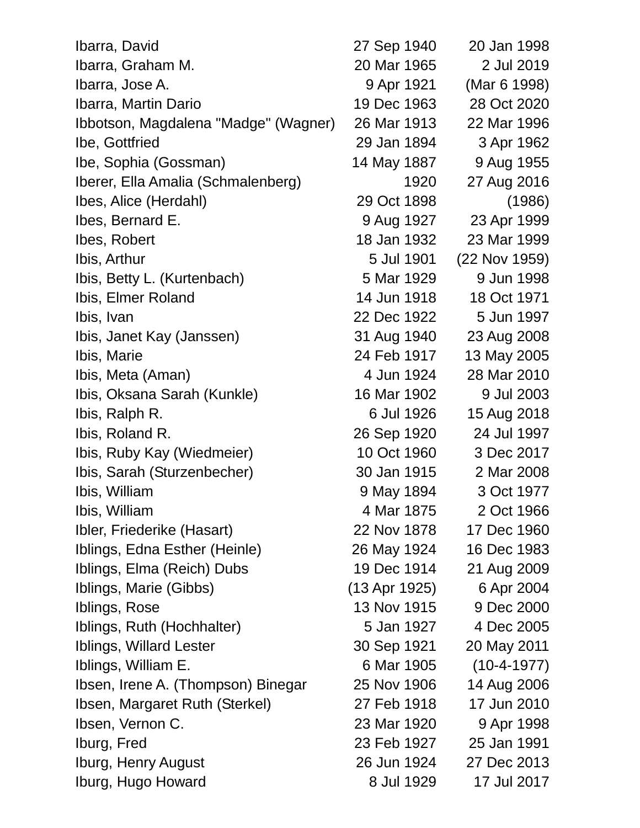| Ibarra, David                        | 27 Sep 1940   | 20 Jan 1998   |
|--------------------------------------|---------------|---------------|
| Ibarra, Graham M.                    | 20 Mar 1965   | 2 Jul 2019    |
| Ibarra, Jose A.                      | 9 Apr 1921    | (Mar 6 1998)  |
| Ibarra, Martin Dario                 | 19 Dec 1963   | 28 Oct 2020   |
| Ibbotson, Magdalena "Madge" (Wagner) | 26 Mar 1913   | 22 Mar 1996   |
| Ibe, Gottfried                       | 29 Jan 1894   | 3 Apr 1962    |
| Ibe, Sophia (Gossman)                | 14 May 1887   | 9 Aug 1955    |
| Iberer, Ella Amalia (Schmalenberg)   | 1920          | 27 Aug 2016   |
| Ibes, Alice (Herdahl)                | 29 Oct 1898   | (1986)        |
| Ibes, Bernard E.                     | 9 Aug 1927    | 23 Apr 1999   |
| Ibes, Robert                         | 18 Jan 1932   | 23 Mar 1999   |
| Ibis, Arthur                         | 5 Jul 1901    | (22 Nov 1959) |
| Ibis, Betty L. (Kurtenbach)          | 5 Mar 1929    | 9 Jun 1998    |
| Ibis, Elmer Roland                   | 14 Jun 1918   | 18 Oct 1971   |
| Ibis, Ivan                           | 22 Dec 1922   | 5 Jun 1997    |
| Ibis, Janet Kay (Janssen)            | 31 Aug 1940   | 23 Aug 2008   |
| Ibis, Marie                          | 24 Feb 1917   | 13 May 2005   |
| Ibis, Meta (Aman)                    | 4 Jun 1924    | 28 Mar 2010   |
| Ibis, Oksana Sarah (Kunkle)          | 16 Mar 1902   | 9 Jul 2003    |
| Ibis, Ralph R.                       | 6 Jul 1926    | 15 Aug 2018   |
| Ibis, Roland R.                      | 26 Sep 1920   | 24 Jul 1997   |
| Ibis, Ruby Kay (Wiedmeier)           | 10 Oct 1960   | 3 Dec 2017    |
| Ibis, Sarah (Sturzenbecher)          | 30 Jan 1915   | 2 Mar 2008    |
| Ibis, William                        | 9 May 1894    | 3 Oct 1977    |
| Ibis, William                        | 4 Mar 1875    | 2 Oct 1966    |
| Ibler, Friederike (Hasart)           | 22 Nov 1878   | 17 Dec 1960   |
| Iblings, Edna Esther (Heinle)        | 26 May 1924   | 16 Dec 1983   |
| Iblings, Elma (Reich) Dubs           | 19 Dec 1914   | 21 Aug 2009   |
| Iblings, Marie (Gibbs)               | (13 Apr 1925) | 6 Apr 2004    |
| Iblings, Rose                        | 13 Nov 1915   | 9 Dec 2000    |
| Iblings, Ruth (Hochhalter)           | 5 Jan 1927    | 4 Dec 2005    |
| Iblings, Willard Lester              | 30 Sep 1921   | 20 May 2011   |
| Iblings, William E.                  | 6 Mar 1905    | $(10-4-1977)$ |
| Ibsen, Irene A. (Thompson) Binegar   | 25 Nov 1906   | 14 Aug 2006   |
| Ibsen, Margaret Ruth (Sterkel)       | 27 Feb 1918   | 17 Jun 2010   |
| Ibsen, Vernon C.                     | 23 Mar 1920   | 9 Apr 1998    |
| Iburg, Fred                          | 23 Feb 1927   | 25 Jan 1991   |
| Iburg, Henry August                  | 26 Jun 1924   | 27 Dec 2013   |
| Iburg, Hugo Howard                   | 8 Jul 1929    | 17 Jul 2017   |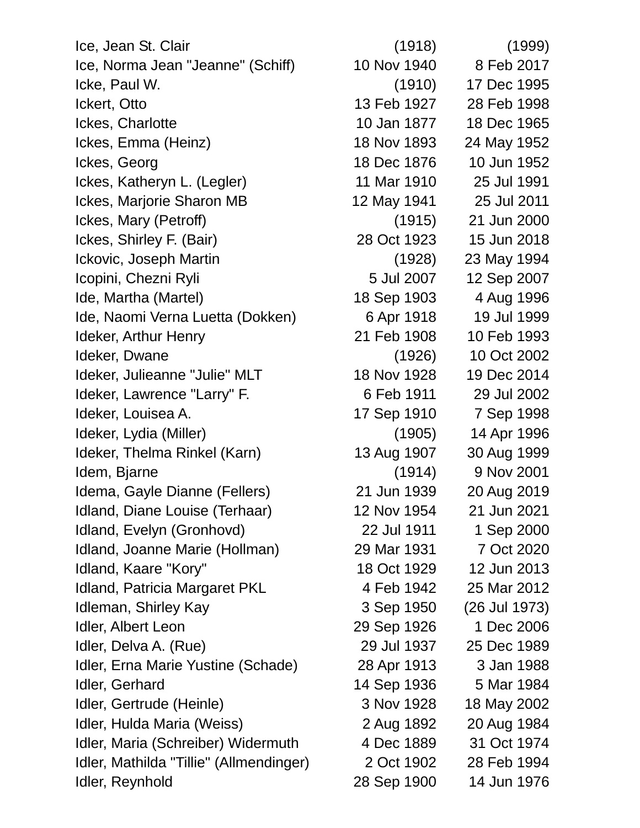Ice, Jean St. Clair (1918) (1999) Ice, Norma Jean "Jeanne" (Schiff) 10 Nov 1940 8 Feb 2017 Icke, Paul W. (1910) 17 Dec 1995 Ickert, Otto 13 Feb 1927 28 Feb 1998 Ickes, Charlotte 10 Jan 1877 18 Dec 1965 Ickes, Emma (Heinz) 18 Nov 1893 24 May 1952 Ickes, Georg 18 Dec 1876 10 Jun 1952 Ickes, Katheryn L. (Legler) 11 Mar 1910 25 Jul 1991 Ickes, Marjorie Sharon MB 12 May 1941 25 Jul 2011 Ickes, Mary (Petroff) (1915) 21 Jun 2000 Ickes, Shirley F. (Bair) 28 Oct 1923 15 Jun 2018 Ickovic, Joseph Martin (1928) 23 May 1994 Icopini, Chezni Ryli 12 Sep 2007 12 Sep 2007 Ide, Martha (Martel) 18 Sep 1903 4 Aug 1996 Ide, Naomi Verna Luetta (Dokken) 6 Apr 1918 19 Jul 1999 Ideker, Arthur Henry 21 Feb 1908 10 Feb 1993 Ideker, Dwane (1926) 10 Oct 2002 Ideker, Julieanne "Julie" MLT 18 Nov 1928 19 Dec 2014 Ideker, Lawrence "Larry" F. 6 Feb 1911 29 Jul 2002 Ideker, Louisea A. 17 Sep 1910 7 Sep 1998 Ideker, Lydia (Miller) (1905) 14 Apr 1996 Ideker, Thelma Rinkel (Karn) 13 Aug 1907 30 Aug 1999 Idem, Bjarne (1914) 9 Nov 2001 Idema, Gayle Dianne (Fellers) 21 Jun 1939 20 Aug 2019 Idland, Diane Louise (Terhaar) 12 Nov 1954 21 Jun 2021 Idland, Evelyn (Gronhovd) 22 Jul 1911 1 Sep 2000 Idland, Joanne Marie (Hollman) 29 Mar 1931 7 Oct 2020 Idland, Kaare "Kory" 18 Oct 1929 12 Jun 2013 Idland, Patricia Margaret PKL 4 Feb 1942 25 Mar 2012 Idleman, Shirley Kay 3 Sep 1950 (26 Jul 1973) Idler, Albert Leon 29 Sep 1926 1 Dec 2006 Idler, Delva A. (Rue) 29 Jul 1937 25 Dec 1989 Idler, Erna Marie Yustine (Schade) 28 Apr 1913 3 Jan 1988 Idler, Gerhard 14 Sep 1936 5 Mar 1984 Idler, Gertrude (Heinle) 3 Nov 1928 18 May 2002 Idler, Hulda Maria (Weiss) 2 Aug 1892 20 Aug 1984 Idler, Maria (Schreiber) Widermuth 4 Dec 1889 31 Oct 1974 Idler, Mathilda "Tillie" (Allmendinger) 2 Oct 1902 28 Feb 1994

Idler, Reynhold 28 Sep 1900 14 Jun 1976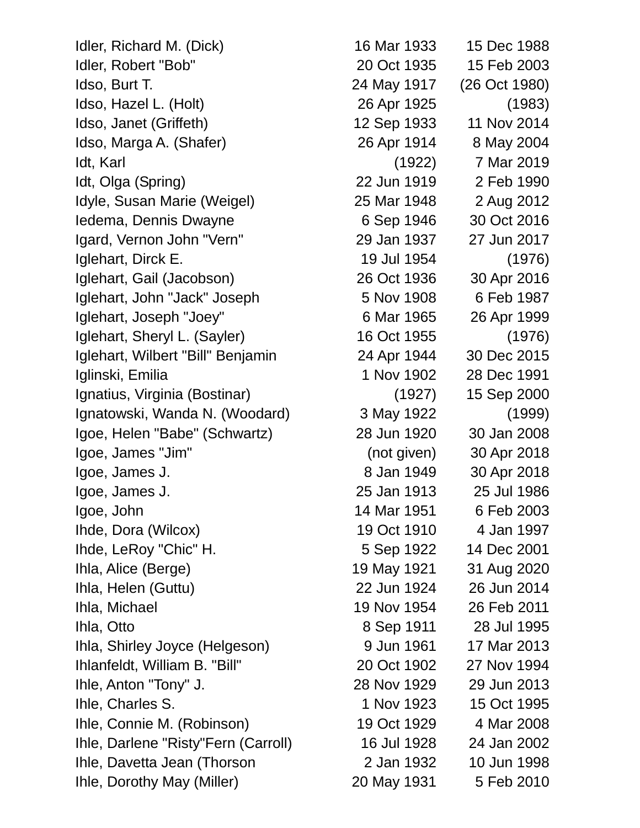Idler, Richard M. (Dick) 16 Mar 1933 15 Dec 1988 Idler, Robert "Bob" 20 Oct 1935 15 Feb 2003 Idso, Burt T. 24 May 1917 (26 Oct 1980) Idso, Hazel L. (Holt) 26 Apr 1925 (1983) Idso, Janet (Griffeth) 12 Sep 1933 11 Nov 2014 Idso, Marga A. (Shafer) 26 Apr 1914 8 May 2004 Idt, Karl (1922) 7 Mar 2019 Idt, Olga (Spring) 22 Jun 1919 2 Feb 1990 Idyle, Susan Marie (Weigel) 25 Mar 1948 2 Aug 2012 Iedema, Dennis Dwayne 6 Sep 1946 30 Oct 2016 Igard, Vernon John "Vern" 29 Jan 1937 27 Jun 2017 Iglehart, Dirck E. 19 Jul 1954 (1976) Iglehart, Gail (Jacobson) 26 Oct 1936 30 Apr 2016 Iglehart, John "Jack" Joseph 5 Nov 1908 6 Feb 1987 Iglehart, Joseph "Joey" 6 Mar 1965 26 Apr 1999 Iglehart, Sheryl L. (Sayler) 16 Oct 1955 (1976) Iglehart, Wilbert "Bill" Benjamin 24 Apr 1944 30 Dec 2015 Iglinski, Emilia 1 Nov 1902 28 Dec 1991 Ignatius, Virginia (Bostinar) (1927) 15 Sep 2000 Ignatowski, Wanda N. (Woodard) 3 May 1922 (1999) Igoe, Helen "Babe" (Schwartz) 28 Jun 1920 30 Jan 2008 Igoe, James "Jim" (not given) 30 Apr 2018 Igoe, James J. 8 Jan 1949 30 Apr 2018 Igoe, James J. 25 Jan 1913 25 Jul 1986 Igoe, John 14 Mar 1951 6 Feb 2003 Ihde, Dora (Wilcox) 19 Oct 1910 4 Jan 1997 Ihde, LeRoy "Chic" H. 5 Sep 1922 14 Dec 2001 Ihla, Alice (Berge) 19 May 1921 31 Aug 2020 Ihla, Helen (Guttu) 22 Jun 1924 26 Jun 2014 Ihla, Michael 19 Nov 1954 26 Feb 2011 Ihla, Otto 8 Sep 1911 28 Jul 1995 Ihla, Shirley Joyce (Helgeson) 9 Jun 1961 17 Mar 2013 Ihlanfeldt, William B. "Bill" 20 Oct 1902 27 Nov 1994 Ihle, Anton "Tony" J. 28 Nov 1929 29 Jun 2013 Ihle, Charles S. 1 Nov 1923 15 Oct 1995 Ihle, Connie M. (Robinson) 19 Oct 1929 4 Mar 2008 Ihle, Darlene "Risty"Fern (Carroll) 16 Jul 1928 24 Jan 2002 Ihle, Davetta Jean (Thorson 2 Jan 1932 10 Jun 1998

Ihle, Dorothy May (Miller) 20 May 1931 5 Feb 2010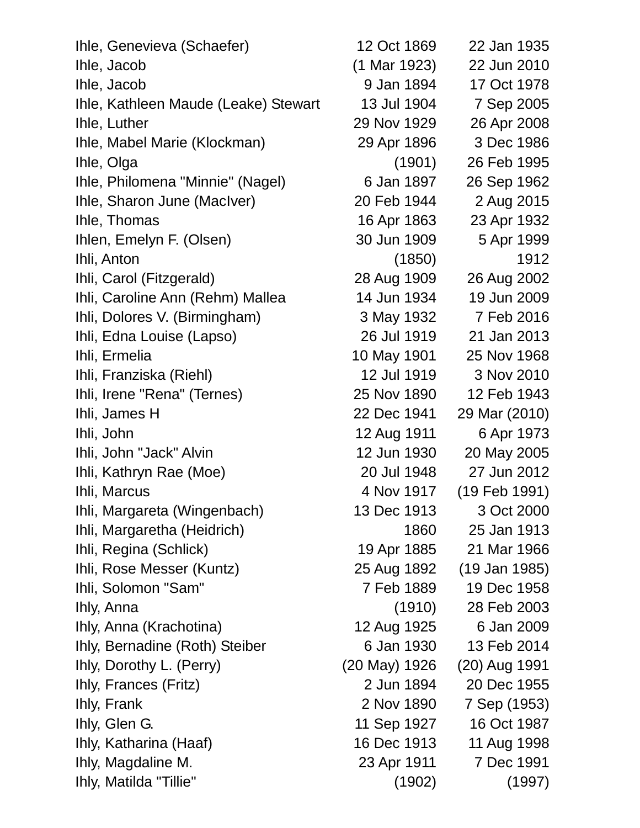| Ihle, Genevieva (Schaefer)           | 12 Oct 1869   | 22 Jan 1935       |  |
|--------------------------------------|---------------|-------------------|--|
| Ihle, Jacob                          | (1 Mar 1923)  | 22 Jun 2010       |  |
| Ihle, Jacob                          | 9 Jan 1894    | 17 Oct 1978       |  |
| Ihle, Kathleen Maude (Leake) Stewart | 13 Jul 1904   | 7 Sep 2005        |  |
| Ihle, Luther                         | 29 Nov 1929   | 26 Apr 2008       |  |
| Ihle, Mabel Marie (Klockman)         | 29 Apr 1896   | 3 Dec 1986        |  |
| Ihle, Olga                           | (1901)        | 26 Feb 1995       |  |
| Ihle, Philomena "Minnie" (Nagel)     | 6 Jan 1897    | 26 Sep 1962       |  |
| Ihle, Sharon June (MacIver)          | 20 Feb 1944   | 2 Aug 2015        |  |
| Ihle, Thomas                         | 16 Apr 1863   | 23 Apr 1932       |  |
| Ihlen, Emelyn F. (Olsen)             | 30 Jun 1909   | 5 Apr 1999        |  |
| Ihli, Anton                          | (1850)        | 1912              |  |
| Ihli, Carol (Fitzgerald)             | 28 Aug 1909   | 26 Aug 2002       |  |
| Ihli, Caroline Ann (Rehm) Mallea     | 14 Jun 1934   | 19 Jun 2009       |  |
| Ihli, Dolores V. (Birmingham)        | 3 May 1932    | 7 Feb 2016        |  |
| Ihli, Edna Louise (Lapso)            | 26 Jul 1919   | 21 Jan 2013       |  |
| Ihli, Ermelia                        | 10 May 1901   | 25 Nov 1968       |  |
| Ihli, Franziska (Riehl)              | 12 Jul 1919   | 3 Nov 2010        |  |
| Ihli, Irene "Rena" (Ternes)          | 25 Nov 1890   | 12 Feb 1943       |  |
| Ihli, James H                        | 22 Dec 1941   | 29 Mar (2010)     |  |
| Ihli, John                           | 12 Aug 1911   | 6 Apr 1973        |  |
| Ihli, John "Jack" Alvin              | 12 Jun 1930   | 20 May 2005       |  |
| Ihli, Kathryn Rae (Moe)              | 20 Jul 1948   | 27 Jun 2012       |  |
| Ihli, Marcus                         | 4 Nov 1917    | $(19$ Feb $1991)$ |  |
| Ihli, Margareta (Wingenbach)         | 13 Dec 1913   | 3 Oct 2000        |  |
| Ihli, Margaretha (Heidrich)          | 1860          | 25 Jan 1913       |  |
| Ihli, Regina (Schlick)               | 19 Apr 1885   | 21 Mar 1966       |  |
| Ihli, Rose Messer (Kuntz)            | 25 Aug 1892   | (19 Jan 1985)     |  |
| Ihli, Solomon "Sam"                  | 7 Feb 1889    | 19 Dec 1958       |  |
| Ihly, Anna                           | (1910)        | 28 Feb 2003       |  |
| Ihly, Anna (Krachotina)              | 12 Aug 1925   | 6 Jan 2009        |  |
| Ihly, Bernadine (Roth) Steiber       | 6 Jan 1930    | 13 Feb 2014       |  |
| Ihly, Dorothy L. (Perry)             | (20 May) 1926 | (20) Aug 1991     |  |
| Ihly, Frances (Fritz)                | 2 Jun 1894    | 20 Dec 1955       |  |
| Ihly, Frank                          | 2 Nov 1890    | 7 Sep (1953)      |  |
| Ihly, Glen G.                        | 11 Sep 1927   | 16 Oct 1987       |  |
| Ihly, Katharina (Haaf)               | 16 Dec 1913   | 11 Aug 1998       |  |
| Ihly, Magdaline M.                   | 23 Apr 1911   | 7 Dec 1991        |  |
| Ihly, Matilda "Tillie"               | (1902)        | (1997)            |  |
|                                      |               |                   |  |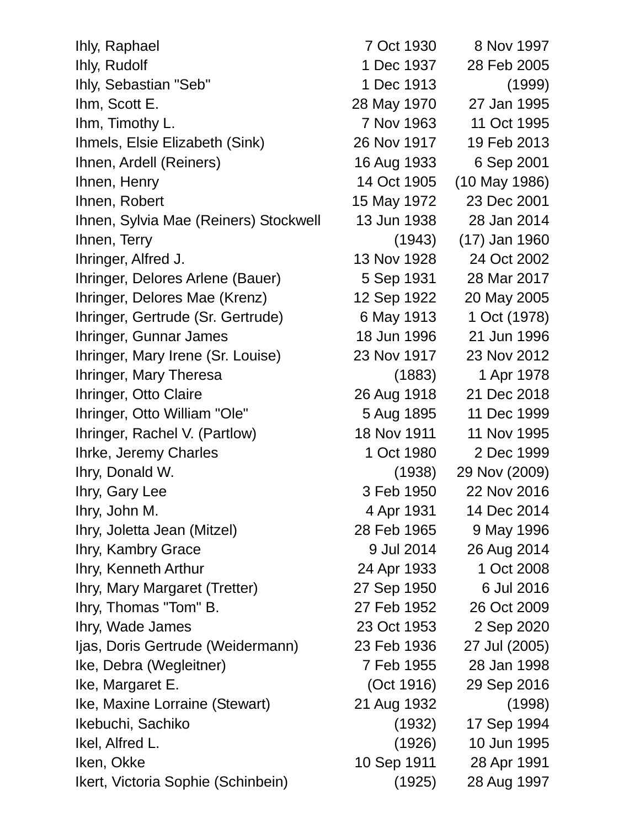Ihly, Raphael 7 Oct 1930 8 Nov 1997 Ihly, Rudolf 1 Dec 1937 28 Feb 2005 Ihly, Sebastian "Seb" 1 Dec 1913 (1999) Ihm, Scott E. 28 May 1970 27 Jan 1995 Ihm, Timothy L. 7 Nov 1963 11 Oct 1995 Ihmels, Elsie Elizabeth (Sink) 26 Nov 1917 19 Feb 2013 Ihnen, Ardell (Reiners) 16 Aug 1933 6 Sep 2001 Ihnen, Henry 14 Oct 1905 (10 May 1986) Ihnen, Robert 15 May 1972 23 Dec 2001 Ihnen, Sylvia Mae (Reiners) Stockwell 13 Jun 1938 28 Jan 2014 Ihnen, Terry (1943) (17) Jan 1960 Ihringer, Alfred J. 13 Nov 1928 24 Oct 2002 Ihringer, Delores Arlene (Bauer) 5 Sep 1931 28 Mar 2017 Ihringer, Delores Mae (Krenz) 12 Sep 1922 20 May 2005 Ihringer, Gertrude (Sr. Gertrude) 6 May 1913 1 Oct (1978) Ihringer, Gunnar James 18 Jun 1996 21 Jun 1996 Ihringer, Mary Irene (Sr. Louise) 23 Nov 1917 23 Nov 2012 Ihringer, Mary Theresa (1883) 1 Apr 1978 Ihringer, Otto Claire 26 Aug 1918 21 Dec 2018 Ihringer, Otto William "Ole" 5 Aug 1895 11 Dec 1999 Ihringer, Rachel V. (Partlow) 18 Nov 1911 11 Nov 1995 Ihrke, Jeremy Charles 1 Oct 1980 2 Dec 1999 Ihry, Donald W. (1938) 29 Nov (2009) Ihry, Gary Lee 3 Feb 1950 22 Nov 2016 Ihry, John M. 2001 14 Dec 2014 Ihry, Joletta Jean (Mitzel) 28 Feb 1965 9 May 1996 Ihry, Kambry Grace 9 Jul 2014 26 Aug 2014 Ihry, Kenneth Arthur 24 Apr 1933 1 Oct 2008 Ihry, Mary Margaret (Tretter) 27 Sep 1950 6 Jul 2016 Ihry, Thomas "Tom" B. 27 Feb 1952 26 Oct 2009 Ihry, Wade James 23 Oct 1953 2 Sep 2020 Ijas, Doris Gertrude (Weidermann) 23 Feb 1936 27 Jul (2005) Ike, Debra (Wegleitner) 7 Feb 1955 28 Jan 1998 Ike, Margaret E. (Oct 1916) 29 Sep 2016 Ike, Maxine Lorraine (Stewart) 21 Aug 1932 (1998) Ikebuchi, Sachiko (1932) 17 Sep 1994 Ikel, Alfred L. (1926) 10 Jun 1995 Iken, Okke 10 Sep 1911 28 Apr 1991 Ikert, Victoria Sophie (Schinbein) (1925) 28 Aug 1997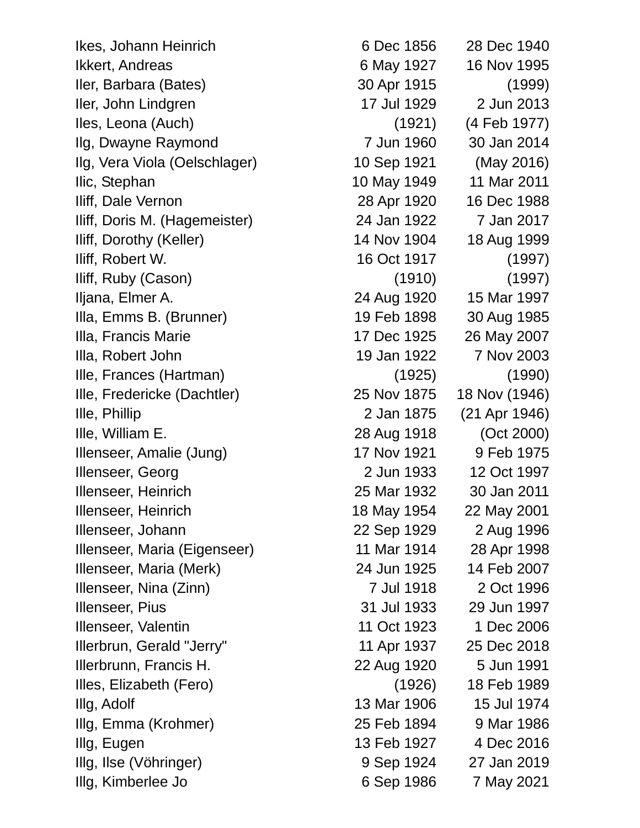Ikes, Johann Heinrich 6 Dec 1856 28 Dec 1940 Ikkert, Andreas 6 May 1927 16 Nov 1995 Iler, Barbara (Bates) 30 Apr 1915 (1999) Iler, John Lindgren 17 Jul 1929 2 Jun 2013 Iles, Leona (Auch) (1921) (4 Feb 1977) Ilg, Dwayne Raymond 7 Jun 1960 30 Jan 2014 Ilg, Vera Viola (Oelschlager) 10 Sep 1921 (May 2016) Ilic, Stephan 10 May 1949 11 Mar 2011 Iliff, Dale Vernon 28 Apr 1920 16 Dec 1988 Iliff, Doris M. (Hagemeister) 24 Jan 1922 7 Jan 2017 Iliff, Dorothy (Keller) 14 Nov 1904 18 Aug 1999 Iliff, Robert W. 16 Oct 1917 (1997) Iliff, Ruby (Cason) (1910) (1997) Iljana, Elmer A. 24 Aug 1920 15 Mar 1997 Illa, Emms B. (Brunner) 19 Feb 1898 30 Aug 1985 Illa, Francis Marie 17 Dec 1925 26 May 2007 Illa, Robert John 19 Jan 1922 7 Nov 2003 Ille, Frances (Hartman) (1925) (1990) Ille, Fredericke (Dachtler) 25 Nov 1875 18 Nov (1946) Ille, Phillip 2 Jan 1875 (21 Apr 1946) Ille, William E. 28 Aug 1918 (Oct 2000) Illenseer, Amalie (Jung) 17 Nov 1921 9 Feb 1975 Illenseer, Georg 2 Jun 1933 12 Oct 1997 Illenseer, Heinrich 25 Mar 1932 30 Jan 2011 Illenseer, Heinrich 18 May 1954 22 May 2001 Illenseer, Johann 22 Sep 1929 2 Aug 1996 Illenseer, Maria (Eigenseer) 11 Mar 1914 28 Apr 1998 Illenseer, Maria (Merk) 24 Jun 1925 14 Feb 2007 Illenseer, Nina (Zinn) 7 Jul 1918 2 Oct 1996 Illenseer, Pius 31 Jul 1933 29 Jun 1997 Illenseer, Valentin 11 Oct 1923 1 Dec 2006 Illerbrun, Gerald "Jerry" 11 Apr 1937 25 Dec 2018 Illerbrunn, Francis H. 22 Aug 1920 5 Jun 1991 Illes, Elizabeth (Fero) (1926) 18 Feb 1989 Illg, Adolf 13 Mar 1906 15 Jul 1974 Illg, Emma (Krohmer) 25 Feb 1894 9 Mar 1986 Illg, Eugen 13 Feb 1927 4 Dec 2016 Illg, Ilse (Vöhringer) 9 Sep 1924 27 Jan 2019 Illg, Kimberlee Jo 6 Sep 1986 7 May 2021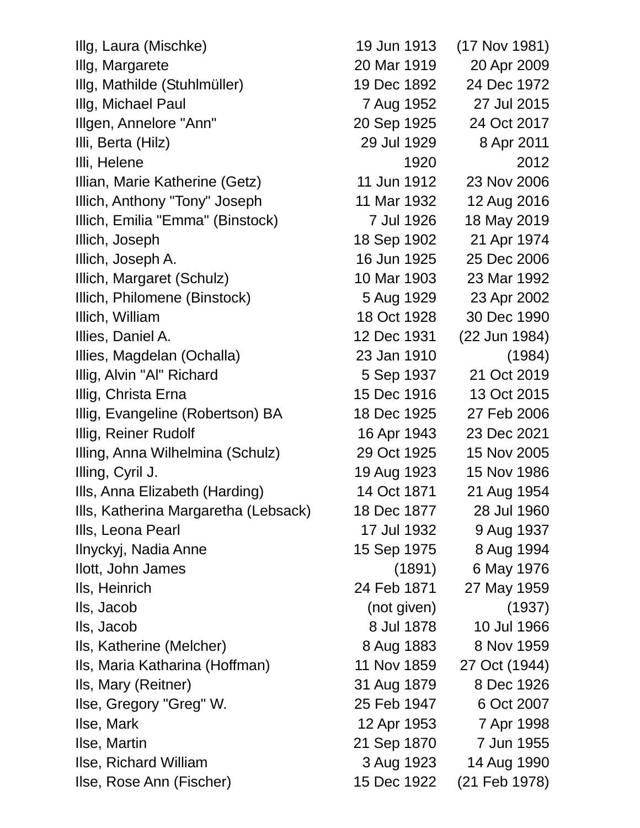| Illg, Laura (Mischke)                | 19 Jun 1913 | (17 Nov 1981) |
|--------------------------------------|-------------|---------------|
| Illg, Margarete                      | 20 Mar 1919 | 20 Apr 2009   |
| Illg, Mathilde (Stuhlmüller)         | 19 Dec 1892 | 24 Dec 1972   |
| Illg, Michael Paul                   | 7 Aug 1952  | 27 Jul 2015   |
| Illgen, Annelore "Ann"               | 20 Sep 1925 | 24 Oct 2017   |
| Illi, Berta (Hilz)                   | 29 Jul 1929 | 8 Apr 2011    |
| Illi, Helene                         | 1920        | 2012          |
| Illian, Marie Katherine (Getz)       | 11 Jun 1912 | 23 Nov 2006   |
| Illich, Anthony "Tony" Joseph        | 11 Mar 1932 | 12 Aug 2016   |
| Illich, Emilia "Emma" (Binstock)     | 7 Jul 1926  | 18 May 2019   |
| Illich, Joseph                       | 18 Sep 1902 | 21 Apr 1974   |
| Illich, Joseph A.                    | 16 Jun 1925 | 25 Dec 2006   |
| Illich, Margaret (Schulz)            | 10 Mar 1903 | 23 Mar 1992   |
| Illich, Philomene (Binstock)         | 5 Aug 1929  | 23 Apr 2002   |
| Illich, William                      | 18 Oct 1928 | 30 Dec 1990   |
| Illies, Daniel A.                    | 12 Dec 1931 | (22 Jun 1984) |
| Illies, Magdelan (Ochalla)           | 23 Jan 1910 | (1984)        |
| Illig, Alvin "Al" Richard            | 5 Sep 1937  | 21 Oct 2019   |
| Illig, Christa Erna                  | 15 Dec 1916 | 13 Oct 2015   |
| Illig, Evangeline (Robertson) BA     | 18 Dec 1925 | 27 Feb 2006   |
| Illig, Reiner Rudolf                 | 16 Apr 1943 | 23 Dec 2021   |
| Illing, Anna Wilhelmina (Schulz)     | 29 Oct 1925 | 15 Nov 2005   |
| Illing, Cyril J.                     | 19 Aug 1923 | 15 Nov 1986   |
| Ills, Anna Elizabeth (Harding)       | 14 Oct 1871 | 21 Aug 1954   |
| Ills, Katherina Margaretha (Lebsack) | 18 Dec 1877 | 28 Jul 1960   |
| Ills, Leona Pearl                    | 17 Jul 1932 | 9 Aug 1937    |
| Ilnyckyj, Nadia Anne                 | 15 Sep 1975 | 8 Aug 1994    |
| llott, John James                    | (1891)      | 6 May 1976    |
| Ils, Heinrich                        | 24 Feb 1871 | 27 May 1959   |
| Ils, Jacob                           | (not given) | (1937)        |
| Ils, Jacob                           | 8 Jul 1878  | 10 Jul 1966   |
| Ils, Katherine (Melcher)             | 8 Aug 1883  | 8 Nov 1959    |
| Ils, Maria Katharina (Hoffman)       | 11 Nov 1859 | 27 Oct (1944) |
| Ils, Mary (Reitner)                  | 31 Aug 1879 | 8 Dec 1926    |
| Ilse, Gregory "Greg" W.              | 25 Feb 1947 | 6 Oct 2007    |
| Ilse, Mark                           | 12 Apr 1953 | 7 Apr 1998    |
| Ilse, Martin                         | 21 Sep 1870 | 7 Jun 1955    |
| Ilse, Richard William                | 3 Aug 1923  | 14 Aug 1990   |
| Ilse, Rose Ann (Fischer)             | 15 Dec 1922 | (21 Feb 1978) |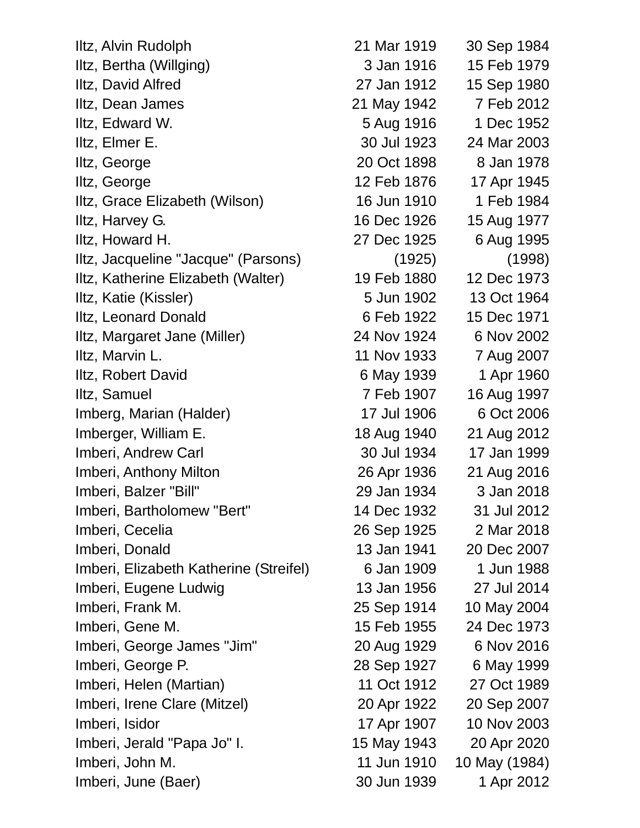| Iltz, Alvin Rudolph                    | 21 Mar 1919 | 30 Sep 1984   |
|----------------------------------------|-------------|---------------|
| Iltz, Bertha (Willging)                | 3 Jan 1916  | 15 Feb 1979   |
| Iltz, David Alfred                     | 27 Jan 1912 | 15 Sep 1980   |
| Iltz, Dean James                       | 21 May 1942 | 7 Feb 2012    |
| Iltz, Edward W.                        | 5 Aug 1916  | 1 Dec 1952    |
| Iltz, Elmer E.                         | 30 Jul 1923 | 24 Mar 2003   |
| Iltz, George                           | 20 Oct 1898 | 8 Jan 1978    |
| Iltz, George                           | 12 Feb 1876 | 17 Apr 1945   |
| Iltz, Grace Elizabeth (Wilson)         | 16 Jun 1910 | 1 Feb 1984    |
| Iltz, Harvey G.                        | 16 Dec 1926 | 15 Aug 1977   |
| Iltz, Howard H.                        | 27 Dec 1925 | 6 Aug 1995    |
| Iltz, Jacqueline "Jacque" (Parsons)    | (1925)      | (1998)        |
| Iltz, Katherine Elizabeth (Walter)     | 19 Feb 1880 | 12 Dec 1973   |
| Iltz, Katie (Kissler)                  | 5 Jun 1902  | 13 Oct 1964   |
| Iltz, Leonard Donald                   | 6 Feb 1922  | 15 Dec 1971   |
| Iltz, Margaret Jane (Miller)           | 24 Nov 1924 | 6 Nov 2002    |
| Iltz, Marvin L.                        | 11 Nov 1933 | 7 Aug 2007    |
| Iltz, Robert David                     | 6 May 1939  | 1 Apr 1960    |
| Iltz, Samuel                           | 7 Feb 1907  | 16 Aug 1997   |
| Imberg, Marian (Halder)                | 17 Jul 1906 | 6 Oct 2006    |
| Imberger, William E.                   | 18 Aug 1940 | 21 Aug 2012   |
| Imberi, Andrew Carl                    | 30 Jul 1934 | 17 Jan 1999   |
| Imberi, Anthony Milton                 | 26 Apr 1936 | 21 Aug 2016   |
| Imberi, Balzer "Bill"                  | 29 Jan 1934 | 3 Jan 2018    |
| Imberi, Bartholomew "Bert"             | 14 Dec 1932 | 31 Jul 2012   |
| Imberi, Cecelia                        | 26 Sep 1925 | 2 Mar 2018    |
| Imberi, Donald                         | 13 Jan 1941 | 20 Dec 2007   |
| Imberi, Elizabeth Katherine (Streifel) | 6 Jan 1909  | 1 Jun 1988    |
| Imberi, Eugene Ludwig                  | 13 Jan 1956 | 27 Jul 2014   |
| Imberi, Frank M.                       | 25 Sep 1914 | 10 May 2004   |
| Imberi, Gene M.                        | 15 Feb 1955 | 24 Dec 1973   |
| Imberi, George James "Jim"             | 20 Aug 1929 | 6 Nov 2016    |
| Imberi, George P.                      | 28 Sep 1927 | 6 May 1999    |
| Imberi, Helen (Martian)                | 11 Oct 1912 | 27 Oct 1989   |
| Imberi, Irene Clare (Mitzel)           | 20 Apr 1922 | 20 Sep 2007   |
| Imberi, Isidor                         | 17 Apr 1907 | 10 Nov 2003   |
| Imberi, Jerald "Papa Jo" I.            | 15 May 1943 | 20 Apr 2020   |
| Imberi, John M.                        | 11 Jun 1910 | 10 May (1984) |
| Imberi, June (Baer)                    | 30 Jun 1939 | 1 Apr 2012    |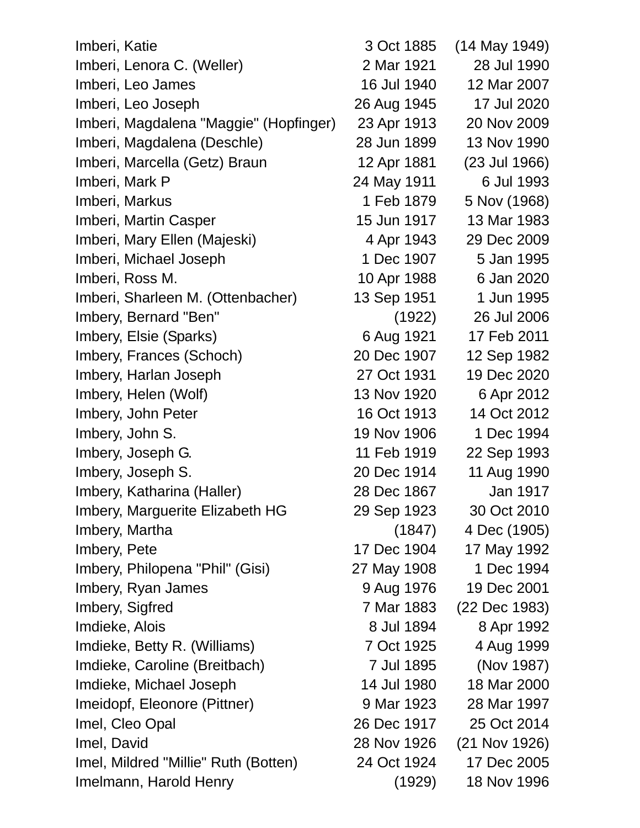| Imberi, Katie                          | 3 Oct 1885  | (14 May 1949) |
|----------------------------------------|-------------|---------------|
| Imberi, Lenora C. (Weller)             | 2 Mar 1921  | 28 Jul 1990   |
| Imberi, Leo James                      | 16 Jul 1940 | 12 Mar 2007   |
| Imberi, Leo Joseph                     | 26 Aug 1945 | 17 Jul 2020   |
| Imberi, Magdalena "Maggie" (Hopfinger) | 23 Apr 1913 | 20 Nov 2009   |
| Imberi, Magdalena (Deschle)            | 28 Jun 1899 | 13 Nov 1990   |
| Imberi, Marcella (Getz) Braun          | 12 Apr 1881 | (23 Jul 1966) |
| Imberi, Mark P                         | 24 May 1911 | 6 Jul 1993    |
| Imberi, Markus                         | 1 Feb 1879  | 5 Nov (1968)  |
| Imberi, Martin Casper                  | 15 Jun 1917 | 13 Mar 1983   |
| Imberi, Mary Ellen (Majeski)           | 4 Apr 1943  | 29 Dec 2009   |
| Imberi, Michael Joseph                 | 1 Dec 1907  | 5 Jan 1995    |
| Imberi, Ross M.                        | 10 Apr 1988 | 6 Jan 2020    |
| Imberi, Sharleen M. (Ottenbacher)      | 13 Sep 1951 | 1 Jun 1995    |
| Imbery, Bernard "Ben"                  | (1922)      | 26 Jul 2006   |
| Imbery, Elsie (Sparks)                 | 6 Aug 1921  | 17 Feb 2011   |
| Imbery, Frances (Schoch)               | 20 Dec 1907 | 12 Sep 1982   |
| Imbery, Harlan Joseph                  | 27 Oct 1931 | 19 Dec 2020   |
| Imbery, Helen (Wolf)                   | 13 Nov 1920 | 6 Apr 2012    |
| Imbery, John Peter                     | 16 Oct 1913 | 14 Oct 2012   |
| Imbery, John S.                        | 19 Nov 1906 | 1 Dec 1994    |
| Imbery, Joseph G.                      | 11 Feb 1919 | 22 Sep 1993   |
| Imbery, Joseph S.                      | 20 Dec 1914 | 11 Aug 1990   |
| Imbery, Katharina (Haller)             | 28 Dec 1867 | Jan 1917      |
| Imbery, Marguerite Elizabeth HG        | 29 Sep 1923 | 30 Oct 2010   |
| Imbery, Martha                         | (1847)      | 4 Dec (1905)  |
| Imbery, Pete                           | 17 Dec 1904 | 17 May 1992   |
| Imbery, Philopena "Phil" (Gisi)        | 27 May 1908 | 1 Dec 1994    |
| Imbery, Ryan James                     | 9 Aug 1976  | 19 Dec 2001   |
| Imbery, Sigfred                        | 7 Mar 1883  | (22 Dec 1983) |
| Imdieke, Alois                         | 8 Jul 1894  | 8 Apr 1992    |
| Imdieke, Betty R. (Williams)           | 7 Oct 1925  | 4 Aug 1999    |
| Imdieke, Caroline (Breitbach)          | 7 Jul 1895  | (Nov 1987)    |
| Imdieke, Michael Joseph                | 14 Jul 1980 | 18 Mar 2000   |
| Imeidopf, Eleonore (Pittner)           | 9 Mar 1923  | 28 Mar 1997   |
| Imel, Cleo Opal                        | 26 Dec 1917 | 25 Oct 2014   |
| Imel, David                            | 28 Nov 1926 | (21 Nov 1926) |
| Imel, Mildred "Millie" Ruth (Botten)   | 24 Oct 1924 | 17 Dec 2005   |
| Imelmann, Harold Henry                 | (1929)      | 18 Nov 1996   |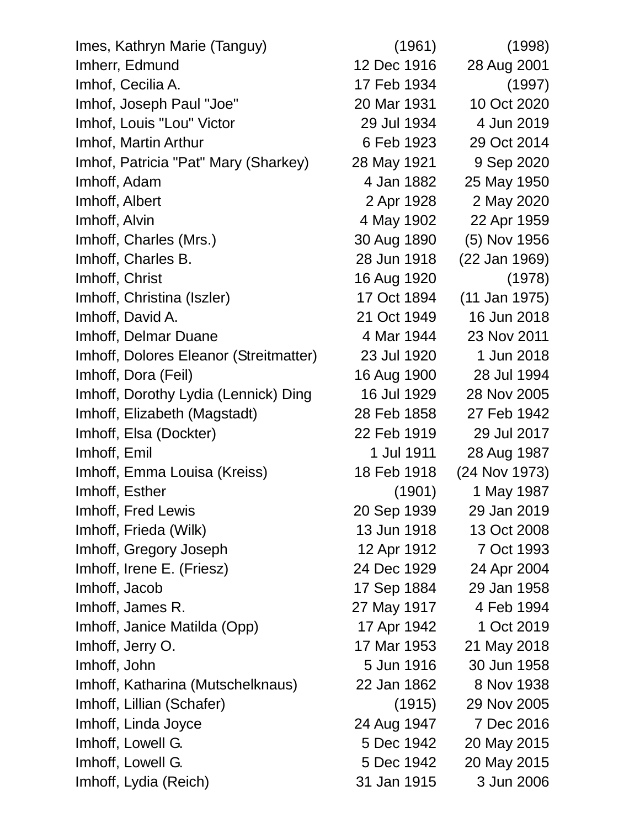| Imes, Kathryn Marie (Tanguy)           | (1961)      | (1998)        |
|----------------------------------------|-------------|---------------|
| Imherr, Edmund                         | 12 Dec 1916 | 28 Aug 2001   |
| Imhof, Cecilia A.                      | 17 Feb 1934 | (1997)        |
| Imhof, Joseph Paul "Joe"               | 20 Mar 1931 | 10 Oct 2020   |
| Imhof, Louis "Lou" Victor              | 29 Jul 1934 | 4 Jun 2019    |
| Imhof, Martin Arthur                   | 6 Feb 1923  | 29 Oct 2014   |
| Imhof, Patricia "Pat" Mary (Sharkey)   | 28 May 1921 | 9 Sep 2020    |
| Imhoff, Adam                           | 4 Jan 1882  | 25 May 1950   |
| Imhoff, Albert                         | 2 Apr 1928  | 2 May 2020    |
| Imhoff, Alvin                          | 4 May 1902  | 22 Apr 1959   |
| Imhoff, Charles (Mrs.)                 | 30 Aug 1890 | (5) Nov 1956  |
| Imhoff, Charles B.                     | 28 Jun 1918 | (22 Jan 1969) |
| Imhoff, Christ                         | 16 Aug 1920 | (1978)        |
| Imhoff, Christina (Iszler)             | 17 Oct 1894 | (11 Jan 1975) |
| Imhoff, David A.                       | 21 Oct 1949 | 16 Jun 2018   |
| Imhoff, Delmar Duane                   | 4 Mar 1944  | 23 Nov 2011   |
| Imhoff, Dolores Eleanor (Streitmatter) | 23 Jul 1920 | 1 Jun 2018    |
| Imhoff, Dora (Feil)                    | 16 Aug 1900 | 28 Jul 1994   |
| Imhoff, Dorothy Lydia (Lennick) Ding   | 16 Jul 1929 | 28 Nov 2005   |
| Imhoff, Elizabeth (Magstadt)           | 28 Feb 1858 | 27 Feb 1942   |
| Imhoff, Elsa (Dockter)                 | 22 Feb 1919 | 29 Jul 2017   |
| Imhoff, Emil                           | 1 Jul 1911  | 28 Aug 1987   |
| Imhoff, Emma Louisa (Kreiss)           | 18 Feb 1918 | (24 Nov 1973) |
| Imhoff, Esther                         | (1901)      | 1 May 1987    |
| Imhoff, Fred Lewis                     | 20 Sep 1939 | 29 Jan 2019   |
| Imhoff, Frieda (Wilk)                  | 13 Jun 1918 | 13 Oct 2008   |
| Imhoff, Gregory Joseph                 | 12 Apr 1912 | 7 Oct 1993    |
| Imhoff, Irene E. (Friesz)              | 24 Dec 1929 | 24 Apr 2004   |
| Imhoff, Jacob                          | 17 Sep 1884 | 29 Jan 1958   |
| Imhoff, James R.                       | 27 May 1917 | 4 Feb 1994    |
| Imhoff, Janice Matilda (Opp)           | 17 Apr 1942 | 1 Oct 2019    |
| Imhoff, Jerry O.                       | 17 Mar 1953 | 21 May 2018   |
| Imhoff, John                           | 5 Jun 1916  | 30 Jun 1958   |
| Imhoff, Katharina (Mutschelknaus)      | 22 Jan 1862 | 8 Nov 1938    |
| Imhoff, Lillian (Schafer)              | (1915)      | 29 Nov 2005   |
| Imhoff, Linda Joyce                    | 24 Aug 1947 | 7 Dec 2016    |
| Imhoff, Lowell G.                      | 5 Dec 1942  | 20 May 2015   |
| Imhoff, Lowell G.                      | 5 Dec 1942  | 20 May 2015   |
| Imhoff, Lydia (Reich)                  | 31 Jan 1915 | 3 Jun 2006    |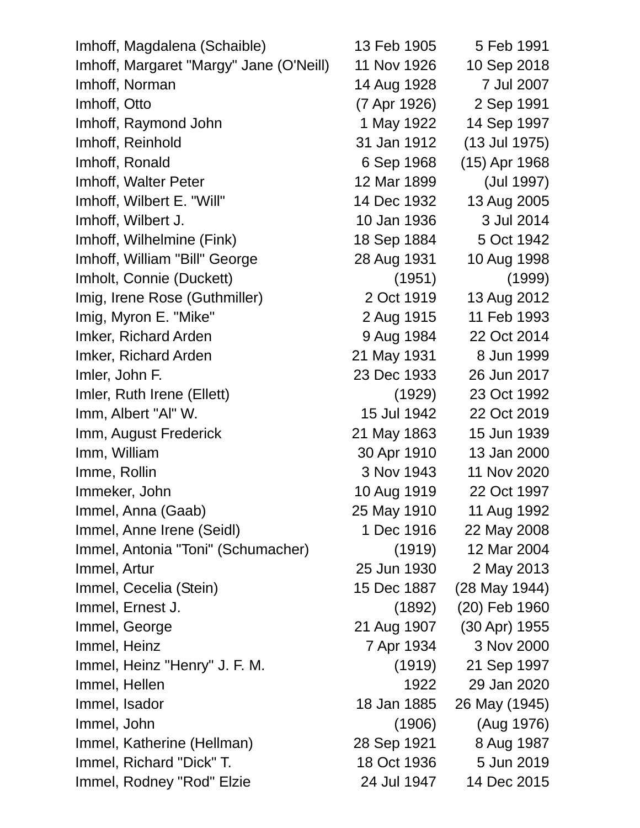| Imhoff, Magdalena (Schaible)            | 13 Feb 1905  | 5 Feb 1991    |
|-----------------------------------------|--------------|---------------|
| Imhoff, Margaret "Margy" Jane (O'Neill) | 11 Nov 1926  | 10 Sep 2018   |
| Imhoff, Norman                          | 14 Aug 1928  | 7 Jul 2007    |
| Imhoff, Otto                            | (7 Apr 1926) | 2 Sep 1991    |
| Imhoff, Raymond John                    | 1 May 1922   | 14 Sep 1997   |
| Imhoff, Reinhold                        | 31 Jan 1912  | (13 Jul 1975) |
| Imhoff, Ronald                          | 6 Sep 1968   | (15) Apr 1968 |
| Imhoff, Walter Peter                    | 12 Mar 1899  | (Jul 1997)    |
| Imhoff, Wilbert E. "Will"               | 14 Dec 1932  | 13 Aug 2005   |
| Imhoff, Wilbert J.                      | 10 Jan 1936  | 3 Jul 2014    |
| Imhoff, Wilhelmine (Fink)               | 18 Sep 1884  | 5 Oct 1942    |
| Imhoff, William "Bill" George           | 28 Aug 1931  | 10 Aug 1998   |
| Imholt, Connie (Duckett)                | (1951)       | (1999)        |
| Imig, Irene Rose (Guthmiller)           | 2 Oct 1919   | 13 Aug 2012   |
| Imig, Myron E. "Mike"                   | 2 Aug 1915   | 11 Feb 1993   |
| Imker, Richard Arden                    | 9 Aug 1984   | 22 Oct 2014   |
| Imker, Richard Arden                    | 21 May 1931  | 8 Jun 1999    |
| Imler, John F.                          | 23 Dec 1933  | 26 Jun 2017   |
| Imler, Ruth Irene (Ellett)              | (1929)       | 23 Oct 1992   |
| Imm, Albert "Al" W.                     | 15 Jul 1942  | 22 Oct 2019   |
| Imm, August Frederick                   | 21 May 1863  | 15 Jun 1939   |
| Imm, William                            | 30 Apr 1910  | 13 Jan 2000   |
| Imme, Rollin                            | 3 Nov 1943   | 11 Nov 2020   |
| Immeker, John                           | 10 Aug 1919  | 22 Oct 1997   |
| Immel, Anna (Gaab)                      | 25 May 1910  | 11 Aug 1992   |
| Immel, Anne Irene (Seidl)               | 1 Dec 1916   | 22 May 2008   |
| Immel, Antonia "Toni" (Schumacher)      | (1919)       | 12 Mar 2004   |
| Immel, Artur                            | 25 Jun 1930  | 2 May 2013    |
| Immel, Cecelia (Stein)                  | 15 Dec 1887  | (28 May 1944) |
| Immel, Ernest J.                        | (1892)       | (20) Feb 1960 |
| Immel, George                           | 21 Aug 1907  | (30 Apr) 1955 |
| Immel, Heinz                            | 7 Apr 1934   | 3 Nov 2000    |
| Immel, Heinz "Henry" J. F. M.           | (1919)       | 21 Sep 1997   |
| Immel, Hellen                           | 1922         | 29 Jan 2020   |
| Immel, Isador                           | 18 Jan 1885  | 26 May (1945) |
| Immel, John                             | (1906)       | (Aug 1976)    |
| Immel, Katherine (Hellman)              | 28 Sep 1921  | 8 Aug 1987    |
| Immel, Richard "Dick" T.                | 18 Oct 1936  | 5 Jun 2019    |
| Immel, Rodney "Rod" Elzie               | 24 Jul 1947  | 14 Dec 2015   |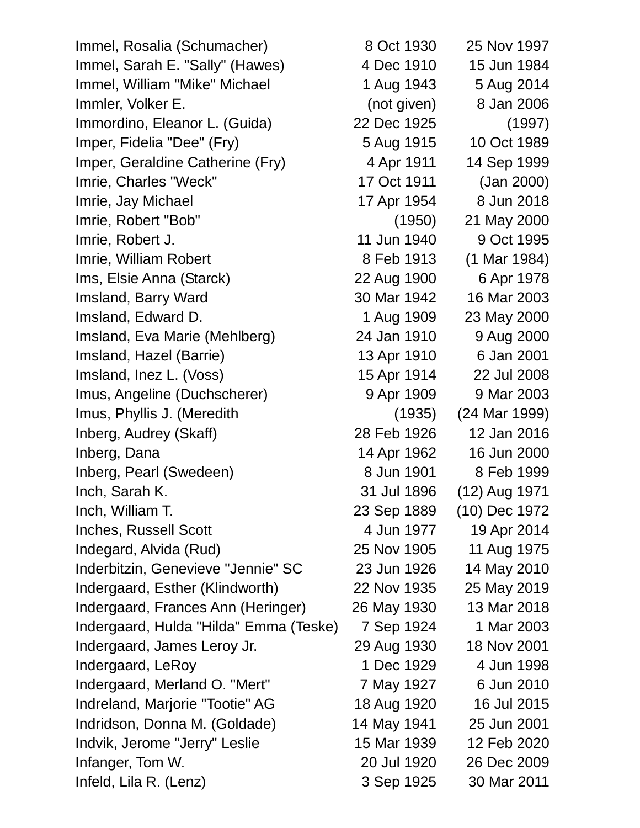Immel, Rosalia (Schumacher) 8 Oct 1930 25 Nov 1997 Immel, Sarah E. "Sally" (Hawes) 4 Dec 1910 15 Jun 1984 Immel, William "Mike" Michael 1 Aug 1943 5 Aug 2014 Immler, Volker E. (not given) 8 Jan 2006 Immordino, Eleanor L. (Guida) 22 Dec 1925 (1997) Imper, Fidelia "Dee" (Fry) 5 Aug 1915 10 Oct 1989 Imper, Geraldine Catherine (Fry) 4 Apr 1911 14 Sep 1999 Imrie, Charles "Weck" 17 Oct 1911 (Jan 2000) Imrie, Jay Michael 17 Apr 1954 8 Jun 2018 Imrie, Robert "Bob" (1950) 21 May 2000 Imrie, Robert J. 11 Jun 1940 9 Oct 1995 Imrie, William Robert 8 Feb 1913 (1 Mar 1984) Ims, Elsie Anna (Starck) 22 Aug 1900 6 Apr 1978 Imsland, Barry Ward 30 Mar 1942 16 Mar 2003 Imsland, Edward D. 1 Aug 1909 23 May 2000 Imsland, Eva Marie (Mehlberg) 24 Jan 1910 9 Aug 2000 Imsland, Hazel (Barrie) 13 Apr 1910 6 Jan 2001 Imsland, Inez L. (Voss) 15 Apr 1914 22 Jul 2008 Imus, Angeline (Duchscherer) 9 Apr 1909 9 Mar 2003 Imus, Phyllis J. (Meredith (1935) (24 Mar 1999) Inberg, Audrey (Skaff) 28 Feb 1926 12 Jan 2016 Inberg, Dana 14 Apr 1962 16 Jun 2000 Inberg, Pearl (Swedeen) 8 Jun 1901 8 Feb 1999 Inch, Sarah K. 31 Jul 1896 (12) Aug 1971 Inch, William T. 23 Sep 1889 (10) Dec 1972 Inches, Russell Scott 4 Jun 1977 19 Apr 2014 Indegard, Alvida (Rud) 25 Nov 1905 11 Aug 1975 Inderbitzin, Genevieve "Jennie" SC 23 Jun 1926 14 May 2010 Indergaard, Esther (Klindworth) 22 Nov 1935 25 May 2019 Indergaard, Frances Ann (Heringer) 26 May 1930 13 Mar 2018 Indergaard, Hulda "Hilda" Emma (Teske) 7 Sep 1924 1 Mar 2003 Indergaard, James Leroy Jr. 29 Aug 1930 18 Nov 2001 Indergaard, LeRoy 1 Dec 1929 4 Jun 1998 Indergaard, Merland O. "Mert" 7 May 1927 6 Jun 2010 Indreland, Marjorie "Tootie" AG 18 Aug 1920 16 Jul 2015 Indridson, Donna M. (Goldade) 14 May 1941 25 Jun 2001 Indvik, Jerome "Jerry" Leslie 15 Mar 1939 12 Feb 2020 Infanger, Tom W. 20 Jul 1920 26 Dec 2009 Infeld, Lila R. (Lenz) 3 Sep 1925 30 Mar 2011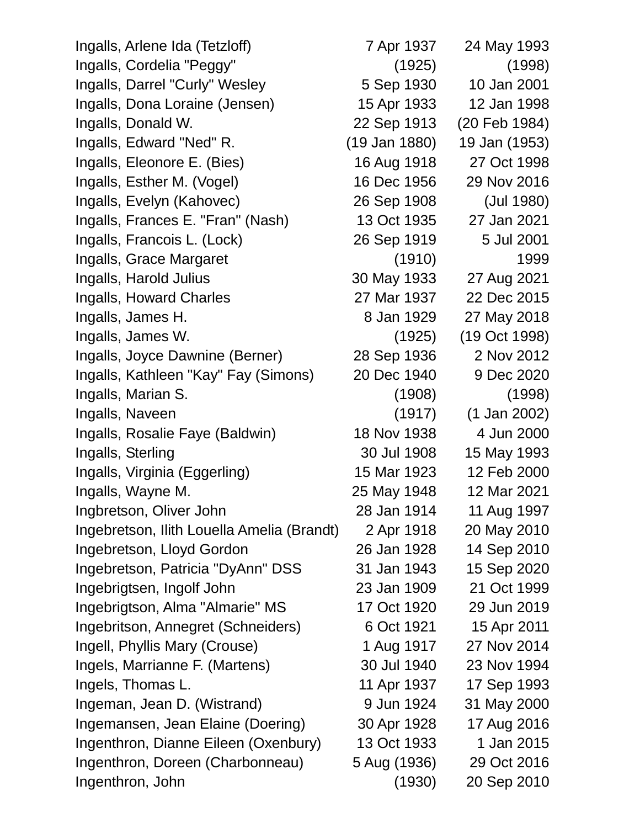Ingalls, Arlene Ida (Tetzloff) 7 Apr 1937 24 May 1993 Ingalls, Cordelia "Peggy" (1925) (1998) Ingalls, Darrel "Curly" Wesley 5 Sep 1930 10 Jan 2001 Ingalls, Dona Loraine (Jensen) 15 Apr 1933 12 Jan 1998 Ingalls, Donald W. 22 Sep 1913 (20 Feb 1984) Ingalls, Edward "Ned" R. (19 Jan 1880) 19 Jan (1953) Ingalls, Eleonore E. (Bies) 16 Aug 1918 27 Oct 1998 Ingalls, Esther M. (Vogel) 16 Dec 1956 29 Nov 2016 Ingalls, Evelyn (Kahovec) 26 Sep 1908 (Jul 1980) Ingalls, Frances E. "Fran" (Nash) 13 Oct 1935 27 Jan 2021 Ingalls, Francois L. (Lock) 26 Sep 1919 5 Jul 2001 Ingalls, Grace Margaret (1910) 1999 Ingalls, Harold Julius 30 May 1933 27 Aug 2021 Ingalls, Howard Charles 27 Mar 1937 22 Dec 2015 Ingalls, James H. 8 Jan 1929 27 May 2018 Ingalls, James W. (1925) (19 Oct 1998) Ingalls, Joyce Dawnine (Berner) 28 Sep 1936 2 Nov 2012 Ingalls, Kathleen "Kay" Fay (Simons) 20 Dec 1940 9 Dec 2020 Ingalls, Marian S. (1908) (1998) Ingalls, Naveen (1917) (1 Jan 2002) Ingalls, Rosalie Faye (Baldwin) 18 Nov 1938 4 Jun 2000 Ingalls, Sterling 30 Jul 1908 15 May 1993 Ingalls, Virginia (Eggerling) 15 Mar 1923 12 Feb 2000 Ingalls, Wayne M. 25 May 1948 12 Mar 2021 Ingbretson, Oliver John 28 Jan 1914 11 Aug 1997 Ingebretson, Ilith Louella Amelia (Brandt) 2 Apr 1918 20 May 2010 Ingebretson, Lloyd Gordon 26 Jan 1928 14 Sep 2010 Ingebretson, Patricia "DyAnn" DSS 31 Jan 1943 15 Sep 2020 Ingebrigtsen, Ingolf John 23 Jan 1909 21 Oct 1999 Ingebrigtson, Alma "Almarie" MS 17 Oct 1920 29 Jun 2019 Ingebritson, Annegret (Schneiders) 6 Oct 1921 15 Apr 2011 Ingell, Phyllis Mary (Crouse) 1 Aug 1917 27 Nov 2014 Ingels, Marrianne F. (Martens) 30 Jul 1940 23 Nov 1994 Ingels, Thomas L. 11 Apr 1937 17 Sep 1993 Ingeman, Jean D. (Wistrand) 9 Jun 1924 31 May 2000 Ingemansen, Jean Elaine (Doering) 30 Apr 1928 17 Aug 2016 Ingenthron, Dianne Eileen (Oxenbury) 13 Oct 1933 1 Jan 2015 Ingenthron, Doreen (Charbonneau) 5 Aug (1936) 29 Oct 2016 Ingenthron, John (1930) 20 Sep 2010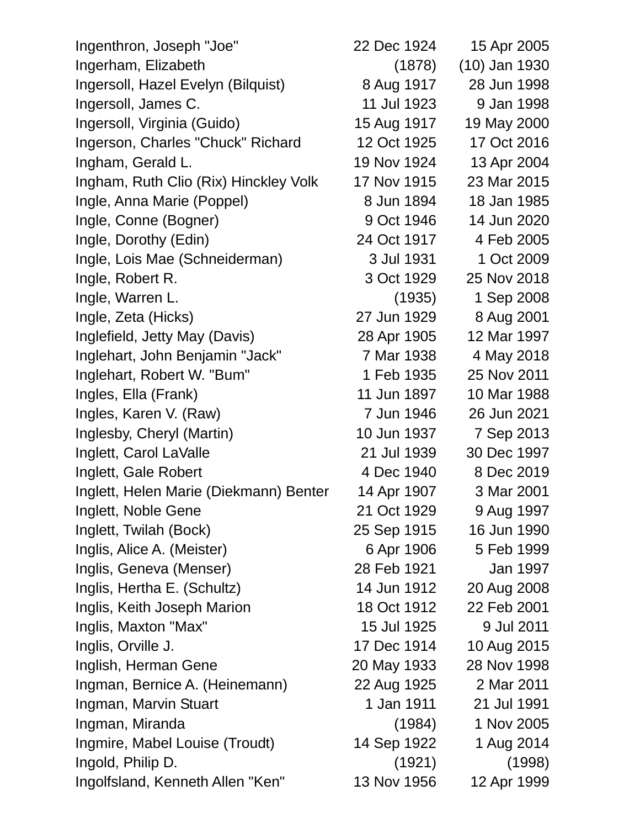| Ingenthron, Joseph "Joe"               | 22 Dec 1924 | 15 Apr 2005     |
|----------------------------------------|-------------|-----------------|
| Ingerham, Elizabeth                    | (1878)      | $(10)$ Jan 1930 |
| Ingersoll, Hazel Evelyn (Bilquist)     | 8 Aug 1917  | 28 Jun 1998     |
| Ingersoll, James C.                    | 11 Jul 1923 | 9 Jan 1998      |
| Ingersoll, Virginia (Guido)            | 15 Aug 1917 | 19 May 2000     |
| Ingerson, Charles "Chuck" Richard      | 12 Oct 1925 | 17 Oct 2016     |
| Ingham, Gerald L.                      | 19 Nov 1924 | 13 Apr 2004     |
| Ingham, Ruth Clio (Rix) Hinckley Volk  | 17 Nov 1915 | 23 Mar 2015     |
| Ingle, Anna Marie (Poppel)             | 8 Jun 1894  | 18 Jan 1985     |
| Ingle, Conne (Bogner)                  | 9 Oct 1946  | 14 Jun 2020     |
| Ingle, Dorothy (Edin)                  | 24 Oct 1917 | 4 Feb 2005      |
| Ingle, Lois Mae (Schneiderman)         | 3 Jul 1931  | 1 Oct 2009      |
| Ingle, Robert R.                       | 3 Oct 1929  | 25 Nov 2018     |
| Ingle, Warren L.                       | (1935)      | 1 Sep 2008      |
| Ingle, Zeta (Hicks)                    | 27 Jun 1929 | 8 Aug 2001      |
| Inglefield, Jetty May (Davis)          | 28 Apr 1905 | 12 Mar 1997     |
| Inglehart, John Benjamin "Jack"        | 7 Mar 1938  | 4 May 2018      |
| Inglehart, Robert W. "Bum"             | 1 Feb 1935  | 25 Nov 2011     |
| Ingles, Ella (Frank)                   | 11 Jun 1897 | 10 Mar 1988     |
| Ingles, Karen V. (Raw)                 | 7 Jun 1946  | 26 Jun 2021     |
| Inglesby, Cheryl (Martin)              | 10 Jun 1937 | 7 Sep 2013      |
| Inglett, Carol LaValle                 | 21 Jul 1939 | 30 Dec 1997     |
| Inglett, Gale Robert                   | 4 Dec 1940  | 8 Dec 2019      |
| Inglett, Helen Marie (Diekmann) Benter | 14 Apr 1907 | 3 Mar 2001      |
| Inglett, Noble Gene                    | 21 Oct 1929 | 9 Aug 1997      |
| Inglett, Twilah (Bock)                 | 25 Sep 1915 | 16 Jun 1990     |
| Inglis, Alice A. (Meister)             | 6 Apr 1906  | 5 Feb 1999      |
| Inglis, Geneva (Menser)                | 28 Feb 1921 | Jan 1997        |
| Inglis, Hertha E. (Schultz)            | 14 Jun 1912 | 20 Aug 2008     |
| Inglis, Keith Joseph Marion            | 18 Oct 1912 | 22 Feb 2001     |
| Inglis, Maxton "Max"                   | 15 Jul 1925 | 9 Jul 2011      |
| Inglis, Orville J.                     | 17 Dec 1914 | 10 Aug 2015     |
| Inglish, Herman Gene                   | 20 May 1933 | 28 Nov 1998     |
| Ingman, Bernice A. (Heinemann)         | 22 Aug 1925 | 2 Mar 2011      |
| Ingman, Marvin Stuart                  | 1 Jan 1911  | 21 Jul 1991     |
| Ingman, Miranda                        | (1984)      | 1 Nov 2005      |
| Ingmire, Mabel Louise (Troudt)         | 14 Sep 1922 | 1 Aug 2014      |
| Ingold, Philip D.                      | (1921)      | (1998)          |
| Ingolfsland, Kenneth Allen "Ken"       | 13 Nov 1956 | 12 Apr 1999     |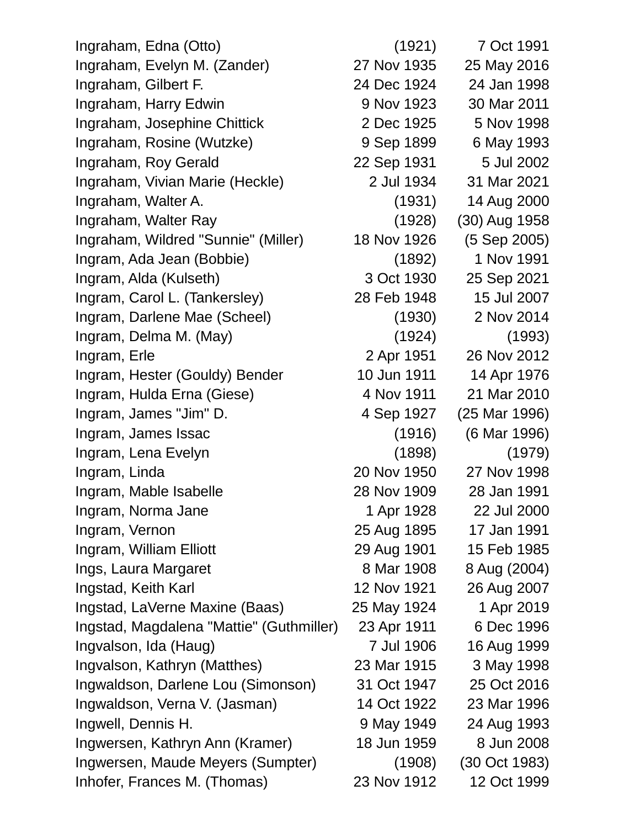Ingraham, Edna (Otto) (1921) 7 Oct 1991 Ingraham, Evelyn M. (Zander) 27 Nov 1935 25 May 2016 Ingraham, Gilbert F. 24 Dec 1924 24 Jan 1998 Ingraham, Harry Edwin 9 Nov 1923 30 Mar 2011 Ingraham, Josephine Chittick 2 Dec 1925 5 Nov 1998 Ingraham, Rosine (Wutzke) 9 Sep 1899 6 May 1993 Ingraham, Roy Gerald 22 Sep 1931 5 Jul 2002 Ingraham, Vivian Marie (Heckle) 2 Jul 1934 31 Mar 2021 Ingraham, Walter A. (1931) 14 Aug 2000 Ingraham, Walter Ray (1928) (30) Aug 1958 Ingraham, Wildred "Sunnie" (Miller) 18 Nov 1926 (5 Sep 2005) Ingram, Ada Jean (Bobbie) (1892) 1 Nov 1991 Ingram, Alda (Kulseth) 3 Oct 1930 25 Sep 2021 Ingram, Carol L. (Tankersley) 28 Feb 1948 15 Jul 2007 Ingram, Darlene Mae (Scheel) (1930) 2 Nov 2014 Ingram, Delma M. (May) (1924) (1993) Ingram, Erle 2 Apr 1951 26 Nov 2012 Ingram, Hester (Gouldy) Bender 10 Jun 1911 14 Apr 1976 Ingram, Hulda Erna (Giese) 4 Nov 1911 21 Mar 2010 Ingram, James "Jim" D. 4 Sep 1927 (25 Mar 1996) Ingram, James Issac (1916) (6 Mar 1996) Ingram, Lena Evelyn (1898) (1979) Ingram, Linda 20 Nov 1950 27 Nov 1998 Ingram, Mable Isabelle 28 Nov 1909 28 Jan 1991 Ingram, Norma Jane 1 Apr 1928 22 Jul 2000 Ingram, Vernon 25 Aug 1895 17 Jan 1991 Ingram, William Elliott 29 Aug 1901 15 Feb 1985 Ings, Laura Margaret 8 Mar 1908 8 Aug (2004) Ingstad, Keith Karl 12 Nov 1921 26 Aug 2007 Ingstad, LaVerne Maxine (Baas) 25 May 1924 1 Apr 2019 Ingstad, Magdalena "Mattie" (Guthmiller) 23 Apr 1911 6 Dec 1996 Ingvalson, Ida (Haug) 7 Jul 1906 16 Aug 1999 Ingvalson, Kathryn (Matthes) 23 Mar 1915 3 May 1998 Ingwaldson, Darlene Lou (Simonson) 31 Oct 1947 25 Oct 2016 Ingwaldson, Verna V. (Jasman) 14 Oct 1922 23 Mar 1996 Ingwell, Dennis H. 9 May 1949 24 Aug 1993 Ingwersen, Kathryn Ann (Kramer) 18 Jun 1959 8 Jun 2008 Ingwersen, Maude Meyers (Sumpter) (1908) (30 Oct 1983) Inhofer, Frances M. (Thomas) 23 Nov 1912 12 Oct 1999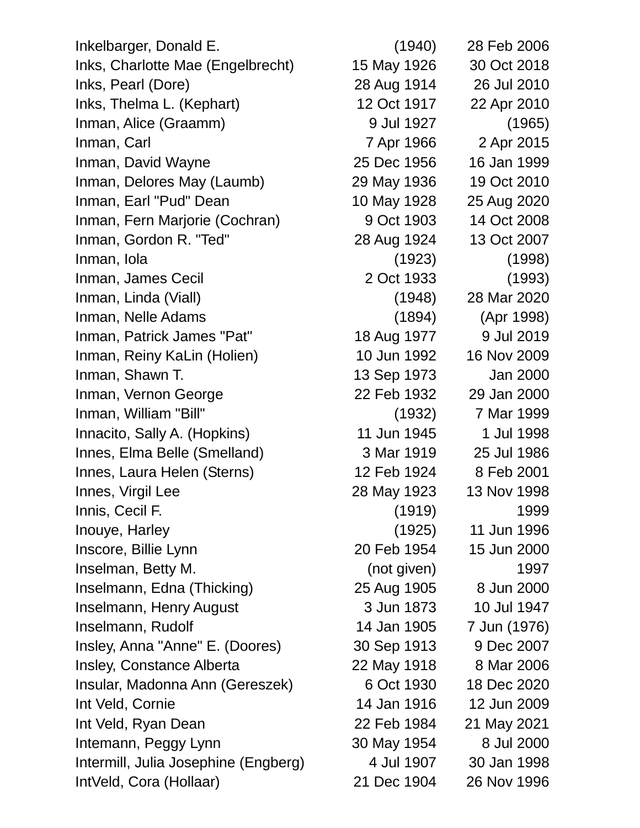Inkelbarger, Donald E. (1940) 28 Feb 2006 Inks, Charlotte Mae (Engelbrecht) 15 May 1926 30 Oct 2018 Inks, Pearl (Dore) 28 Aug 1914 26 Jul 2010 Inks, Thelma L. (Kephart) 12 Oct 1917 22 Apr 2010 Inman, Alice (Graamm) 9 Jul 1927 (1965) Inman, Carl 7 Apr 1966 2 Apr 2015 Inman, David Wayne 25 Dec 1956 16 Jan 1999 Inman, Delores May (Laumb) 29 May 1936 19 Oct 2010 Inman, Earl "Pud" Dean 10 May 1928 25 Aug 2020 Inman, Fern Marjorie (Cochran) 9 Oct 1903 14 Oct 2008 Inman, Gordon R. "Ted" 28 Aug 1924 13 Oct 2007 Inman, Iola (1923) (1998) Inman, James Cecil 2 Oct 1933 (1993) Inman, Linda (Viall) (1948) 28 Mar 2020 Inman, Nelle Adams (1894) (Apr 1998) Inman, Patrick James "Pat" 18 Aug 1977 9 Jul 2019 Inman, Reiny KaLin (Holien) 10 Jun 1992 16 Nov 2009 Inman, Shawn T. 13 Sep 1973 Jan 2000 Inman, Vernon George 22 Feb 1932 29 Jan 2000 Inman, William "Bill" (1932) 7 Mar 1999 Innacito, Sally A. (Hopkins) 11 Jun 1945 1 Jul 1998 Innes, Elma Belle (Smelland) 3 Mar 1919 25 Jul 1986 Innes, Laura Helen (Sterns) 12 Feb 1924 8 Feb 2001 Innes, Virgil Lee 28 May 1923 13 Nov 1998 Innis, Cecil F. (1919) 1999 Inouye, Harley (1925) 11 Jun 1996 Inscore, Billie Lynn 2000 20 Feb 1954 15 Jun 2000 Inselman, Betty M. (not given) 1997 Inselmann, Edna (Thicking) 25 Aug 1905 8 Jun 2000 Inselmann, Henry August 3 Jun 1873 10 Jul 1947 Inselmann, Rudolf 14 Jan 1905 7 Jun (1976) Insley, Anna "Anne" E. (Doores) 30 Sep 1913 9 Dec 2007 Insley, Constance Alberta 22 May 1918 8 Mar 2006 Insular, Madonna Ann (Gereszek) 6 Oct 1930 18 Dec 2020 Int Veld, Cornie 14 Jan 1916 12 Jun 2009 Int Veld, Ryan Dean 22 Feb 1984 21 May 2021 Intemann, Peggy Lynn 30 May 1954 8 Jul 2000 Intermill, Julia Josephine (Engberg) 4 Jul 1907 30 Jan 1998 IntVeld, Cora (Hollaar) 21 Dec 1904 26 Nov 1996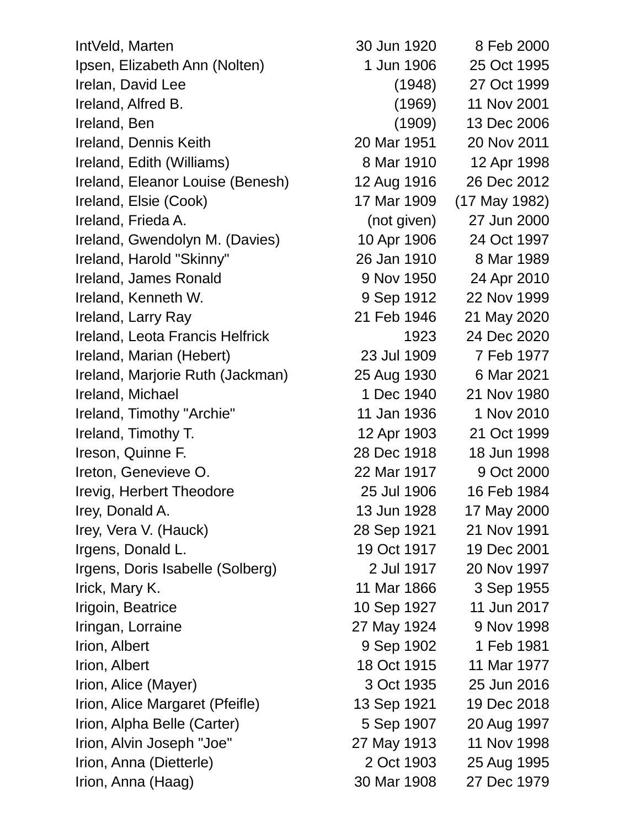IntVeld, Marten 30 Jun 1920 8 Feb 2000 Ipsen, Elizabeth Ann (Nolten) 1 Jun 1906 25 Oct 1995 Irelan, David Lee (1948) 27 Oct 1999 Ireland, Alfred B. (1969) 11 Nov 2001 Ireland, Ben (1909) 13 Dec 2006 Ireland, Dennis Keith 20 Mar 1951 20 Nov 2011 Ireland, Edith (Williams) 8 Mar 1910 12 Apr 1998 Ireland, Eleanor Louise (Benesh) 12 Aug 1916 26 Dec 2012 Ireland, Elsie (Cook) 17 Mar 1909 (17 May 1982) Ireland, Frieda A. (not given) 27 Jun 2000 Ireland, Gwendolyn M. (Davies) 10 Apr 1906 24 Oct 1997 Ireland, Harold "Skinny" 26 Jan 1910 8 Mar 1989 Ireland, James Ronald 9 Nov 1950 24 Apr 2010 Ireland, Kenneth W. 39 Sep 1912 22 Nov 1999 Ireland, Larry Ray 21 Feb 1946 21 May 2020 Ireland, Leota Francis Helfrick 1923 24 Dec 2020 Ireland, Marian (Hebert) 23 Jul 1909 7 Feb 1977 Ireland, Marjorie Ruth (Jackman) 25 Aug 1930 6 Mar 2021 **Ireland, Michael 1 Dec 1940 21 Nov 1980** Ireland, Timothy "Archie" 11 Jan 1936 1 Nov 2010 Ireland, Timothy T. 12 Apr 1903 21 Oct 1999 Ireson, Quinne F. 28 Dec 1918 18 Jun 1998 Ireton, Genevieve O. 22 Mar 1917 9 Oct 2000 Irevig, Herbert Theodore 25 Jul 1906 16 Feb 1984 Irey, Donald A. 13 Jun 1928 17 May 2000 Irey, Vera V. (Hauck) 28 Sep 1921 21 Nov 1991 Irgens, Donald L. 19 Oct 1917 19 Dec 2001 Irgens, Doris Isabelle (Solberg) 2 Jul 1917 20 Nov 1997 Irick, Mary K. 11 Mar 1866 3 Sep 1955 Irigoin, Beatrice 10 Sep 1927 11 Jun 2017 Iringan, Lorraine 27 May 1924 9 Nov 1998 Irion, Albert 9 Sep 1902 1 Feb 1981 **Irion, Albert 18 Oct 1915** 11 Mar 1977 Irion, Alice (Mayer) 3 Oct 1935 25 Jun 2016 Irion, Alice Margaret (Pfeifle) 13 Sep 1921 19 Dec 2018 Irion, Alpha Belle (Carter) 5 Sep 1907 20 Aug 1997 Irion, Alvin Joseph "Joe" 27 May 1913 11 Nov 1998 Irion, Anna (Dietterle) 2 Oct 1903 25 Aug 1995

Irion, Anna (Haag) 30 Mar 1908 27 Dec 1979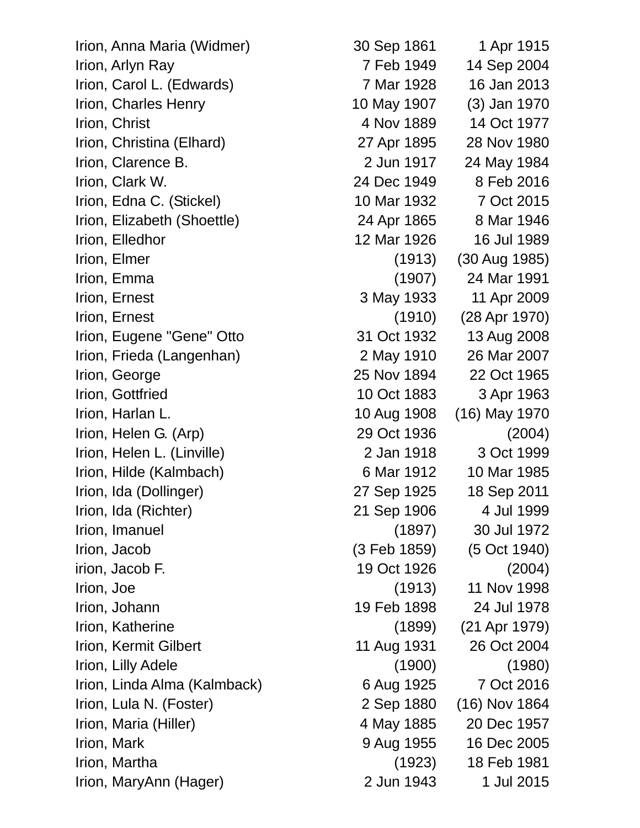Irion, Anna Maria (Widmer) 30 Sep 1861 1 Apr 1915

Irion, Arlyn Ray 14 Sep 2004 Irion, Carol L. (Edwards) 7 Mar 1928 16 Jan 2013 Irion, Charles Henry 10 May 1907 (3) Jan 1970 Irion, Christ **1977** 1989 14 Oct 1977 Irion, Christina (Elhard) 27 Apr 1895 28 Nov 1980 Irion, Clarence B. 2 Jun 1917 24 May 1984 Irion, Clark W. 24 Dec 1949 8 Feb 2016 Irion, Edna C. (Stickel) 10 Mar 1932 7 Oct 2015 Irion, Elizabeth (Shoettle) 24 Apr 1865 8 Mar 1946 Irion, Elledhor 12 Mar 1926 16 Jul 1989 Irion, Elmer (1913) (30 Aug 1985) Irion, Emma (1907) 24 Mar 1991 Irion, Ernest 3 May 1933 11 Apr 2009 Irion, Ernest (1910) (28 Apr 1970) Irion, Eugene "Gene" Otto 31 Oct 1932 13 Aug 2008 Irion, Frieda (Langenhan) 2 May 1910 26 Mar 2007 Irion, George 25 Nov 1894 22 Oct 1965 Irion, Gottfried 10 Oct 1883 3 Apr 1963 Irion, Harlan L. 10 Aug 1908 (16) May 1970 Irion, Helen G. (Arp) 29 Oct 1936 (2004) Irion, Helen L. (Linville) 2 Jan 1918 3 Oct 1999 Irion, Hilde (Kalmbach) 6 Mar 1912 10 Mar 1985 Irion, Ida (Dollinger) 27 Sep 1925 18 Sep 2011 Irion, Ida (Richter) 21 Sep 1906 4 Jul 1999 Irion, Imanuel (1897) 30 Jul 1972 Irion, Jacob (3 Feb 1859) (5 Oct 1940) irion, Jacob F. 19 Oct 1926 (2004) Irion, Joe (1913) 11 Nov 1998 Irion, Johann 19 Feb 1898 24 Jul 1978 Irion, Katherine (1899) (21 Apr 1979) Irion, Kermit Gilbert 11 Aug 1931 26 Oct 2004 Irion, Lilly Adele (1900) (1980) Irion, Linda Alma (Kalmback) 6 Aug 1925 7 Oct 2016 Irion, Lula N. (Foster) 2 Sep 1880 (16) Nov 1864 Irion, Maria (Hiller) 4 May 1885 20 Dec 1957 Irion, Mark 9 Aug 1955 16 Dec 2005 Irion, Martha (1923) 18 Feb 1981 Irion, MaryAnn (Hager) 2 Jun 1943 1 Jul 2015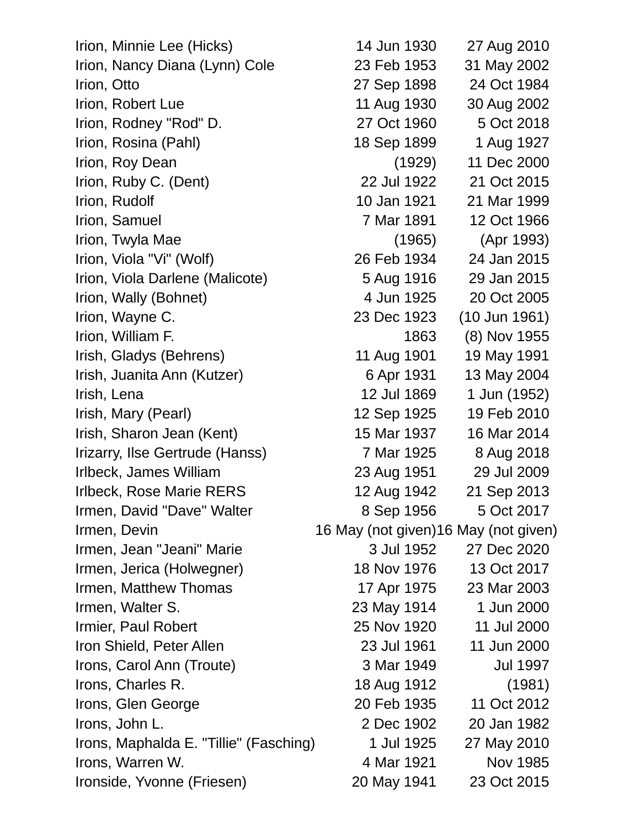Irion, Minnie Lee (Hicks) 14 Jun 1930 27 Aug 2010 Irion, Nancy Diana (Lynn) Cole 23 Feb 1953 31 May 2002 Irion, Otto 27 Sep 1898 24 Oct 1984 Irion, Robert Lue 11 Aug 1930 30 Aug 2002 Irion, Rodney "Rod" D. 27 Oct 1960 5 Oct 2018 Irion, Rosina (Pahl) 18 Sep 1899 1 Aug 1927 Irion, Roy Dean (1929) 11 Dec 2000 Irion, Ruby C. (Dent) 22 Jul 1922 21 Oct 2015 Irion, Rudolf 10 Jan 1921 21 Mar 1999 Irion, Samuel 7 Mar 1891 12 Oct 1966 Irion, Twyla Mae (1965) (Apr 1993) Irion, Viola "Vi" (Wolf) 26 Feb 1934 24 Jan 2015 Irion, Viola Darlene (Malicote) 5 Aug 1916 29 Jan 2015 Irion, Wally (Bohnet) 4 Jun 1925 20 Oct 2005 Irion, Wayne C. 23 Dec 1923 (10 Jun 1961) Irion, William F. 1863 (8) Nov 1955 Irish, Gladys (Behrens) 11 Aug 1901 19 May 1991 Irish, Juanita Ann (Kutzer) 6 Apr 1931 13 May 2004 Irish, Lena 12 Jul 1869 1 Jun (1952) Irish, Mary (Pearl) 12 Sep 1925 19 Feb 2010 Irish, Sharon Jean (Kent) 15 Mar 1937 16 Mar 2014 Irizarry, Ilse Gertrude (Hanss) 7 Mar 1925 8 Aug 2018 Irlbeck, James William 23 Aug 1951 29 Jul 2009 Irlbeck, Rose Marie RERS 12 Aug 1942 21 Sep 2013 Irmen, David "Dave" Walter 8 Sep 1956 5 Oct 2017 Irmen, Devin **Internal 16 May (not given)** 16 May (not given) Irmen, Jean "Jeani" Marie 3 Jul 1952 27 Dec 2020 Irmen, Jerica (Holwegner) 18 Nov 1976 13 Oct 2017 Irmen, Matthew Thomas 17 Apr 1975 23 Mar 2003 **Irmen, Walter S.** 23 May 1914 1 Jun 2000 Irmier, Paul Robert 25 Nov 1920 11 Jul 2000 Iron Shield, Peter Allen 23 Jul 1961 11 Jun 2000 Irons, Carol Ann (Troute) 3 Mar 1949 Jul 1997 Irons, Charles R. 18 Aug 1912 (1981) Irons, Glen George 20 Feb 1935 11 Oct 2012 Irons, John L. 2 Dec 1902 20 Jan 1982 Irons, Maphalda E. "Tillie" (Fasching) 1 Jul 1925 27 May 2010 Irons, Warren W. November 2012 1985 Ironside, Yvonne (Friesen) 20 May 1941 23 Oct 2015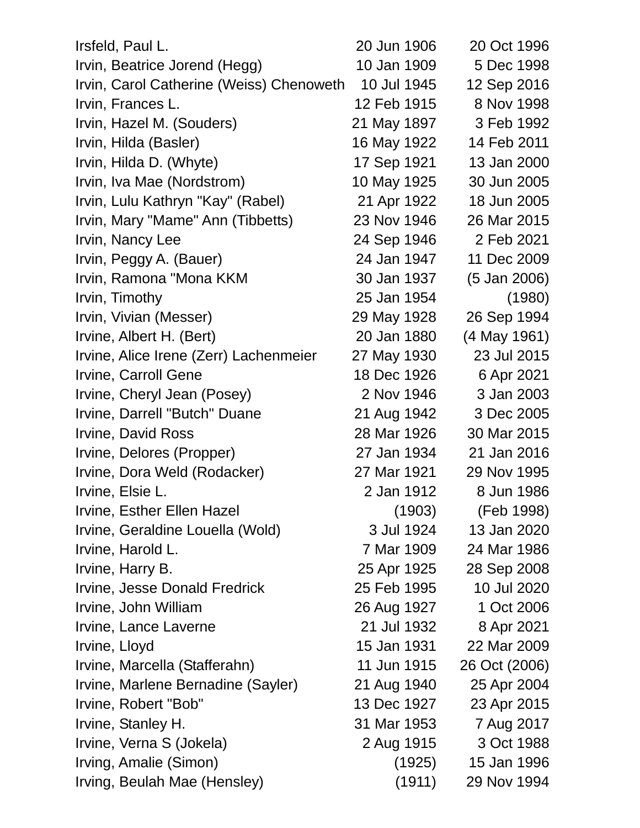| Irsfeld, Paul L.                         | 20 Jun 1906 | 20 Oct 1996   |
|------------------------------------------|-------------|---------------|
| Irvin, Beatrice Jorend (Hegg)            | 10 Jan 1909 | 5 Dec 1998    |
| Irvin, Carol Catherine (Weiss) Chenoweth | 10 Jul 1945 | 12 Sep 2016   |
| Irvin, Frances L.                        | 12 Feb 1915 | 8 Nov 1998    |
| Irvin, Hazel M. (Souders)                | 21 May 1897 | 3 Feb 1992    |
| Irvin, Hilda (Basler)                    | 16 May 1922 | 14 Feb 2011   |
| Irvin, Hilda D. (Whyte)                  | 17 Sep 1921 | 13 Jan 2000   |
| Irvin, Iva Mae (Nordstrom)               | 10 May 1925 | 30 Jun 2005   |
| Irvin, Lulu Kathryn "Kay" (Rabel)        | 21 Apr 1922 | 18 Jun 2005   |
| Irvin, Mary "Mame" Ann (Tibbetts)        | 23 Nov 1946 | 26 Mar 2015   |
| Irvin, Nancy Lee                         | 24 Sep 1946 | 2 Feb 2021    |
| Irvin, Peggy A. (Bauer)                  | 24 Jan 1947 | 11 Dec 2009   |
| Irvin, Ramona "Mona KKM                  | 30 Jan 1937 | (5 Jan 2006)  |
| Irvin, Timothy                           | 25 Jan 1954 | (1980)        |
| Irvin, Vivian (Messer)                   | 29 May 1928 | 26 Sep 1994   |
| Irvine, Albert H. (Bert)                 | 20 Jan 1880 | (4 May 1961)  |
| Irvine, Alice Irene (Zerr) Lachenmeier   | 27 May 1930 | 23 Jul 2015   |
| Irvine, Carroll Gene                     | 18 Dec 1926 | 6 Apr 2021    |
| Irvine, Cheryl Jean (Posey)              | 2 Nov 1946  | 3 Jan 2003    |
| Irvine, Darrell "Butch" Duane            | 21 Aug 1942 | 3 Dec 2005    |
| Irvine, David Ross                       | 28 Mar 1926 | 30 Mar 2015   |
| Irvine, Delores (Propper)                | 27 Jan 1934 | 21 Jan 2016   |
| Irvine, Dora Weld (Rodacker)             | 27 Mar 1921 | 29 Nov 1995   |
| Irvine, Elsie L.                         | 2 Jan 1912  | 8 Jun 1986    |
| Irvine, Esther Ellen Hazel               | (1903)      | (Feb 1998)    |
| Irvine, Geraldine Louella (Wold)         | 3 Jul 1924  | 13 Jan 2020   |
| Irvine, Harold L.                        | 7 Mar 1909  | 24 Mar 1986   |
| Irvine, Harry B.                         | 25 Apr 1925 | 28 Sep 2008   |
| <b>Irvine, Jesse Donald Fredrick</b>     | 25 Feb 1995 | 10 Jul 2020   |
| Irvine, John William                     | 26 Aug 1927 | 1 Oct 2006    |
| Irvine, Lance Laverne                    | 21 Jul 1932 | 8 Apr 2021    |
| Irvine, Lloyd                            | 15 Jan 1931 | 22 Mar 2009   |
| Irvine, Marcella (Stafferahn)            | 11 Jun 1915 | 26 Oct (2006) |
| Irvine, Marlene Bernadine (Sayler)       | 21 Aug 1940 | 25 Apr 2004   |
| Irvine, Robert "Bob"                     | 13 Dec 1927 | 23 Apr 2015   |
| Irvine, Stanley H.                       | 31 Mar 1953 | 7 Aug 2017    |
| Irvine, Verna S (Jokela)                 | 2 Aug 1915  | 3 Oct 1988    |
| Irving, Amalie (Simon)                   | (1925)      | 15 Jan 1996   |
| Irving, Beulah Mae (Hensley)             | (1911)      | 29 Nov 1994   |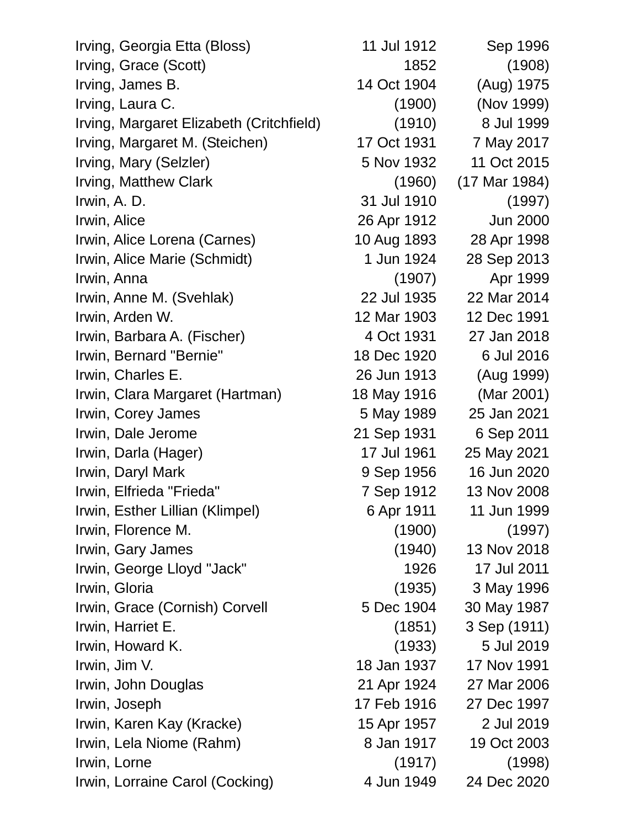| Irving, Georgia Etta (Bloss)             | 11 Jul 1912 | Sep 1996        |
|------------------------------------------|-------------|-----------------|
| Irving, Grace (Scott)                    | 1852        | (1908)          |
| Irving, James B.                         | 14 Oct 1904 | (Aug) 1975      |
| Irving, Laura C.                         | (1900)      | (Nov 1999)      |
| Irving, Margaret Elizabeth (Critchfield) | (1910)      | 8 Jul 1999      |
| Irving, Margaret M. (Steichen)           | 17 Oct 1931 | 7 May 2017      |
| Irving, Mary (Selzler)                   | 5 Nov 1932  | 11 Oct 2015     |
| Irving, Matthew Clark                    | (1960)      | (17 Mar 1984)   |
| Irwin, A. D.                             | 31 Jul 1910 | (1997)          |
| Irwin, Alice                             | 26 Apr 1912 | <b>Jun 2000</b> |
| Irwin, Alice Lorena (Carnes)             | 10 Aug 1893 | 28 Apr 1998     |
| Irwin, Alice Marie (Schmidt)             | 1 Jun 1924  | 28 Sep 2013     |
| Irwin, Anna                              | (1907)      | Apr 1999        |
| Irwin, Anne M. (Svehlak)                 | 22 Jul 1935 | 22 Mar 2014     |
| Irwin, Arden W.                          | 12 Mar 1903 | 12 Dec 1991     |
| Irwin, Barbara A. (Fischer)              | 4 Oct 1931  | 27 Jan 2018     |
| Irwin, Bernard "Bernie"                  | 18 Dec 1920 | 6 Jul 2016      |
| Irwin, Charles E.                        | 26 Jun 1913 | (Aug 1999)      |
| Irwin, Clara Margaret (Hartman)          | 18 May 1916 | (Mar 2001)      |
| Irwin, Corey James                       | 5 May 1989  | 25 Jan 2021     |
| Irwin, Dale Jerome                       | 21 Sep 1931 | 6 Sep 2011      |
| Irwin, Darla (Hager)                     | 17 Jul 1961 | 25 May 2021     |
| Irwin, Daryl Mark                        | 9 Sep 1956  | 16 Jun 2020     |
| Irwin, Elfrieda "Frieda"                 | 7 Sep 1912  | 13 Nov 2008     |
| Irwin, Esther Lillian (Klimpel)          | 6 Apr 1911  | 11 Jun 1999     |
| Irwin, Florence M.                       | (1900)      | (1997)          |
| Irwin, Gary James                        | (1940)      | 13 Nov 2018     |
| Irwin, George Lloyd "Jack"               | 1926        | 17 Jul 2011     |
| Irwin, Gloria                            | (1935)      | 3 May 1996      |
| Irwin, Grace (Cornish) Corvell           | 5 Dec 1904  | 30 May 1987     |
| Irwin, Harriet E.                        | (1851)      | 3 Sep (1911)    |
| Irwin, Howard K.                         | (1933)      | 5 Jul 2019      |
| Irwin, Jim V.                            | 18 Jan 1937 | 17 Nov 1991     |
| Irwin, John Douglas                      | 21 Apr 1924 | 27 Mar 2006     |
| Irwin, Joseph                            | 17 Feb 1916 | 27 Dec 1997     |
| Irwin, Karen Kay (Kracke)                | 15 Apr 1957 | 2 Jul 2019      |
| Irwin, Lela Niome (Rahm)                 | 8 Jan 1917  | 19 Oct 2003     |
| Irwin, Lorne                             | (1917)      | (1998)          |
| Irwin, Lorraine Carol (Cocking)          | 4 Jun 1949  | 24 Dec 2020     |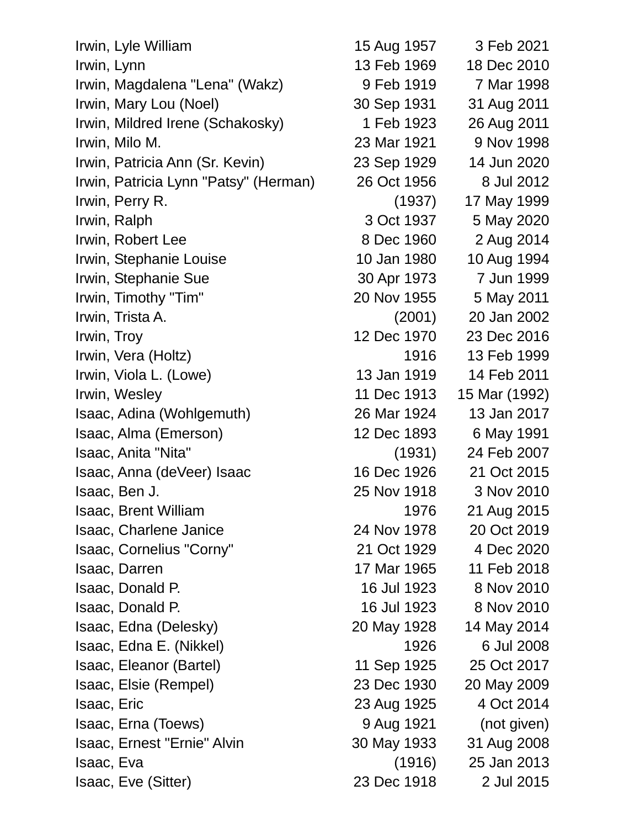Irwin, Lyle William 15 Aug 1957 3 Feb 2021 **Irwin, Lynn** 13 Feb 1969 18 Dec 2010 Irwin, Magdalena "Lena" (Wakz) 9 Feb 1919 7 Mar 1998 Irwin, Mary Lou (Noel) 30 Sep 1931 31 Aug 2011 Irwin, Mildred Irene (Schakosky) 1 Feb 1923 26 Aug 2011 Irwin, Milo M. 23 Mar 1921 9 Nov 1998 Irwin, Patricia Ann (Sr. Kevin) 23 Sep 1929 14 Jun 2020 Irwin, Patricia Lynn "Patsy" (Herman) 26 Oct 1956 8 Jul 2012 Irwin, Perry R. (1937) 17 May 1999 Irwin, Ralph 3 Oct 1937 5 May 2020 Irwin, Robert Lee 8 Dec 1960 2 Aug 2014 Irwin, Stephanie Louise 10 Jan 1980 10 Aug 1994 Irwin, Stephanie Sue 30 Apr 1973 7 Jun 1999 Irwin, Timothy "Tim" 20 Nov 1955 5 May 2011 Irwin, Trista A. (2001) 20 Jan 2002 Irwin, Troy 12 Dec 1970 23 Dec 2016 Irwin, Vera (Holtz) 1916 13 Feb 1999 Irwin, Viola L. (Lowe) 13 Jan 1919 14 Feb 2011 Irwin, Wesley 11 Dec 1913 15 Mar (1992) Isaac, Adina (Wohlgemuth) 26 Mar 1924 13 Jan 2017 Isaac, Alma (Emerson) 12 Dec 1893 6 May 1991 Isaac, Anita "Nita" (1931) 24 Feb 2007 Isaac, Anna (deVeer) Isaac 16 Dec 1926 21 Oct 2015 Isaac, Ben J. 25 Nov 1918 3 Nov 2010 Isaac, Brent William 1976 21 Aug 2015 Isaac, Charlene Janice 24 Nov 1978 20 Oct 2019 Isaac, Cornelius "Corny" 21 Oct 1929 4 Dec 2020 Isaac, Darren 17 Mar 1965 11 Feb 2018 Isaac, Donald P. 16 Jul 1923 8 Nov 2010 Isaac, Donald P. 16 Jul 1923 8 Nov 2010 Isaac, Edna (Delesky) 20 May 1928 14 May 2014 Isaac, Edna E. (Nikkel) 1926 6 Jul 2008 Isaac, Eleanor (Bartel) 11 Sep 1925 25 Oct 2017 Isaac, Elsie (Rempel) 23 Dec 1930 20 May 2009 Isaac, Eric 23 Aug 1925 4 Oct 2014 Isaac, Erna (Toews) 9 Aug 1921 (not given) Isaac, Ernest "Ernie" Alvin 30 May 1933 31 Aug 2008 Isaac, Eva (1916) 25 Jan 2013 Isaac, Eve (Sitter) 23 Dec 1918 2 Jul 2015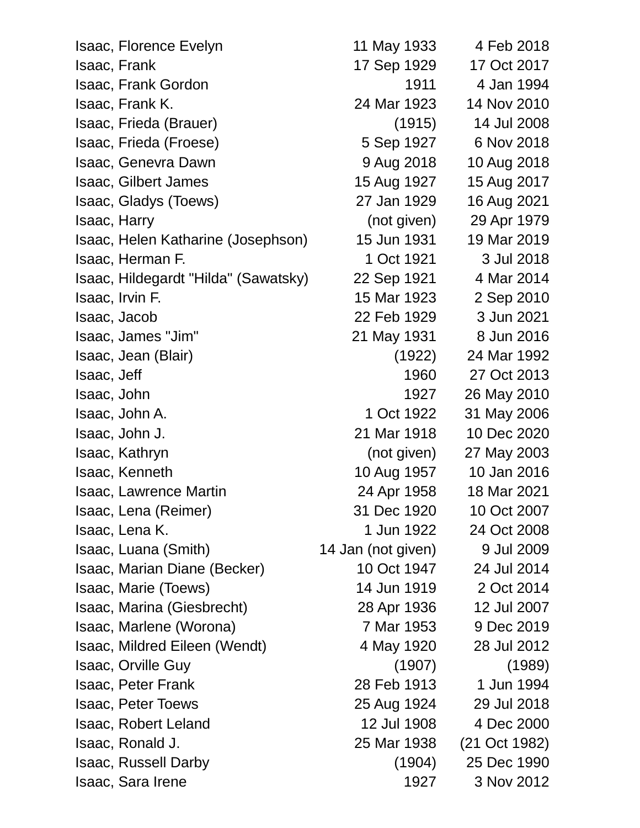| Isaac, Florence Evelyn               | 11 May 1933        | 4 Feb 2018    |
|--------------------------------------|--------------------|---------------|
| Isaac, Frank                         | 17 Sep 1929        | 17 Oct 2017   |
| <b>Isaac, Frank Gordon</b>           | 1911               | 4 Jan 1994    |
| Isaac, Frank K.                      | 24 Mar 1923        | 14 Nov 2010   |
| Isaac, Frieda (Brauer)               | (1915)             | 14 Jul 2008   |
| Isaac, Frieda (Froese)               | 5 Sep 1927         | 6 Nov 2018    |
| <b>Isaac, Genevra Dawn</b>           | 9 Aug 2018         | 10 Aug 2018   |
| <b>Isaac, Gilbert James</b>          | 15 Aug 1927        | 15 Aug 2017   |
| Isaac, Gladys (Toews)                | 27 Jan 1929        | 16 Aug 2021   |
| Isaac, Harry                         | (not given)        | 29 Apr 1979   |
| Isaac, Helen Katharine (Josephson)   | 15 Jun 1931        | 19 Mar 2019   |
| Isaac, Herman F.                     | 1 Oct 1921         | 3 Jul 2018    |
| Isaac, Hildegardt "Hilda" (Sawatsky) | 22 Sep 1921        | 4 Mar 2014    |
| Isaac, Irvin F.                      | 15 Mar 1923        | 2 Sep 2010    |
| Isaac, Jacob                         | 22 Feb 1929        | 3 Jun 2021    |
| Isaac, James "Jim"                   | 21 May 1931        | 8 Jun 2016    |
| Isaac, Jean (Blair)                  | (1922)             | 24 Mar 1992   |
| Isaac, Jeff                          | 1960               | 27 Oct 2013   |
| Isaac, John                          | 1927               | 26 May 2010   |
| Isaac, John A.                       | 1 Oct 1922         | 31 May 2006   |
| Isaac, John J.                       | 21 Mar 1918        | 10 Dec 2020   |
| Isaac, Kathryn                       | (not given)        | 27 May 2003   |
| Isaac, Kenneth                       | 10 Aug 1957        | 10 Jan 2016   |
| <b>Isaac, Lawrence Martin</b>        | 24 Apr 1958        | 18 Mar 2021   |
| Isaac, Lena (Reimer)                 | 31 Dec 1920        | 10 Oct 2007   |
| Isaac, Lena K.                       | 1 Jun 1922         | 24 Oct 2008   |
| Isaac, Luana (Smith)                 | 14 Jan (not given) | 9 Jul 2009    |
| Isaac, Marian Diane (Becker)         | 10 Oct 1947        | 24 Jul 2014   |
| Isaac, Marie (Toews)                 | 14 Jun 1919        | 2 Oct 2014    |
| Isaac, Marina (Giesbrecht)           | 28 Apr 1936        | 12 Jul 2007   |
| Isaac, Marlene (Worona)              | 7 Mar 1953         | 9 Dec 2019    |
| Isaac, Mildred Eileen (Wendt)        | 4 May 1920         | 28 Jul 2012   |
| Isaac, Orville Guy                   | (1907)             | (1989)        |
| <b>Isaac, Peter Frank</b>            | 28 Feb 1913        | 1 Jun 1994    |
| <b>Isaac, Peter Toews</b>            | 25 Aug 1924        | 29 Jul 2018   |
| <b>Isaac, Robert Leland</b>          | 12 Jul 1908        | 4 Dec 2000    |
| Isaac, Ronald J.                     | 25 Mar 1938        | (21 Oct 1982) |
| <b>Isaac, Russell Darby</b>          | (1904)             | 25 Dec 1990   |
| Isaac, Sara Irene                    | 1927               | 3 Nov 2012    |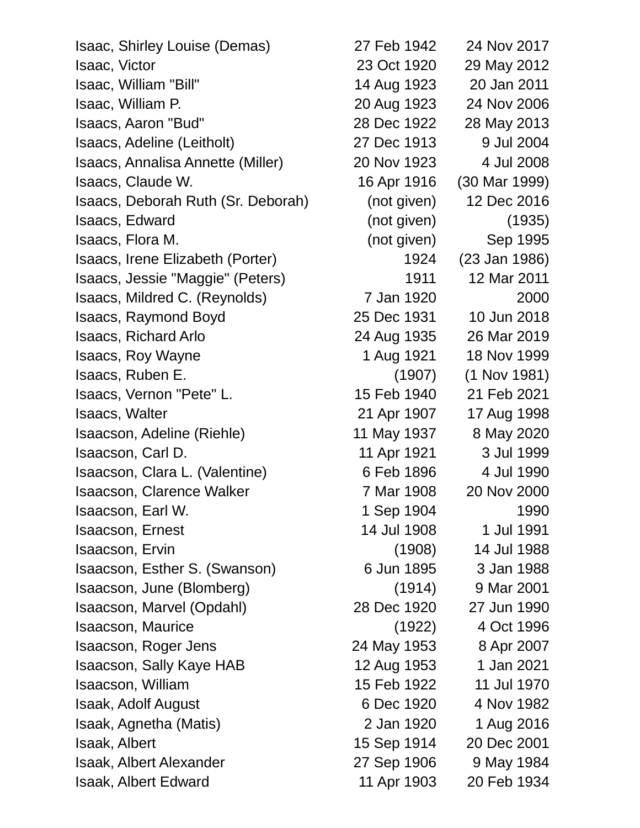Isaac, Shirley Louise (Demas) 27 Feb 1942 24 Nov 2017 Isaac, Victor 23 Oct 1920 29 May 2012 Isaac, William "Bill" 14 Aug 1923 20 Jan 2011 Isaac, William P. 20 Aug 1923 24 Nov 2006 Isaacs, Aaron "Bud" 28 Dec 1922 28 May 2013 Isaacs, Adeline (Leitholt) 27 Dec 1913 9 Jul 2004 Isaacs, Annalisa Annette (Miller) 20 Nov 1923 4 Jul 2008 Isaacs, Claude W. 16 Apr 1916 (30 Mar 1999) Isaacs, Deborah Ruth (Sr. Deborah) (not given) 12 Dec 2016 Isaacs, Edward (not given) (1935) Isaacs, Flora M. (not given) Sep 1995 Isaacs, Irene Elizabeth (Porter) 1924 (23 Jan 1986) Isaacs, Jessie "Maggie" (Peters) 1911 12 Mar 2011 Isaacs, Mildred C. (Reynolds) 7 Jan 1920 2000 Isaacs, Raymond Boyd 25 Dec 1931 10 Jun 2018 Isaacs, Richard Arlo 24 Aug 1935 26 Mar 2019 Isaacs, Roy Wayne 1 Aug 1921 18 Nov 1999 Isaacs, Ruben E. (1907) (1 Nov 1981) Isaacs, Vernon "Pete" L. 15 Feb 1940 21 Feb 2021 Isaacs, Walter 21 Apr 1907 17 Aug 1998 Isaacson, Adeline (Riehle) 11 May 1937 8 May 2020 Isaacson, Carl D. 11 Apr 1921 3 Jul 1999 Isaacson, Clara L. (Valentine) 6 Feb 1896 4 Jul 1990 Isaacson, Clarence Walker 7 Mar 1908 20 Nov 2000 **Isaacson, Earl W.** 1 Sep 1904 1990 **Isaacson, Ernest** 14 Jul 1908 1 Jul 1991 Isaacson, Ervin (1908) 14 Jul 1988 Isaacson, Esther S. (Swanson) 6 Jun 1895 3 Jan 1988 Isaacson, June (Blomberg) (1914) 9 Mar 2001 Isaacson, Marvel (Opdahl) 28 Dec 1920 27 Jun 1990 Isaacson, Maurice (1922) 4 Oct 1996 Isaacson, Roger Jens 24 May 1953 8 Apr 2007 Isaacson, Sally Kaye HAB 12 Aug 1953 1 Jan 2021 Isaacson, William 15 Feb 1922 11 Jul 1970 Isaak, Adolf August 6 Dec 1920 4 Nov 1982 Isaak, Agnetha (Matis) 2 Jan 1920 1 Aug 2016 Isaak, Albert 15 Sep 1914 20 Dec 2001 Isaak, Albert Alexander 27 Sep 1906 9 May 1984 Isaak, Albert Edward 11 Apr 1903 20 Feb 1934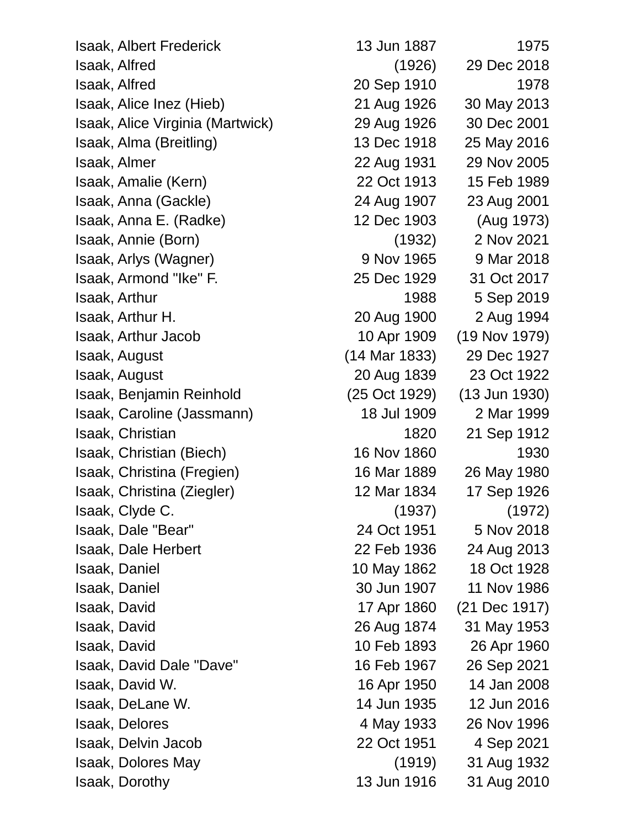Isaak, Albert Frederick 13 Jun 1887 1975 Isaak, Alfred (1926) 29 Dec 2018 Isaak, Alfred 20 Sep 1910 1978 Isaak, Alice Inez (Hieb) 21 Aug 1926 30 May 2013 Isaak, Alice Virginia (Martwick) 29 Aug 1926 30 Dec 2001 Isaak, Alma (Breitling) 13 Dec 1918 25 May 2016 Isaak, Almer 22 Aug 1931 29 Nov 2005 Isaak, Amalie (Kern) 22 Oct 1913 15 Feb 1989 Isaak, Anna (Gackle) 24 Aug 1907 23 Aug 2001 Isaak, Anna E. (Radke) 12 Dec 1903 (Aug 1973) Isaak, Annie (Born) (1932) 2 Nov 2021 Isaak, Arlys (Wagner) 9 Nov 1965 9 Mar 2018 Isaak, Armond "Ike" F. 25 Dec 1929 31 Oct 2017 Isaak, Arthur 1988 5 Sep 2019 Isaak, Arthur H. 20 Aug 1900 2 Aug 1994 Isaak, Arthur Jacob 10 Apr 1909 (19 Nov 1979) Isaak, August (14 Mar 1833) 29 Dec 1927 Isaak, August 20 Aug 1839 23 Oct 1922 Isaak, Benjamin Reinhold (25 Oct 1929) (13 Jun 1930) Isaak, Caroline (Jassmann) 18 Jul 1909 2 Mar 1999 Isaak, Christian 1820 21 Sep 1912 Isaak, Christian (Biech) 16 Nov 1860 1930 Isaak, Christina (Fregien) 16 Mar 1889 26 May 1980 Isaak, Christina (Ziegler) 12 Mar 1834 17 Sep 1926 Isaak, Clyde C. (1937) (1972) Isaak, Dale "Bear" 24 Oct 1951 5 Nov 2018 Isaak, Dale Herbert 22 Feb 1936 24 Aug 2013 Isaak, Daniel 10 May 1862 18 Oct 1928 Isaak, Daniel 30 Jun 1907 11 Nov 1986 Isaak, David 17 Apr 1860 (21 Dec 1917) Isaak, David 26 Aug 1874 31 May 1953 Isaak, David 10 Feb 1893 26 Apr 1960 Isaak, David Dale "Dave" 16 Feb 1967 26 Sep 2021 Isaak, David W. 16 Apr 1950 14 Jan 2008 Isaak, DeLane W. 14 Jun 1935 12 Jun 2016 Isaak, Delores 4 May 1933 26 Nov 1996 Isaak, Delvin Jacob 22 Oct 1951 4 Sep 2021 Isaak, Dolores May (1919) 31 Aug 1932 Isaak, Dorothy 13 Jun 1916 31 Aug 2010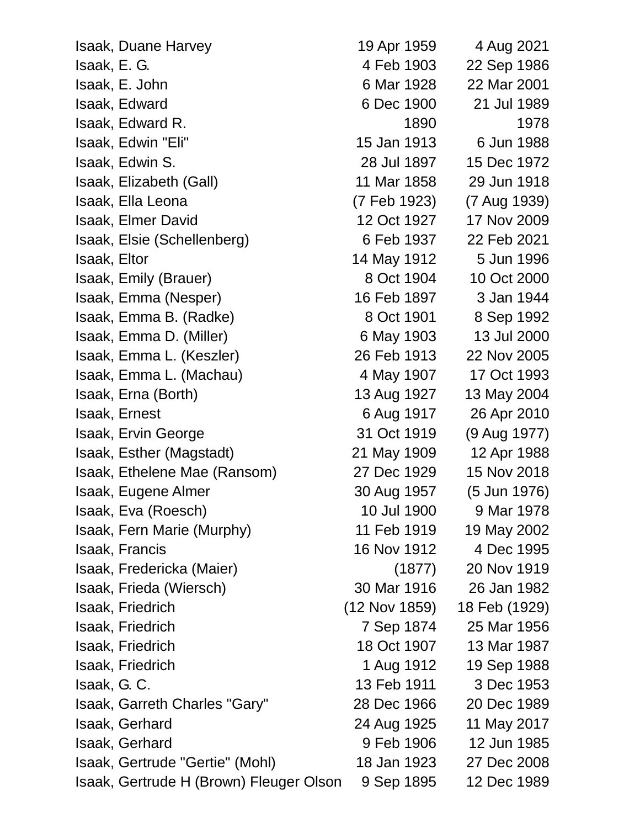| <b>Isaak, Duane Harvey</b>              | 19 Apr 1959   | 4 Aug 2021    |
|-----------------------------------------|---------------|---------------|
| Isaak, E. G.                            | 4 Feb 1903    | 22 Sep 1986   |
| Isaak, E. John                          | 6 Mar 1928    | 22 Mar 2001   |
| Isaak, Edward                           | 6 Dec 1900    | 21 Jul 1989   |
| Isaak, Edward R.                        | 1890          | 1978          |
| Isaak, Edwin "Eli"                      | 15 Jan 1913   | 6 Jun 1988    |
| Isaak, Edwin S.                         | 28 Jul 1897   | 15 Dec 1972   |
| Isaak, Elizabeth (Gall)                 | 11 Mar 1858   | 29 Jun 1918   |
| Isaak, Ella Leona                       | (7 Feb 1923)  | (7 Aug 1939)  |
| <b>Isaak, Elmer David</b>               | 12 Oct 1927   | 17 Nov 2009   |
| Isaak, Elsie (Schellenberg)             | 6 Feb 1937    | 22 Feb 2021   |
| Isaak, Eltor                            | 14 May 1912   | 5 Jun 1996    |
| Isaak, Emily (Brauer)                   | 8 Oct 1904    | 10 Oct 2000   |
| Isaak, Emma (Nesper)                    | 16 Feb 1897   | 3 Jan 1944    |
| Isaak, Emma B. (Radke)                  | 8 Oct 1901    | 8 Sep 1992    |
| Isaak, Emma D. (Miller)                 | 6 May 1903    | 13 Jul 2000   |
| Isaak, Emma L. (Keszler)                | 26 Feb 1913   | 22 Nov 2005   |
| Isaak, Emma L. (Machau)                 | 4 May 1907    | 17 Oct 1993   |
| Isaak, Erna (Borth)                     | 13 Aug 1927   | 13 May 2004   |
| <b>Isaak, Ernest</b>                    | 6 Aug 1917    | 26 Apr 2010   |
| <b>Isaak, Ervin George</b>              | 31 Oct 1919   | (9 Aug 1977)  |
| Isaak, Esther (Magstadt)                | 21 May 1909   | 12 Apr 1988   |
| Isaak, Ethelene Mae (Ransom)            | 27 Dec 1929   | 15 Nov 2018   |
| Isaak, Eugene Almer                     | 30 Aug 1957   | (5 Jun 1976)  |
| Isaak, Eva (Roesch)                     | 10 Jul 1900   | 9 Mar 1978    |
| Isaak, Fern Marie (Murphy)              | 11 Feb 1919   | 19 May 2002   |
| <b>Isaak, Francis</b>                   | 16 Nov 1912   | 4 Dec 1995    |
| Isaak, Fredericka (Maier)               | (1877)        | 20 Nov 1919   |
| Isaak, Frieda (Wiersch)                 | 30 Mar 1916   | 26 Jan 1982   |
| Isaak, Friedrich                        | (12 Nov 1859) | 18 Feb (1929) |
| Isaak, Friedrich                        | 7 Sep 1874    | 25 Mar 1956   |
| <b>Isaak, Friedrich</b>                 | 18 Oct 1907   | 13 Mar 1987   |
| <b>Isaak, Friedrich</b>                 | 1 Aug 1912    | 19 Sep 1988   |
| Isaak, G. C.                            | 13 Feb 1911   | 3 Dec 1953    |
| Isaak, Garreth Charles "Gary"           | 28 Dec 1966   | 20 Dec 1989   |
| Isaak, Gerhard                          | 24 Aug 1925   | 11 May 2017   |
| <b>Isaak, Gerhard</b>                   | 9 Feb 1906    | 12 Jun 1985   |
| Isaak, Gertrude "Gertie" (Mohl)         | 18 Jan 1923   | 27 Dec 2008   |
| Isaak, Gertrude H (Brown) Fleuger Olson | 9 Sep 1895    | 12 Dec 1989   |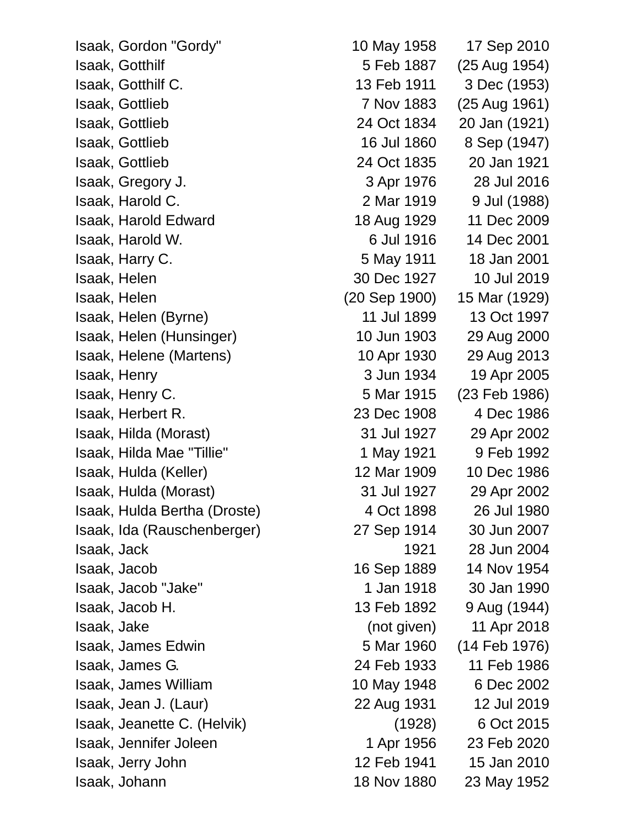Isaak, Gordon "Gordy" 10 May 1958 17 Sep 2010 Isaak, Gotthilf 5 Feb 1887 (25 Aug 1954) Isaak, Gotthilf C. 13 Feb 1911 3 Dec (1953) Isaak, Gottlieb 7 Nov 1883 (25 Aug 1961) Isaak, Gottlieb 24 Oct 1834 20 Jan (1921) Isaak, Gottlieb 16 Jul 1860 8 Sep (1947) Isaak, Gottlieb 24 Oct 1835 20 Jan 1921 Isaak, Gregory J. 3 Apr 1976 28 Jul 2016 Isaak, Harold C. 2 Mar 1919 9 Jul (1988) Isaak, Harold Edward 18 Aug 1929 11 Dec 2009 Isaak, Harold W. 6 Jul 1916 14 Dec 2001 Isaak, Harry C. 5 May 1911 18 Jan 2001 Isaak, Helen 30 Dec 1927 10 Jul 2019 Isaak, Helen (20 Sep 1900) 15 Mar (1929) Isaak, Helen (Byrne) 11 Jul 1899 13 Oct 1997 Isaak, Helen (Hunsinger) 10 Jun 1903 29 Aug 2000 Isaak, Helene (Martens) 10 Apr 1930 29 Aug 2013 Isaak, Henry 3 Jun 1934 19 Apr 2005 Isaak, Henry C. 5 Mar 1915 (23 Feb 1986) Isaak, Herbert R. 23 Dec 1908 4 Dec 1986 Isaak, Hilda (Morast) 31 Jul 1927 29 Apr 2002 Isaak, Hilda Mae "Tillie" 1 May 1921 9 Feb 1992 Isaak, Hulda (Keller) 12 Mar 1909 10 Dec 1986 Isaak, Hulda (Morast) 31 Jul 1927 29 Apr 2002 Isaak, Hulda Bertha (Droste) 4 Oct 1898 26 Jul 1980 Isaak, Ida (Rauschenberger) 27 Sep 1914 30 Jun 2007 Isaak, Jack 1921 28 Jun 2004 Isaak, Jacob 16 Sep 1889 14 Nov 1954 Isaak, Jacob "Jake" 1 Jan 1918 30 Jan 1990 Isaak, Jacob H. 13 Feb 1892 9 Aug (1944) Isaak, Jake (not given) 11 Apr 2018 Isaak, James Edwin 5 Mar 1960 (14 Feb 1976) Isaak, James G. 24 Feb 1933 11 Feb 1986 Isaak, James William 10 May 1948 6 Dec 2002 Isaak, Jean J. (Laur) 22 Aug 1931 12 Jul 2019 Isaak, Jeanette C. (Helvik) (1928) 6 Oct 2015 Isaak, Jennifer Joleen 1 Apr 1956 23 Feb 2020 Isaak, Jerry John 12 Feb 1941 15 Jan 2010 Isaak, Johann 18 Nov 1880 23 May 1952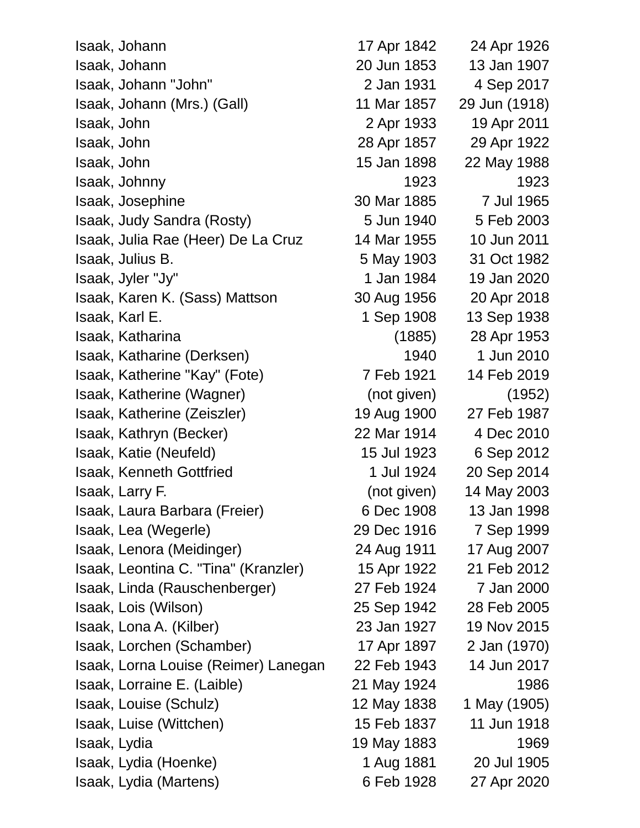| Isaak, Johann                        | 17 Apr 1842 | 24 Apr 1926   |
|--------------------------------------|-------------|---------------|
| Isaak, Johann                        | 20 Jun 1853 | 13 Jan 1907   |
| Isaak, Johann "John"                 | 2 Jan 1931  | 4 Sep 2017    |
| Isaak, Johann (Mrs.) (Gall)          | 11 Mar 1857 | 29 Jun (1918) |
| Isaak, John                          | 2 Apr 1933  | 19 Apr 2011   |
| Isaak, John                          | 28 Apr 1857 | 29 Apr 1922   |
| Isaak, John                          | 15 Jan 1898 | 22 May 1988   |
| Isaak, Johnny                        | 1923        | 1923          |
| Isaak, Josephine                     | 30 Mar 1885 | 7 Jul 1965    |
| Isaak, Judy Sandra (Rosty)           | 5 Jun 1940  | 5 Feb 2003    |
| Isaak, Julia Rae (Heer) De La Cruz   | 14 Mar 1955 | 10 Jun 2011   |
| Isaak, Julius B.                     | 5 May 1903  | 31 Oct 1982   |
| Isaak, Jyler "Jy"                    | 1 Jan 1984  | 19 Jan 2020   |
| Isaak, Karen K. (Sass) Mattson       | 30 Aug 1956 | 20 Apr 2018   |
| Isaak, Karl E.                       | 1 Sep 1908  | 13 Sep 1938   |
| Isaak, Katharina                     | (1885)      | 28 Apr 1953   |
| Isaak, Katharine (Derksen)           | 1940        | 1 Jun 2010    |
| Isaak, Katherine "Kay" (Fote)        | 7 Feb 1921  | 14 Feb 2019   |
| Isaak, Katherine (Wagner)            | (not given) | (1952)        |
| Isaak, Katherine (Zeiszler)          | 19 Aug 1900 | 27 Feb 1987   |
| Isaak, Kathryn (Becker)              | 22 Mar 1914 | 4 Dec 2010    |
| Isaak, Katie (Neufeld)               | 15 Jul 1923 | 6 Sep 2012    |
| <b>Isaak, Kenneth Gottfried</b>      | 1 Jul 1924  | 20 Sep 2014   |
| Isaak, Larry F.                      | (not given) | 14 May 2003   |
| Isaak, Laura Barbara (Freier)        | 6 Dec 1908  | 13 Jan 1998   |
| Isaak, Lea (Wegerle)                 | 29 Dec 1916 | 7 Sep 1999    |
| Isaak, Lenora (Meidinger)            | 24 Aug 1911 | 17 Aug 2007   |
| Isaak, Leontina C. "Tina" (Kranzler) | 15 Apr 1922 | 21 Feb 2012   |
| Isaak, Linda (Rauschenberger)        | 27 Feb 1924 | 7 Jan 2000    |
| Isaak, Lois (Wilson)                 | 25 Sep 1942 | 28 Feb 2005   |
| Isaak, Lona A. (Kilber)              | 23 Jan 1927 | 19 Nov 2015   |
| Isaak, Lorchen (Schamber)            | 17 Apr 1897 | 2 Jan (1970)  |
| Isaak, Lorna Louise (Reimer) Lanegan | 22 Feb 1943 | 14 Jun 2017   |
| Isaak, Lorraine E. (Laible)          | 21 May 1924 | 1986          |
| Isaak, Louise (Schulz)               | 12 May 1838 | 1 May (1905)  |
| Isaak, Luise (Wittchen)              | 15 Feb 1837 | 11 Jun 1918   |
| Isaak, Lydia                         | 19 May 1883 | 1969          |
| Isaak, Lydia (Hoenke)                | 1 Aug 1881  | 20 Jul 1905   |
| Isaak, Lydia (Martens)               | 6 Feb 1928  | 27 Apr 2020   |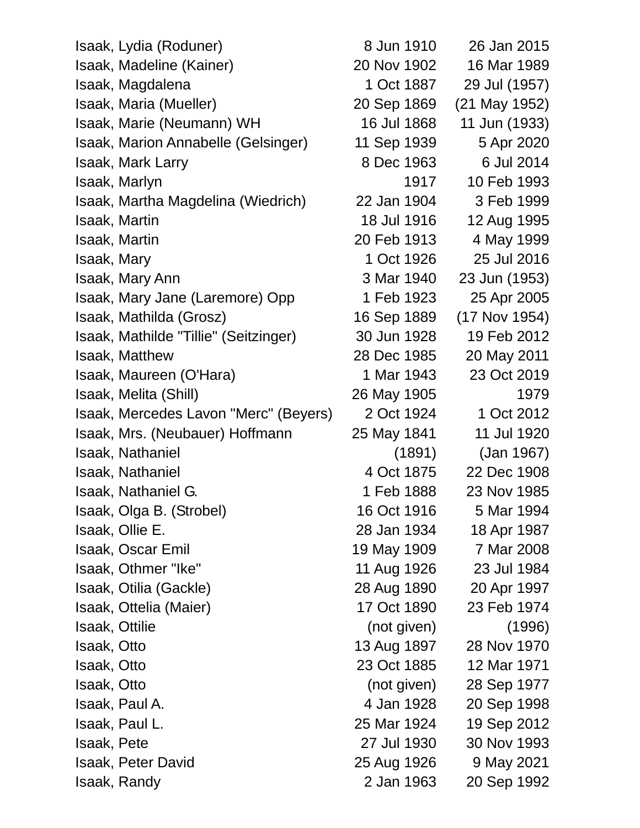| Isaak, Lydia (Roduner)                | 8 Jun 1910  | 26 Jan 2015   |
|---------------------------------------|-------------|---------------|
| Isaak, Madeline (Kainer)              | 20 Nov 1902 | 16 Mar 1989   |
| Isaak, Magdalena                      | 1 Oct 1887  | 29 Jul (1957) |
| Isaak, Maria (Mueller)                | 20 Sep 1869 | (21 May 1952) |
| Isaak, Marie (Neumann) WH             | 16 Jul 1868 | 11 Jun (1933) |
| Isaak, Marion Annabelle (Gelsinger)   | 11 Sep 1939 | 5 Apr 2020    |
| <b>Isaak, Mark Larry</b>              | 8 Dec 1963  | 6 Jul 2014    |
| Isaak, Marlyn                         | 1917        | 10 Feb 1993   |
| Isaak, Martha Magdelina (Wiedrich)    | 22 Jan 1904 | 3 Feb 1999    |
| <b>Isaak, Martin</b>                  | 18 Jul 1916 | 12 Aug 1995   |
| Isaak, Martin                         | 20 Feb 1913 | 4 May 1999    |
| Isaak, Mary                           | 1 Oct 1926  | 25 Jul 2016   |
| <b>Isaak, Mary Ann</b>                | 3 Mar 1940  | 23 Jun (1953) |
| Isaak, Mary Jane (Laremore) Opp       | 1 Feb 1923  | 25 Apr 2005   |
| Isaak, Mathilda (Grosz)               | 16 Sep 1889 | (17 Nov 1954) |
| Isaak, Mathilde "Tillie" (Seitzinger) | 30 Jun 1928 | 19 Feb 2012   |
| <b>Isaak, Matthew</b>                 | 28 Dec 1985 | 20 May 2011   |
| Isaak, Maureen (O'Hara)               | 1 Mar 1943  | 23 Oct 2019   |
| Isaak, Melita (Shill)                 | 26 May 1905 | 1979          |
| Isaak, Mercedes Lavon "Merc" (Beyers) | 2 Oct 1924  | 1 Oct 2012    |
| Isaak, Mrs. (Neubauer) Hoffmann       | 25 May 1841 | 11 Jul 1920   |
| <b>Isaak, Nathaniel</b>               | (1891)      | (Jan 1967)    |
| Isaak, Nathaniel                      | 4 Oct 1875  | 22 Dec 1908   |
| Isaak, Nathaniel G.                   | 1 Feb 1888  | 23 Nov 1985   |
| Isaak, Olga B. (Strobel)              | 16 Oct 1916 | 5 Mar 1994    |
| Isaak, Ollie E.                       | 28 Jan 1934 | 18 Apr 1987   |
| <b>Isaak, Oscar Emil</b>              | 19 May 1909 | 7 Mar 2008    |
| Isaak, Othmer "Ike"                   | 11 Aug 1926 | 23 Jul 1984   |
| Isaak, Otilia (Gackle)                | 28 Aug 1890 | 20 Apr 1997   |
| Isaak, Ottelia (Maier)                | 17 Oct 1890 | 23 Feb 1974   |
| <b>Isaak, Ottilie</b>                 | (not given) | (1996)        |
| Isaak, Otto                           | 13 Aug 1897 | 28 Nov 1970   |
| Isaak, Otto                           | 23 Oct 1885 | 12 Mar 1971   |
| Isaak, Otto                           | (not given) | 28 Sep 1977   |
| Isaak, Paul A.                        | 4 Jan 1928  | 20 Sep 1998   |
| Isaak, Paul L.                        | 25 Mar 1924 | 19 Sep 2012   |
| Isaak, Pete                           | 27 Jul 1930 | 30 Nov 1993   |
| Isaak, Peter David                    | 25 Aug 1926 | 9 May 2021    |
| Isaak, Randy                          | 2 Jan 1963  | 20 Sep 1992   |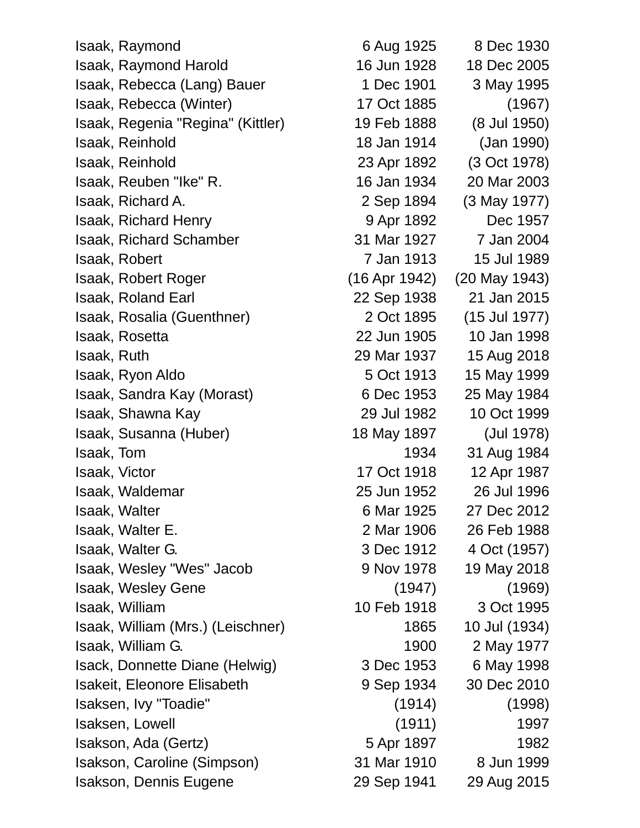Isaak, Raymond 6 Aug 1925 8 Dec 1930 Isaak, Raymond Harold 16 Jun 1928 18 Dec 2005 Isaak, Rebecca (Lang) Bauer 1 Dec 1901 3 May 1995 Isaak, Rebecca (Winter) 17 Oct 1885 (1967) Isaak, Regenia "Regina" (Kittler) 19 Feb 1888 (8 Jul 1950) Isaak, Reinhold 18 Jan 1914 (Jan 1990) Isaak, Reinhold 23 Apr 1892 (3 Oct 1978) Isaak, Reuben "Ike" R. 16 Jan 1934 20 Mar 2003 Isaak, Richard A. 2 Sep 1894 (3 May 1977) Isaak, Richard Henry 9 Apr 1892 Dec 1957 Isaak, Richard Schamber 31 Mar 1927 7 Jan 2004 Isaak, Robert 7 Jan 1913 15 Jul 1989 Isaak, Robert Roger (16 Apr 1942) (20 May 1943) Isaak, Roland Earl 22 Sep 1938 21 Jan 2015 Isaak, Rosalia (Guenthner) 2 Oct 1895 (15 Jul 1977) Isaak, Rosetta 22 Jun 1905 10 Jan 1998 Isaak, Ruth 29 Mar 1937 15 Aug 2018 Isaak, Ryon Aldo 5 Oct 1913 15 May 1999 Isaak, Sandra Kay (Morast) 6 Dec 1953 25 May 1984 Isaak, Shawna Kay 29 Jul 1982 10 Oct 1999 Isaak, Susanna (Huber) 18 May 1897 (Jul 1978) Isaak, Tom 1934 31 Aug 1984 **Isaak, Victor 17 Oct 1918 12 Apr 1987** Isaak, Waldemar 25 Jun 1952 26 Jul 1996 Isaak, Walter 6 Mar 1925 27 Dec 2012 Isaak, Walter E. 2 Mar 1906 26 Feb 1988 Isaak, Walter G. 3 Dec 1912 4 Oct (1957) Isaak, Wesley "Wes" Jacob 9 Nov 1978 19 May 2018 Isaak, Wesley Gene (1947) (1969) Isaak, William 10 Feb 1918 3 Oct 1995 Isaak, William (Mrs.) (Leischner) 1865 10 Jul (1934) Isaak, William G. 1900 2 May 1977 Isack, Donnette Diane (Helwig) 3 Dec 1953 6 May 1998 Isakeit, Eleonore Elisabeth 9 Sep 1934 30 Dec 2010 Isaksen, Ivy "Toadie" (1914) (1998) Isaksen, Lowell (1911) 1997 Isakson, Ada (Gertz) 5 Apr 1897 1982 Isakson, Caroline (Simpson) 31 Mar 1910 8 Jun 1999 Isakson, Dennis Eugene 29 Sep 1941 29 Aug 2015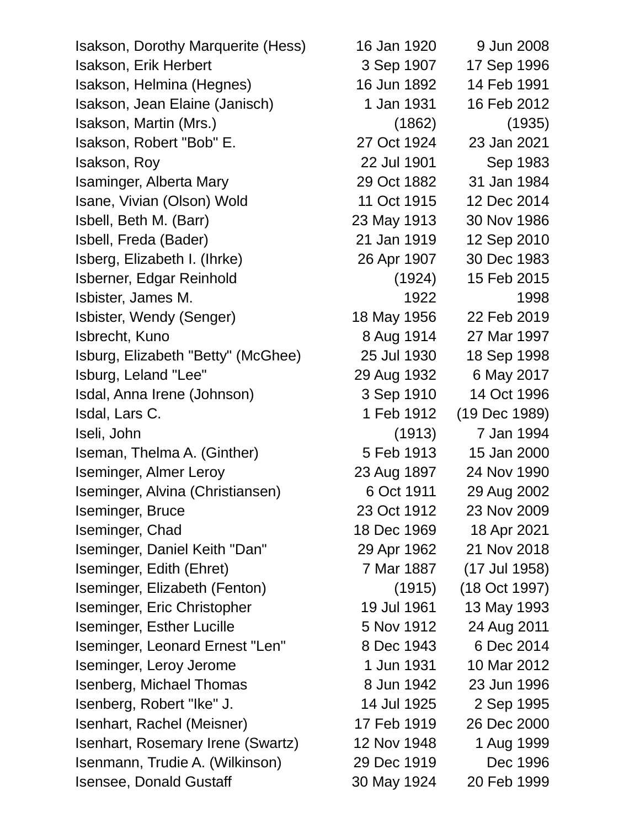Isakson, Dorothy Marquerite (Hess) 16 Jan 1920 9 Jun 2008 Isakson, Erik Herbert 3 Sep 1907 17 Sep 1996 Isakson, Helmina (Hegnes) 16 Jun 1892 14 Feb 1991 Isakson, Jean Elaine (Janisch) 1 Jan 1931 16 Feb 2012 Isakson, Martin (Mrs.) (1862) (1935) Isakson, Robert "Bob" E. 27 Oct 1924 23 Jan 2021 Isakson, Roy 22 Jul 1901 Sep 1983 Isaminger, Alberta Mary 29 Oct 1882 31 Jan 1984 Isane, Vivian (Olson) Wold 11 Oct 1915 12 Dec 2014 Isbell, Beth M. (Barr) 23 May 1913 30 Nov 1986 Isbell, Freda (Bader) 21 Jan 1919 12 Sep 2010 Isberg, Elizabeth I. (Ihrke) 26 Apr 1907 30 Dec 1983 Isberner, Edgar Reinhold (1924) 15 Feb 2015 Isbister, James M. 1922 1998 Isbister, Wendy (Senger) 18 May 1956 22 Feb 2019 Isbrecht, Kuno 8 Aug 1914 27 Mar 1997 Isburg, Elizabeth "Betty" (McGhee) 25 Jul 1930 18 Sep 1998 Isburg, Leland "Lee" 29 Aug 1932 6 May 2017 Isdal, Anna Irene (Johnson) 3 Sep 1910 14 Oct 1996 Isdal, Lars C. 1 Feb 1912 (19 Dec 1989) Iseli, John (1913) 7 Jan 1994 Iseman, Thelma A. (Ginther) 5 Feb 1913 15 Jan 2000 Iseminger, Almer Leroy 23 Aug 1897 24 Nov 1990 Iseminger, Alvina (Christiansen) 6 Oct 1911 29 Aug 2002 Iseminger, Bruce 23 Oct 1912 23 Nov 2009 **Iseminger, Chad 18 Dec 1969 18 Apr 2021** Iseminger, Daniel Keith "Dan" 29 Apr 1962 21 Nov 2018 Iseminger, Edith (Ehret) 7 Mar 1887 (17 Jul 1958) Iseminger, Elizabeth (Fenton) (1915) (18 Oct 1997) Iseminger, Eric Christopher 19 Jul 1961 13 May 1993 Iseminger, Esther Lucille 5 Nov 1912 24 Aug 2011 Iseminger, Leonard Ernest "Len" 8 Dec 1943 6 Dec 2014 Iseminger, Leroy Jerome 1 Jun 1931 10 Mar 2012 Isenberg, Michael Thomas 8 Jun 1942 23 Jun 1996 Isenberg, Robert "Ike" J. 14 Jul 1925 2 Sep 1995 Isenhart, Rachel (Meisner) 17 Feb 1919 26 Dec 2000 Isenhart, Rosemary Irene (Swartz) 12 Nov 1948 1 Aug 1999 Isenmann, Trudie A. (Wilkinson) 29 Dec 1919 Dec 1996 Isensee, Donald Gustaff 30 May 1924 20 Feb 1999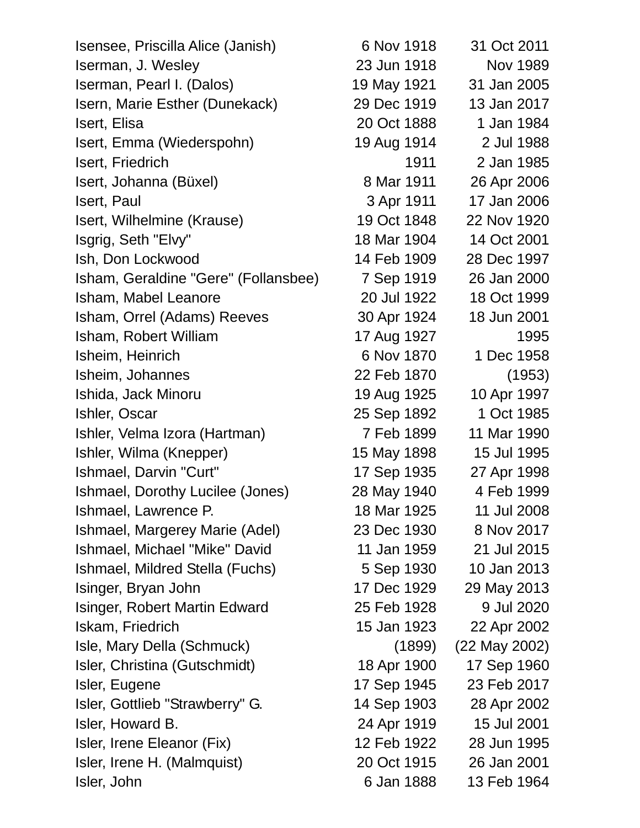| Isensee, Priscilla Alice (Janish)    | 6 Nov 1918  | 31 Oct 2011     |
|--------------------------------------|-------------|-----------------|
| Iserman, J. Wesley                   | 23 Jun 1918 | <b>Nov 1989</b> |
| Iserman, Pearl I. (Dalos)            | 19 May 1921 | 31 Jan 2005     |
| Isern, Marie Esther (Dunekack)       | 29 Dec 1919 | 13 Jan 2017     |
| Isert, Elisa                         | 20 Oct 1888 | 1 Jan 1984      |
| Isert, Emma (Wiederspohn)            | 19 Aug 1914 | 2 Jul 1988      |
| Isert, Friedrich                     | 1911        | 2 Jan 1985      |
| Isert, Johanna (Büxel)               | 8 Mar 1911  | 26 Apr 2006     |
| Isert, Paul                          | 3 Apr 1911  | 17 Jan 2006     |
| Isert, Wilhelmine (Krause)           | 19 Oct 1848 | 22 Nov 1920     |
| Isgrig, Seth "Elvy"                  | 18 Mar 1904 | 14 Oct 2001     |
| Ish, Don Lockwood                    | 14 Feb 1909 | 28 Dec 1997     |
| Isham, Geraldine "Gere" (Follansbee) | 7 Sep 1919  | 26 Jan 2000     |
| Isham, Mabel Leanore                 | 20 Jul 1922 | 18 Oct 1999     |
| Isham, Orrel (Adams) Reeves          | 30 Apr 1924 | 18 Jun 2001     |
| Isham, Robert William                | 17 Aug 1927 | 1995            |
| Isheim, Heinrich                     | 6 Nov 1870  | 1 Dec 1958      |
| Isheim, Johannes                     | 22 Feb 1870 | (1953)          |
| Ishida, Jack Minoru                  | 19 Aug 1925 | 10 Apr 1997     |
| Ishler, Oscar                        | 25 Sep 1892 | 1 Oct 1985      |
| Ishler, Velma Izora (Hartman)        | 7 Feb 1899  | 11 Mar 1990     |
| Ishler, Wilma (Knepper)              | 15 May 1898 | 15 Jul 1995     |
| Ishmael, Darvin "Curt"               | 17 Sep 1935 | 27 Apr 1998     |
| Ishmael, Dorothy Lucilee (Jones)     | 28 May 1940 | 4 Feb 1999      |
| Ishmael, Lawrence P.                 | 18 Mar 1925 | 11 Jul 2008     |
| Ishmael, Margerey Marie (Adel)       | 23 Dec 1930 | 8 Nov 2017      |
| Ishmael, Michael "Mike" David        | 11 Jan 1959 | 21 Jul 2015     |
| Ishmael, Mildred Stella (Fuchs)      | 5 Sep 1930  | 10 Jan 2013     |
| Isinger, Bryan John                  | 17 Dec 1929 | 29 May 2013     |
| Isinger, Robert Martin Edward        | 25 Feb 1928 | 9 Jul 2020      |
| Iskam, Friedrich                     | 15 Jan 1923 | 22 Apr 2002     |
| Isle, Mary Della (Schmuck)           | (1899)      | (22 May 2002)   |
| Isler, Christina (Gutschmidt)        | 18 Apr 1900 | 17 Sep 1960     |
| Isler, Eugene                        | 17 Sep 1945 | 23 Feb 2017     |
| Isler, Gottlieb "Strawberry" G.      | 14 Sep 1903 | 28 Apr 2002     |
| Isler, Howard B.                     | 24 Apr 1919 | 15 Jul 2001     |
| Isler, Irene Eleanor (Fix)           | 12 Feb 1922 | 28 Jun 1995     |
| Isler, Irene H. (Malmquist)          | 20 Oct 1915 | 26 Jan 2001     |
| Isler, John                          | 6 Jan 1888  | 13 Feb 1964     |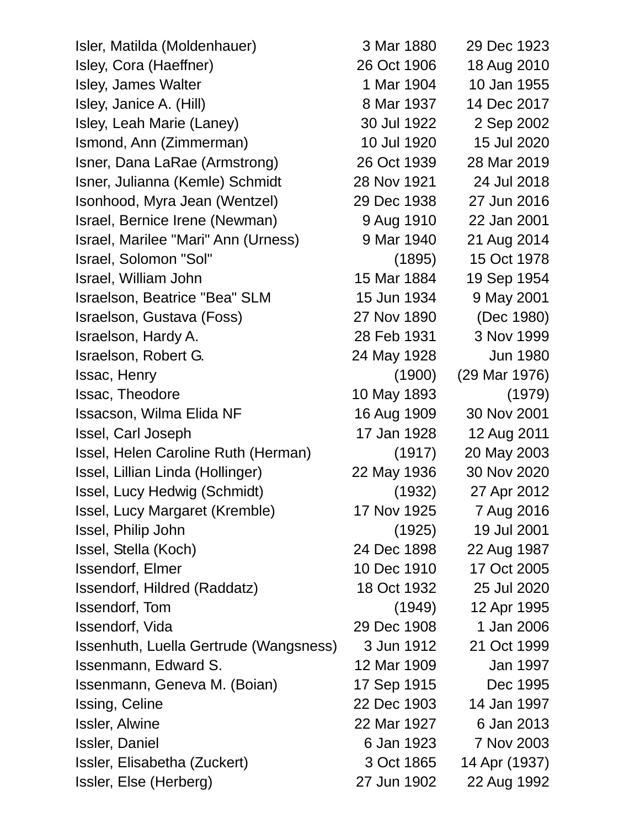Isler, Matilda (Moldenhauer) 3 Mar 1880 29 Dec 1923 Isley, Cora (Haeffner) 26 Oct 1906 18 Aug 2010 Isley, James Walter 1 Mar 1904 10 Jan 1955 Isley, Janice A. (Hill) 8 Mar 1937 14 Dec 2017 Isley, Leah Marie (Laney) 30 Jul 1922 2 Sep 2002 Ismond, Ann (Zimmerman) 10 Jul 1920 15 Jul 2020 Isner, Dana LaRae (Armstrong) 26 Oct 1939 28 Mar 2019 Isner, Julianna (Kemle) Schmidt 28 Nov 1921 24 Jul 2018 Isonhood, Myra Jean (Wentzel) 29 Dec 1938 27 Jun 2016 Israel, Bernice Irene (Newman) 9 Aug 1910 22 Jan 2001 Israel, Marilee "Mari" Ann (Urness) 9 Mar 1940 21 Aug 2014 Israel, Solomon "Sol" (1895) 15 Oct 1978 Israel, William John 15 Mar 1884 19 Sep 1954 Israelson, Beatrice "Bea" SLM 15 Jun 1934 9 May 2001 Israelson, Gustava (Foss) 27 Nov 1890 (Dec 1980) Israelson, Hardy A. 28 Feb 1931 3 Nov 1999 Israelson, Robert G. 24 May 1928 Jun 1980 Issac, Henry (1900) (29 Mar 1976) Issac, Theodore 10 May 1893 (1979) Issacson, Wilma Elida NF 16 Aug 1909 30 Nov 2001 Issel, Carl Joseph 17 Jan 1928 12 Aug 2011 Issel, Helen Caroline Ruth (Herman) (1917) 20 May 2003 Issel, Lillian Linda (Hollinger) 22 May 1936 30 Nov 2020 Issel, Lucy Hedwig (Schmidt) (1932) 27 Apr 2012 Issel, Lucy Margaret (Kremble) 17 Nov 1925 7 Aug 2016 Issel, Philip John (1925) 19 Jul 2001 Issel, Stella (Koch) 24 Dec 1898 22 Aug 1987 **Issendorf, Elmer** 10 Dec 1910 17 Oct 2005 Issendorf, Hildred (Raddatz) 18 Oct 1932 25 Jul 2020 Issendorf, Tom (1949) 12 Apr 1995 Issendorf, Vida 29 Dec 1908 1 Jan 2006 Issenhuth, Luella Gertrude (Wangsness) 3 Jun 1912 21 Oct 1999 Issenmann, Edward S. 12 Mar 1909 Jan 1997 Issenmann, Geneva M. (Boian) 17 Sep 1915 Dec 1995 Issing, Celine 22 Dec 1903 14 Jan 1997 Issler, Alwine 22 Mar 1927 6 Jan 2013 Issler, Daniel 6 Jan 1923 7 Nov 2003 Issler, Elisabetha (Zuckert) 3 Oct 1865 14 Apr (1937) Issler, Else (Herberg) 27 Jun 1902 22 Aug 1992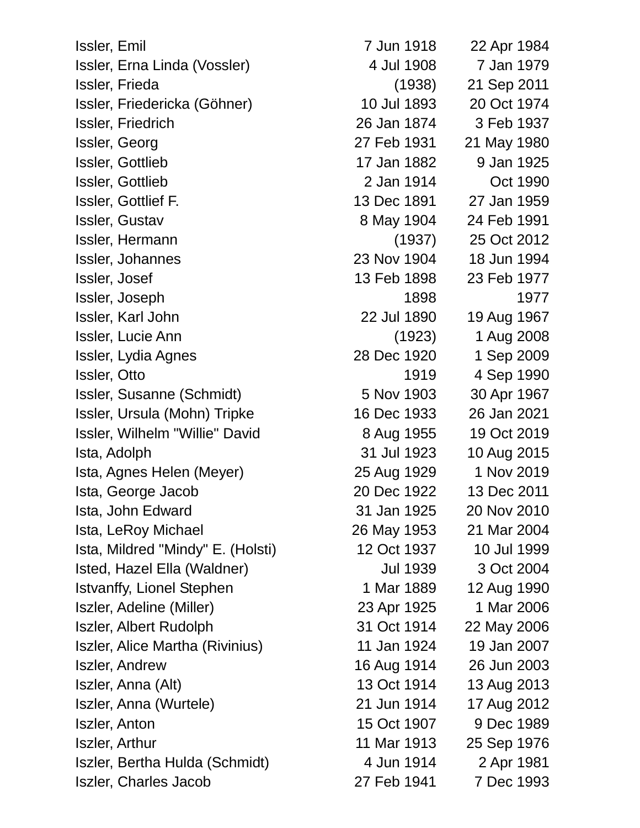| Issler, Emil                      | 7 Jun 1918      | 22 Apr 1984 |
|-----------------------------------|-----------------|-------------|
| Issler, Erna Linda (Vossler)      | 4 Jul 1908      | 7 Jan 1979  |
| Issler, Frieda                    | (1938)          | 21 Sep 2011 |
| Issler, Friedericka (Göhner)      | 10 Jul 1893     | 20 Oct 1974 |
| Issler, Friedrich                 | 26 Jan 1874     | 3 Feb 1937  |
| Issler, Georg                     | 27 Feb 1931     | 21 May 1980 |
| Issler, Gottlieb                  | 17 Jan 1882     | 9 Jan 1925  |
| Issler, Gottlieb                  | 2 Jan 1914      | Oct 1990    |
| Issler, Gottlief F.               | 13 Dec 1891     | 27 Jan 1959 |
| <b>Issler, Gustav</b>             | 8 May 1904      | 24 Feb 1991 |
| Issler, Hermann                   | (1937)          | 25 Oct 2012 |
| Issler, Johannes                  | 23 Nov 1904     | 18 Jun 1994 |
| Issler, Josef                     | 13 Feb 1898     | 23 Feb 1977 |
| Issler, Joseph                    | 1898            | 1977        |
| Issler, Karl John                 | 22 Jul 1890     | 19 Aug 1967 |
| Issler, Lucie Ann                 | (1923)          | 1 Aug 2008  |
| Issler, Lydia Agnes               | 28 Dec 1920     | 1 Sep 2009  |
| Issler, Otto                      | 1919            | 4 Sep 1990  |
| Issler, Susanne (Schmidt)         | 5 Nov 1903      | 30 Apr 1967 |
| Issler, Ursula (Mohn) Tripke      | 16 Dec 1933     | 26 Jan 2021 |
| Issler, Wilhelm "Willie" David    | 8 Aug 1955      | 19 Oct 2019 |
| Ista, Adolph                      | 31 Jul 1923     | 10 Aug 2015 |
| Ista, Agnes Helen (Meyer)         | 25 Aug 1929     | 1 Nov 2019  |
| Ista, George Jacob                | 20 Dec 1922     | 13 Dec 2011 |
| Ista, John Edward                 | 31 Jan 1925     | 20 Nov 2010 |
| Ista, LeRoy Michael               | 26 May 1953     | 21 Mar 2004 |
| Ista, Mildred "Mindy" E. (Holsti) | 12 Oct 1937     | 10 Jul 1999 |
| Isted, Hazel Ella (Waldner)       | <b>Jul 1939</b> | 3 Oct 2004  |
| <b>Istvanffy, Lionel Stephen</b>  | 1 Mar 1889      | 12 Aug 1990 |
| Iszler, Adeline (Miller)          | 23 Apr 1925     | 1 Mar 2006  |
| <b>Iszler, Albert Rudolph</b>     | 31 Oct 1914     | 22 May 2006 |
| Iszler, Alice Martha (Rivinius)   | 11 Jan 1924     | 19 Jan 2007 |
| <b>Iszler, Andrew</b>             | 16 Aug 1914     | 26 Jun 2003 |
| Iszler, Anna (Alt)                | 13 Oct 1914     | 13 Aug 2013 |
| Iszler, Anna (Wurtele)            | 21 Jun 1914     | 17 Aug 2012 |
| <b>Iszler, Anton</b>              | 15 Oct 1907     | 9 Dec 1989  |
| <b>Iszler, Arthur</b>             | 11 Mar 1913     | 25 Sep 1976 |
| Iszler, Bertha Hulda (Schmidt)    | 4 Jun 1914      | 2 Apr 1981  |
| <b>Iszler, Charles Jacob</b>      | 27 Feb 1941     | 7 Dec 1993  |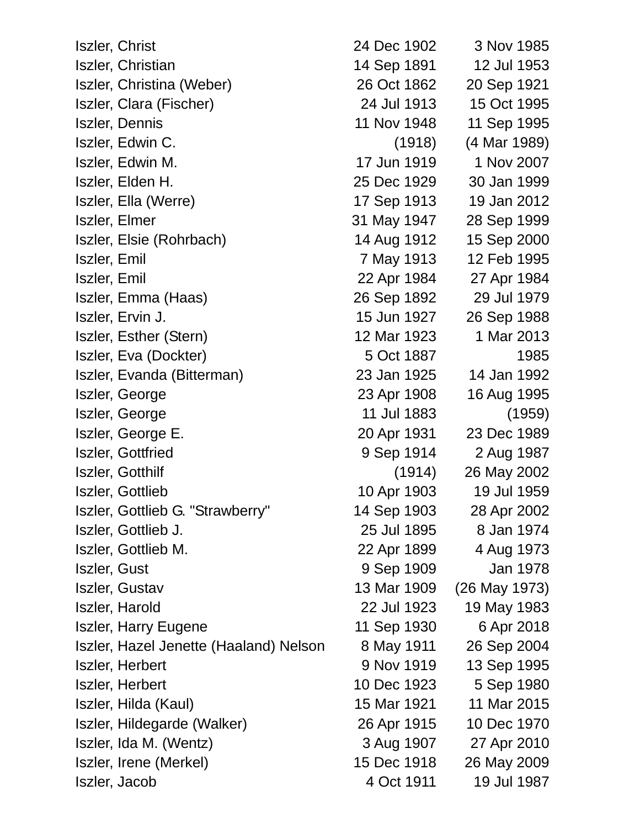| Iszler, Christ                         | 24 Dec 1902 | 3 Nov 1985    |
|----------------------------------------|-------------|---------------|
| Iszler, Christian                      | 14 Sep 1891 | 12 Jul 1953   |
| Iszler, Christina (Weber)              | 26 Oct 1862 | 20 Sep 1921   |
| Iszler, Clara (Fischer)                | 24 Jul 1913 | 15 Oct 1995   |
| Iszler, Dennis                         | 11 Nov 1948 | 11 Sep 1995   |
| Iszler, Edwin C.                       | (1918)      | (4 Mar 1989)  |
| Iszler, Edwin M.                       | 17 Jun 1919 | 1 Nov 2007    |
| Iszler, Elden H.                       | 25 Dec 1929 | 30 Jan 1999   |
| Iszler, Ella (Werre)                   | 17 Sep 1913 | 19 Jan 2012   |
| Iszler, Elmer                          | 31 May 1947 | 28 Sep 1999   |
| Iszler, Elsie (Rohrbach)               | 14 Aug 1912 | 15 Sep 2000   |
| Iszler, Emil                           | 7 May 1913  | 12 Feb 1995   |
| Iszler, Emil                           | 22 Apr 1984 | 27 Apr 1984   |
| Iszler, Emma (Haas)                    | 26 Sep 1892 | 29 Jul 1979   |
| Iszler, Ervin J.                       | 15 Jun 1927 | 26 Sep 1988   |
| Iszler, Esther (Stern)                 | 12 Mar 1923 | 1 Mar 2013    |
| Iszler, Eva (Dockter)                  | 5 Oct 1887  | 1985          |
| Iszler, Evanda (Bitterman)             | 23 Jan 1925 | 14 Jan 1992   |
| Iszler, George                         | 23 Apr 1908 | 16 Aug 1995   |
| Iszler, George                         | 11 Jul 1883 | (1959)        |
| Iszler, George E.                      | 20 Apr 1931 | 23 Dec 1989   |
| <b>Iszler, Gottfried</b>               | 9 Sep 1914  | 2 Aug 1987    |
| Iszler, Gotthilf                       | (1914)      | 26 May 2002   |
| Iszler, Gottlieb                       | 10 Apr 1903 | 19 Jul 1959   |
| Iszler, Gottlieb G. "Strawberry"       | 14 Sep 1903 | 28 Apr 2002   |
| Iszler, Gottlieb J.                    | 25 Jul 1895 | 8 Jan 1974    |
| Iszler, Gottlieb M.                    | 22 Apr 1899 | 4 Aug 1973    |
| Iszler, Gust                           | 9 Sep 1909  | Jan 1978      |
| <b>Iszler, Gustav</b>                  | 13 Mar 1909 | (26 May 1973) |
| Iszler, Harold                         | 22 Jul 1923 | 19 May 1983   |
| <b>Iszler, Harry Eugene</b>            | 11 Sep 1930 | 6 Apr 2018    |
| Iszler, Hazel Jenette (Haaland) Nelson | 8 May 1911  | 26 Sep 2004   |
| Iszler, Herbert                        | 9 Nov 1919  | 13 Sep 1995   |
| Iszler, Herbert                        | 10 Dec 1923 | 5 Sep 1980    |
| Iszler, Hilda (Kaul)                   | 15 Mar 1921 | 11 Mar 2015   |
| Iszler, Hildegarde (Walker)            | 26 Apr 1915 | 10 Dec 1970   |
| Iszler, Ida M. (Wentz)                 | 3 Aug 1907  | 27 Apr 2010   |
| Iszler, Irene (Merkel)                 | 15 Dec 1918 | 26 May 2009   |
| Iszler, Jacob                          | 4 Oct 1911  | 19 Jul 1987   |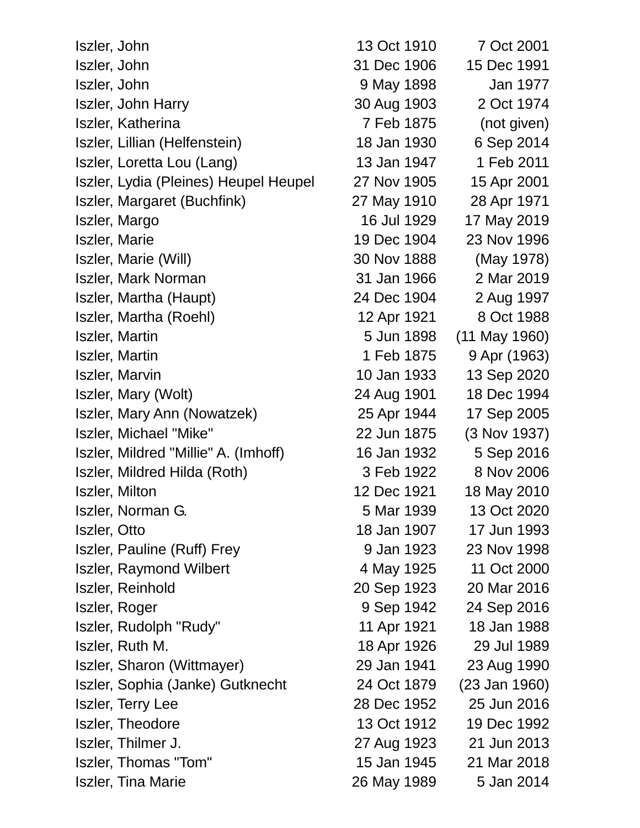| Iszler, John                          | 13 Oct 1910 | 7 Oct 2001      |
|---------------------------------------|-------------|-----------------|
| Iszler, John                          | 31 Dec 1906 | 15 Dec 1991     |
| Iszler, John                          | 9 May 1898  | Jan 1977        |
| <b>Iszler, John Harry</b>             | 30 Aug 1903 | 2 Oct 1974      |
| <b>Iszler, Katherina</b>              | 7 Feb 1875  | (not given)     |
| Iszler, Lillian (Helfenstein)         | 18 Jan 1930 | 6 Sep 2014      |
| Iszler, Loretta Lou (Lang)            | 13 Jan 1947 | 1 Feb 2011      |
| Iszler, Lydia (Pleines) Heupel Heupel | 27 Nov 1905 | 15 Apr 2001     |
| Iszler, Margaret (Buchfink)           | 27 May 1910 | 28 Apr 1971     |
| Iszler, Margo                         | 16 Jul 1929 | 17 May 2019     |
| Iszler, Marie                         | 19 Dec 1904 | 23 Nov 1996     |
| Iszler, Marie (Will)                  | 30 Nov 1888 | (May 1978)      |
| <b>Iszler, Mark Norman</b>            | 31 Jan 1966 | 2 Mar 2019      |
| Iszler, Martha (Haupt)                | 24 Dec 1904 | 2 Aug 1997      |
| Iszler, Martha (Roehl)                | 12 Apr 1921 | 8 Oct 1988      |
| <b>Iszler, Martin</b>                 | 5 Jun 1898  | $(11$ May 1960) |
| <b>Iszler, Martin</b>                 | 1 Feb 1875  | 9 Apr (1963)    |
| <b>Iszler, Marvin</b>                 | 10 Jan 1933 | 13 Sep 2020     |
| Iszler, Mary (Wolt)                   | 24 Aug 1901 | 18 Dec 1994     |
| Iszler, Mary Ann (Nowatzek)           | 25 Apr 1944 | 17 Sep 2005     |
| Iszler, Michael "Mike"                | 22 Jun 1875 | (3 Nov 1937)    |
| Iszler, Mildred "Millie" A. (Imhoff)  | 16 Jan 1932 | 5 Sep 2016      |
| Iszler, Mildred Hilda (Roth)          | 3 Feb 1922  | 8 Nov 2006      |
| <b>Iszler, Milton</b>                 | 12 Dec 1921 | 18 May 2010     |
| Iszler, Norman G.                     | 5 Mar 1939  | 13 Oct 2020     |
| Iszler, Otto                          | 18 Jan 1907 | 17 Jun 1993     |
| Iszler, Pauline (Ruff) Frey           | 9 Jan 1923  | 23 Nov 1998     |
| <b>Iszler, Raymond Wilbert</b>        | 4 May 1925  | 11 Oct 2000     |
| Iszler, Reinhold                      | 20 Sep 1923 | 20 Mar 2016     |
| Iszler, Roger                         | 9 Sep 1942  | 24 Sep 2016     |
| Iszler, Rudolph "Rudy"                | 11 Apr 1921 | 18 Jan 1988     |
| Iszler, Ruth M.                       | 18 Apr 1926 | 29 Jul 1989     |
| Iszler, Sharon (Wittmayer)            | 29 Jan 1941 | 23 Aug 1990     |
| Iszler, Sophia (Janke) Gutknecht      | 24 Oct 1879 | $(23$ Jan 1960) |
| <b>Iszler, Terry Lee</b>              | 28 Dec 1952 | 25 Jun 2016     |
| <b>Iszler, Theodore</b>               | 13 Oct 1912 | 19 Dec 1992     |
| Iszler, Thilmer J.                    | 27 Aug 1923 | 21 Jun 2013     |
| Iszler, Thomas "Tom"                  | 15 Jan 1945 | 21 Mar 2018     |
| <b>Iszler, Tina Marie</b>             | 26 May 1989 | 5 Jan 2014      |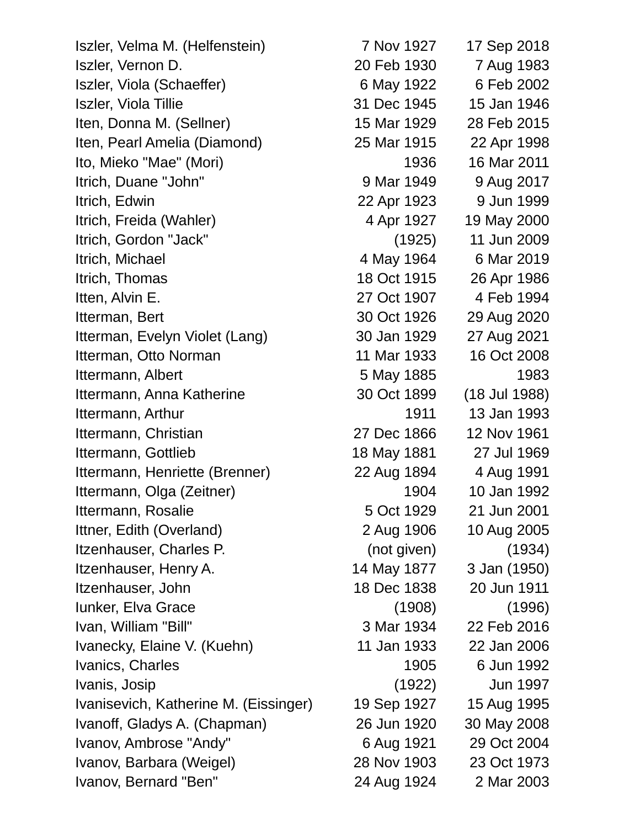| Iszler, Velma M. (Helfenstein)        | 7 Nov 1927  | 17 Sep 2018     |
|---------------------------------------|-------------|-----------------|
| Iszler, Vernon D.                     | 20 Feb 1930 | 7 Aug 1983      |
| Iszler, Viola (Schaeffer)             | 6 May 1922  | 6 Feb 2002      |
| <b>Iszler, Viola Tillie</b>           | 31 Dec 1945 | 15 Jan 1946     |
| Iten, Donna M. (Sellner)              | 15 Mar 1929 | 28 Feb 2015     |
| Iten, Pearl Amelia (Diamond)          | 25 Mar 1915 | 22 Apr 1998     |
| Ito, Mieko "Mae" (Mori)               | 1936        | 16 Mar 2011     |
| Itrich, Duane "John"                  | 9 Mar 1949  | 9 Aug 2017      |
| Itrich, Edwin                         | 22 Apr 1923 | 9 Jun 1999      |
| Itrich, Freida (Wahler)               | 4 Apr 1927  | 19 May 2000     |
| Itrich, Gordon "Jack"                 | (1925)      | 11 Jun 2009     |
| Itrich, Michael                       | 4 May 1964  | 6 Mar 2019      |
| Itrich, Thomas                        | 18 Oct 1915 | 26 Apr 1986     |
| Itten, Alvin E.                       | 27 Oct 1907 | 4 Feb 1994      |
| Itterman, Bert                        | 30 Oct 1926 | 29 Aug 2020     |
| Itterman, Evelyn Violet (Lang)        | 30 Jan 1929 | 27 Aug 2021     |
| Itterman, Otto Norman                 | 11 Mar 1933 | 16 Oct 2008     |
| Ittermann, Albert                     | 5 May 1885  | 1983            |
| Ittermann, Anna Katherine             | 30 Oct 1899 | (18 Jul 1988)   |
| Ittermann, Arthur                     | 1911        | 13 Jan 1993     |
| Ittermann, Christian                  | 27 Dec 1866 | 12 Nov 1961     |
| Ittermann, Gottlieb                   | 18 May 1881 | 27 Jul 1969     |
| Ittermann, Henriette (Brenner)        | 22 Aug 1894 | 4 Aug 1991      |
| Ittermann, Olga (Zeitner)             | 1904        | 10 Jan 1992     |
| Ittermann, Rosalie                    | 5 Oct 1929  | 21 Jun 2001     |
| Ittner, Edith (Overland)              | 2 Aug 1906  | 10 Aug 2005     |
| Itzenhauser, Charles P.               | (not given) | (1934)          |
| Itzenhauser, Henry A.                 | 14 May 1877 | 3 Jan (1950)    |
| Itzenhauser, John                     | 18 Dec 1838 | 20 Jun 1911     |
| <b>lunker, Elva Grace</b>             | (1908)      | (1996)          |
| Ivan, William "Bill"                  | 3 Mar 1934  | 22 Feb 2016     |
| Ivanecky, Elaine V. (Kuehn)           | 11 Jan 1933 | 22 Jan 2006     |
| Ivanics, Charles                      | 1905        | 6 Jun 1992      |
| Ivanis, Josip                         | (1922)      | <b>Jun 1997</b> |
| Ivanisevich, Katherine M. (Eissinger) | 19 Sep 1927 | 15 Aug 1995     |
| Ivanoff, Gladys A. (Chapman)          | 26 Jun 1920 | 30 May 2008     |
| Ivanov, Ambrose "Andy"                | 6 Aug 1921  | 29 Oct 2004     |
| Ivanov, Barbara (Weigel)              | 28 Nov 1903 | 23 Oct 1973     |
| Ivanov, Bernard "Ben"                 | 24 Aug 1924 | 2 Mar 2003      |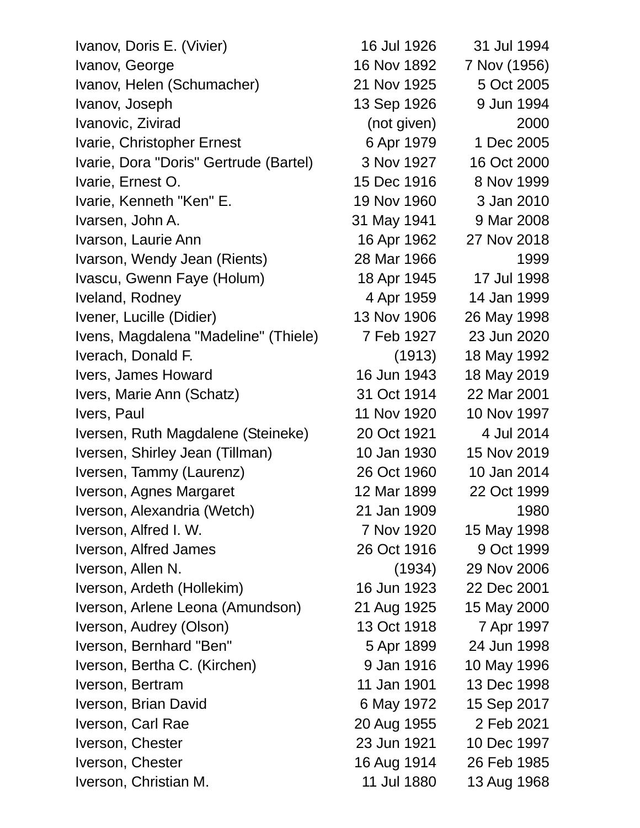| Ivanov, Doris E. (Vivier)              | 16 Jul 1926 | 31 Jul 1994  |
|----------------------------------------|-------------|--------------|
| Ivanov, George                         | 16 Nov 1892 | 7 Nov (1956) |
| Ivanov, Helen (Schumacher)             | 21 Nov 1925 | 5 Oct 2005   |
| Ivanov, Joseph                         | 13 Sep 1926 | 9 Jun 1994   |
| Ivanovic, Zivirad                      | (not given) | 2000         |
| Ivarie, Christopher Ernest             | 6 Apr 1979  | 1 Dec 2005   |
| Ivarie, Dora "Doris" Gertrude (Bartel) | 3 Nov 1927  | 16 Oct 2000  |
| Ivarie, Ernest O.                      | 15 Dec 1916 | 8 Nov 1999   |
| Ivarie, Kenneth "Ken" E.               | 19 Nov 1960 | 3 Jan 2010   |
| Ivarsen, John A.                       | 31 May 1941 | 9 Mar 2008   |
| Ivarson, Laurie Ann                    | 16 Apr 1962 | 27 Nov 2018  |
| Ivarson, Wendy Jean (Rients)           | 28 Mar 1966 | 1999         |
| Ivascu, Gwenn Faye (Holum)             | 18 Apr 1945 | 17 Jul 1998  |
| Iveland, Rodney                        | 4 Apr 1959  | 14 Jan 1999  |
| Ivener, Lucille (Didier)               | 13 Nov 1906 | 26 May 1998  |
| Ivens, Magdalena "Madeline" (Thiele)   | 7 Feb 1927  | 23 Jun 2020  |
| Iverach, Donald F.                     | (1913)      | 18 May 1992  |
| Ivers, James Howard                    | 16 Jun 1943 | 18 May 2019  |
| Ivers, Marie Ann (Schatz)              | 31 Oct 1914 | 22 Mar 2001  |
| Ivers, Paul                            | 11 Nov 1920 | 10 Nov 1997  |
| Iversen, Ruth Magdalene (Steineke)     | 20 Oct 1921 | 4 Jul 2014   |
| Iversen, Shirley Jean (Tillman)        | 10 Jan 1930 | 15 Nov 2019  |
| Iversen, Tammy (Laurenz)               | 26 Oct 1960 | 10 Jan 2014  |
| Iverson, Agnes Margaret                | 12 Mar 1899 | 22 Oct 1999  |
| Iverson, Alexandria (Wetch)            | 21 Jan 1909 | 1980         |
| Iverson, Alfred I. W.                  | 7 Nov 1920  | 15 May 1998  |
| Iverson, Alfred James                  | 26 Oct 1916 | 9 Oct 1999   |
| Iverson, Allen N.                      | (1934)      | 29 Nov 2006  |
| Iverson, Ardeth (Hollekim)             | 16 Jun 1923 | 22 Dec 2001  |
| Iverson, Arlene Leona (Amundson)       | 21 Aug 1925 | 15 May 2000  |
| Iverson, Audrey (Olson)                | 13 Oct 1918 | 7 Apr 1997   |
| Iverson, Bernhard "Ben"                | 5 Apr 1899  | 24 Jun 1998  |
| Iverson, Bertha C. (Kirchen)           | 9 Jan 1916  | 10 May 1996  |
| Iverson, Bertram                       | 11 Jan 1901 | 13 Dec 1998  |
| Iverson, Brian David                   | 6 May 1972  | 15 Sep 2017  |
| Iverson, Carl Rae                      | 20 Aug 1955 | 2 Feb 2021   |
| Iverson, Chester                       | 23 Jun 1921 | 10 Dec 1997  |
| Iverson, Chester                       | 16 Aug 1914 | 26 Feb 1985  |
| Iverson, Christian M.                  | 11 Jul 1880 | 13 Aug 1968  |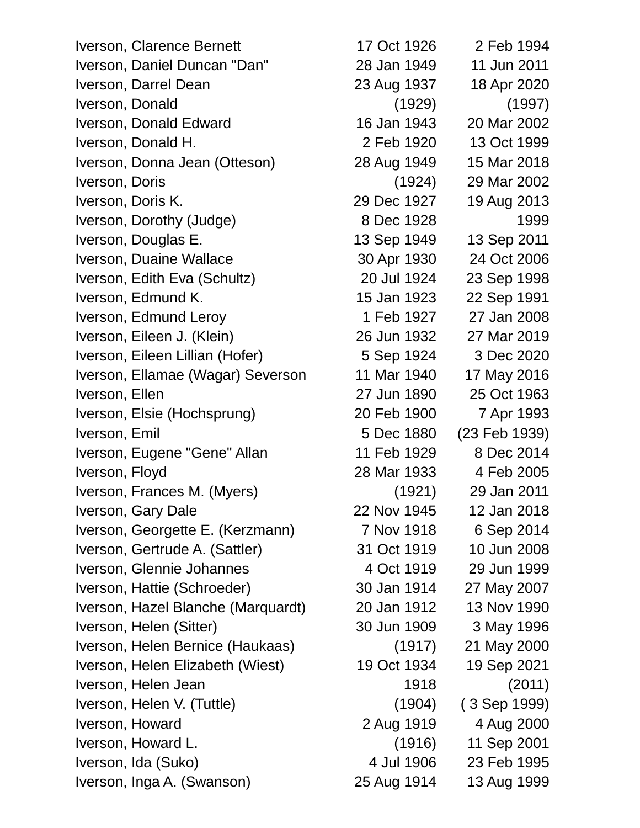| Iverson, Clarence Bernett          | 17 Oct 1926 | 2 Feb 1994    |
|------------------------------------|-------------|---------------|
| Iverson, Daniel Duncan "Dan"       | 28 Jan 1949 | 11 Jun 2011   |
| Iverson, Darrel Dean               | 23 Aug 1937 | 18 Apr 2020   |
| Iverson, Donald                    | (1929)      | (1997)        |
| Iverson, Donald Edward             | 16 Jan 1943 | 20 Mar 2002   |
| Iverson, Donald H.                 | 2 Feb 1920  | 13 Oct 1999   |
| Iverson, Donna Jean (Otteson)      | 28 Aug 1949 | 15 Mar 2018   |
| Iverson, Doris                     | (1924)      | 29 Mar 2002   |
| Iverson, Doris K.                  | 29 Dec 1927 | 19 Aug 2013   |
| Iverson, Dorothy (Judge)           | 8 Dec 1928  | 1999          |
| Iverson, Douglas E.                | 13 Sep 1949 | 13 Sep 2011   |
| Iverson, Duaine Wallace            | 30 Apr 1930 | 24 Oct 2006   |
| Iverson, Edith Eva (Schultz)       | 20 Jul 1924 | 23 Sep 1998   |
| Iverson, Edmund K.                 | 15 Jan 1923 | 22 Sep 1991   |
| Iverson, Edmund Leroy              | 1 Feb 1927  | 27 Jan 2008   |
| Iverson, Eileen J. (Klein)         | 26 Jun 1932 | 27 Mar 2019   |
| Iverson, Eileen Lillian (Hofer)    | 5 Sep 1924  | 3 Dec 2020    |
| Iverson, Ellamae (Wagar) Severson  | 11 Mar 1940 | 17 May 2016   |
| Iverson, Ellen                     | 27 Jun 1890 | 25 Oct 1963   |
| Iverson, Elsie (Hochsprung)        | 20 Feb 1900 | 7 Apr 1993    |
| Iverson, Emil                      | 5 Dec 1880  | (23 Feb 1939) |
| Iverson, Eugene "Gene" Allan       | 11 Feb 1929 | 8 Dec 2014    |
| Iverson, Floyd                     | 28 Mar 1933 | 4 Feb 2005    |
| Iverson, Frances M. (Myers)        | (1921)      | 29 Jan 2011   |
| Iverson, Gary Dale                 | 22 Nov 1945 | 12 Jan 2018   |
| Iverson, Georgette E. (Kerzmann)   | 7 Nov 1918  | 6 Sep 2014    |
| Iverson, Gertrude A. (Sattler)     | 31 Oct 1919 | 10 Jun 2008   |
| Iverson, Glennie Johannes          | 4 Oct 1919  | 29 Jun 1999   |
| Iverson, Hattie (Schroeder)        | 30 Jan 1914 | 27 May 2007   |
| Iverson, Hazel Blanche (Marquardt) | 20 Jan 1912 | 13 Nov 1990   |
| Iverson, Helen (Sitter)            | 30 Jun 1909 | 3 May 1996    |
| Iverson, Helen Bernice (Haukaas)   | (1917)      | 21 May 2000   |
| Iverson, Helen Elizabeth (Wiest)   | 19 Oct 1934 | 19 Sep 2021   |
| Iverson, Helen Jean                | 1918        | (2011)        |
| Iverson, Helen V. (Tuttle)         | (1904)      | (3 Sep 1999)  |
| Iverson, Howard                    | 2 Aug 1919  | 4 Aug 2000    |
| Iverson, Howard L.                 | (1916)      | 11 Sep 2001   |
| Iverson, Ida (Suko)                | 4 Jul 1906  | 23 Feb 1995   |
| Iverson, Inga A. (Swanson)         | 25 Aug 1914 | 13 Aug 1999   |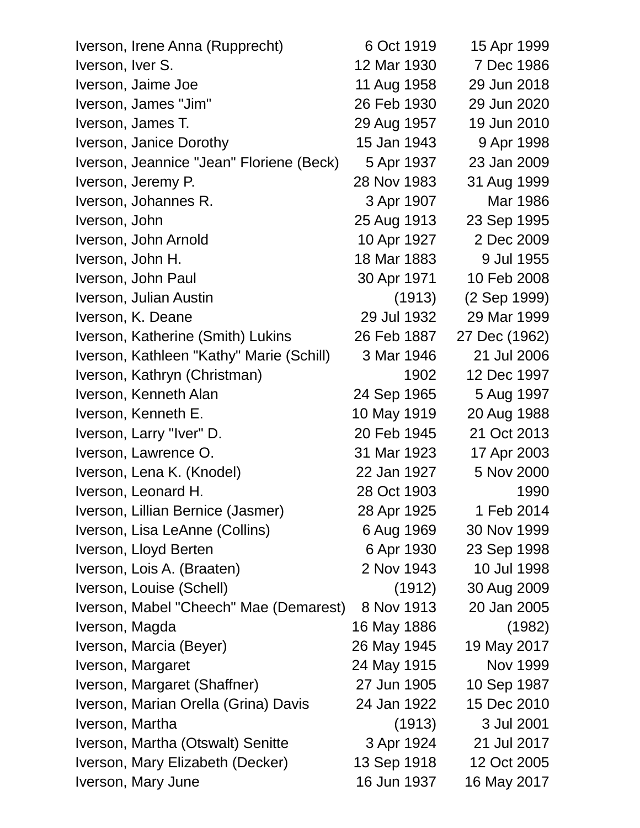| Iverson, Irene Anna (Rupprecht)          | 6 Oct 1919  | 15 Apr 1999   |
|------------------------------------------|-------------|---------------|
| Iverson, Iver S.                         | 12 Mar 1930 | 7 Dec 1986    |
| Iverson, Jaime Joe                       | 11 Aug 1958 | 29 Jun 2018   |
| Iverson, James "Jim"                     | 26 Feb 1930 | 29 Jun 2020   |
| Iverson, James T.                        | 29 Aug 1957 | 19 Jun 2010   |
| Iverson, Janice Dorothy                  | 15 Jan 1943 | 9 Apr 1998    |
| Iverson, Jeannice "Jean" Floriene (Beck) | 5 Apr 1937  | 23 Jan 2009   |
| Iverson, Jeremy P.                       | 28 Nov 1983 | 31 Aug 1999   |
| Iverson, Johannes R.                     | 3 Apr 1907  | Mar 1986      |
| Iverson, John                            | 25 Aug 1913 | 23 Sep 1995   |
| Iverson, John Arnold                     | 10 Apr 1927 | 2 Dec 2009    |
| Iverson, John H.                         | 18 Mar 1883 | 9 Jul 1955    |
| Iverson, John Paul                       | 30 Apr 1971 | 10 Feb 2008   |
| Iverson, Julian Austin                   | (1913)      | (2 Sep 1999)  |
| Iverson, K. Deane                        | 29 Jul 1932 | 29 Mar 1999   |
| Iverson, Katherine (Smith) Lukins        | 26 Feb 1887 | 27 Dec (1962) |
| Iverson, Kathleen "Kathy" Marie (Schill) | 3 Mar 1946  | 21 Jul 2006   |
| Iverson, Kathryn (Christman)             | 1902        | 12 Dec 1997   |
| Iverson, Kenneth Alan                    | 24 Sep 1965 | 5 Aug 1997    |
| Iverson, Kenneth E.                      | 10 May 1919 | 20 Aug 1988   |
| Iverson, Larry "Iver" D.                 | 20 Feb 1945 | 21 Oct 2013   |
| Iverson, Lawrence O.                     | 31 Mar 1923 | 17 Apr 2003   |
| Iverson, Lena K. (Knodel)                | 22 Jan 1927 | 5 Nov 2000    |
| Iverson, Leonard H.                      | 28 Oct 1903 | 1990          |
| Iverson, Lillian Bernice (Jasmer)        | 28 Apr 1925 | 1 Feb 2014    |
| Iverson, Lisa LeAnne (Collins)           | 6 Aug 1969  | 30 Nov 1999   |
| Iverson, Lloyd Berten                    | 6 Apr 1930  | 23 Sep 1998   |
| Iverson, Lois A. (Braaten)               | 2 Nov 1943  | 10 Jul 1998   |
| Iverson, Louise (Schell)                 | (1912)      | 30 Aug 2009   |
| Iverson, Mabel "Cheech" Mae (Demarest)   | 8 Nov 1913  | 20 Jan 2005   |
| Iverson, Magda                           | 16 May 1886 | (1982)        |
| Iverson, Marcia (Beyer)                  | 26 May 1945 | 19 May 2017   |
| Iverson, Margaret                        | 24 May 1915 | Nov 1999      |
| Iverson, Margaret (Shaffner)             | 27 Jun 1905 | 10 Sep 1987   |
| Iverson, Marian Orella (Grina) Davis     | 24 Jan 1922 | 15 Dec 2010   |
| Iverson, Martha                          | (1913)      | 3 Jul 2001    |
| Iverson, Martha (Otswalt) Senitte        | 3 Apr 1924  | 21 Jul 2017   |
| Iverson, Mary Elizabeth (Decker)         | 13 Sep 1918 | 12 Oct 2005   |
| Iverson, Mary June                       | 16 Jun 1937 | 16 May 2017   |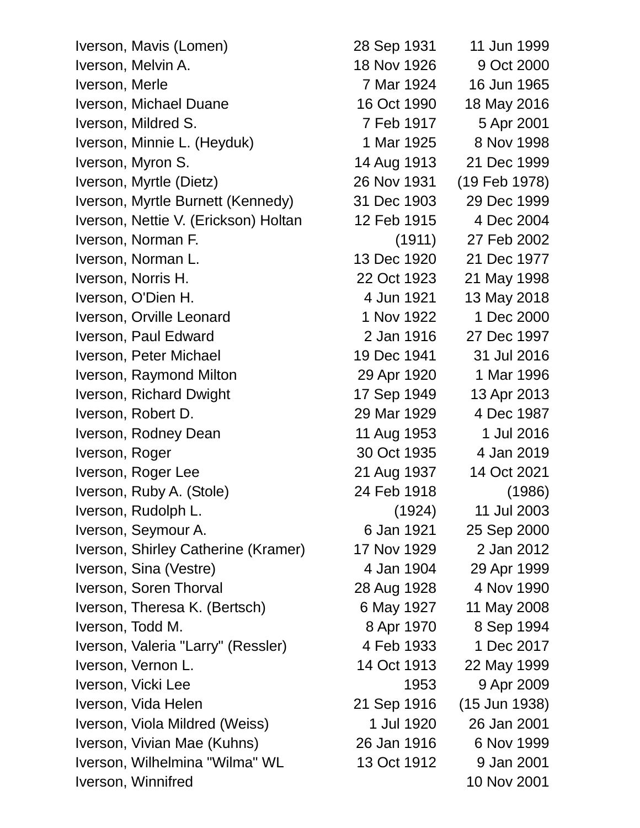| Iverson, Mavis (Lomen)               | 28 Sep 1931 | 11 Jun 1999     |
|--------------------------------------|-------------|-----------------|
| Iverson, Melvin A.                   | 18 Nov 1926 | 9 Oct 2000      |
| Iverson, Merle                       | 7 Mar 1924  | 16 Jun 1965     |
| Iverson, Michael Duane               | 16 Oct 1990 | 18 May 2016     |
| Iverson, Mildred S.                  | 7 Feb 1917  | 5 Apr 2001      |
| Iverson, Minnie L. (Heyduk)          | 1 Mar 1925  | 8 Nov 1998      |
| Iverson, Myron S.                    | 14 Aug 1913 | 21 Dec 1999     |
| Iverson, Myrtle (Dietz)              | 26 Nov 1931 | (19 Feb 1978)   |
| Iverson, Myrtle Burnett (Kennedy)    | 31 Dec 1903 | 29 Dec 1999     |
| Iverson, Nettie V. (Erickson) Holtan | 12 Feb 1915 | 4 Dec 2004      |
| Iverson, Norman F.                   | (1911)      | 27 Feb 2002     |
| Iverson, Norman L.                   | 13 Dec 1920 | 21 Dec 1977     |
| Iverson, Norris H.                   | 22 Oct 1923 | 21 May 1998     |
| Iverson, O'Dien H.                   | 4 Jun 1921  | 13 May 2018     |
| Iverson, Orville Leonard             | 1 Nov 1922  | 1 Dec 2000      |
| Iverson, Paul Edward                 | 2 Jan 1916  | 27 Dec 1997     |
| Iverson, Peter Michael               | 19 Dec 1941 | 31 Jul 2016     |
| Iverson, Raymond Milton              | 29 Apr 1920 | 1 Mar 1996      |
| Iverson, Richard Dwight              | 17 Sep 1949 | 13 Apr 2013     |
| Iverson, Robert D.                   | 29 Mar 1929 | 4 Dec 1987      |
| Iverson, Rodney Dean                 | 11 Aug 1953 | 1 Jul 2016      |
| Iverson, Roger                       | 30 Oct 1935 | 4 Jan 2019      |
| Iverson, Roger Lee                   | 21 Aug 1937 | 14 Oct 2021     |
| Iverson, Ruby A. (Stole)             | 24 Feb 1918 | (1986)          |
| Iverson, Rudolph L.                  | (1924)      | 11 Jul 2003     |
| Iverson, Seymour A.                  | 6 Jan 1921  | 25 Sep 2000     |
| Iverson, Shirley Catherine (Kramer)  | 17 Nov 1929 | 2 Jan 2012      |
| Iverson, Sina (Vestre)               | 4 Jan 1904  | 29 Apr 1999     |
| Iverson, Soren Thorval               | 28 Aug 1928 | 4 Nov 1990      |
| Iverson, Theresa K. (Bertsch)        | 6 May 1927  | 11 May 2008     |
| Iverson, Todd M.                     | 8 Apr 1970  | 8 Sep 1994      |
| Iverson, Valeria "Larry" (Ressler)   | 4 Feb 1933  | 1 Dec 2017      |
| Iverson, Vernon L.                   | 14 Oct 1913 | 22 May 1999     |
| Iverson, Vicki Lee                   | 1953        | 9 Apr 2009      |
| Iverson, Vida Helen                  | 21 Sep 1916 | $(15$ Jun 1938) |
| Iverson, Viola Mildred (Weiss)       | 1 Jul 1920  | 26 Jan 2001     |
| Iverson, Vivian Mae (Kuhns)          | 26 Jan 1916 | 6 Nov 1999      |
| Iverson, Wilhelmina "Wilma" WL       | 13 Oct 1912 | 9 Jan 2001      |
| Iverson, Winnifred                   |             | 10 Nov 2001     |